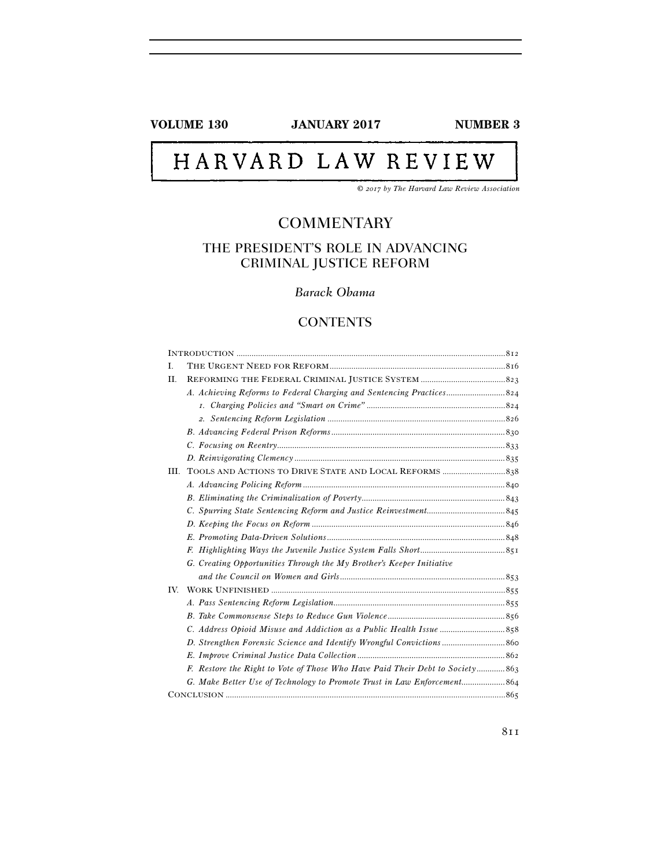**VOLUME 130 JANUARY 2017 NUMBER 3** 

# HARVARD LAW REVIEW

*© 2017 by The Harvard Law Review Association* 

# **COMMENTARY**

# THE PRESIDENT'S ROLE IN ADVANCING CRIMINAL JUSTICE REFORM

# *Barack Obama*

# **CONTENTS**

| L.   |                                                                               |  |
|------|-------------------------------------------------------------------------------|--|
| П.   |                                                                               |  |
|      |                                                                               |  |
|      |                                                                               |  |
|      |                                                                               |  |
|      |                                                                               |  |
|      |                                                                               |  |
|      |                                                                               |  |
| III. |                                                                               |  |
|      |                                                                               |  |
|      |                                                                               |  |
|      |                                                                               |  |
|      |                                                                               |  |
|      |                                                                               |  |
|      |                                                                               |  |
|      | G. Creating Opportunities Through the My Brother's Keeper Initiative          |  |
|      |                                                                               |  |
| IV.  |                                                                               |  |
|      |                                                                               |  |
|      |                                                                               |  |
|      |                                                                               |  |
|      |                                                                               |  |
|      |                                                                               |  |
|      | F. Restore the Right to Vote of Those Who Have Paid Their Debt to Society 863 |  |
|      |                                                                               |  |
|      |                                                                               |  |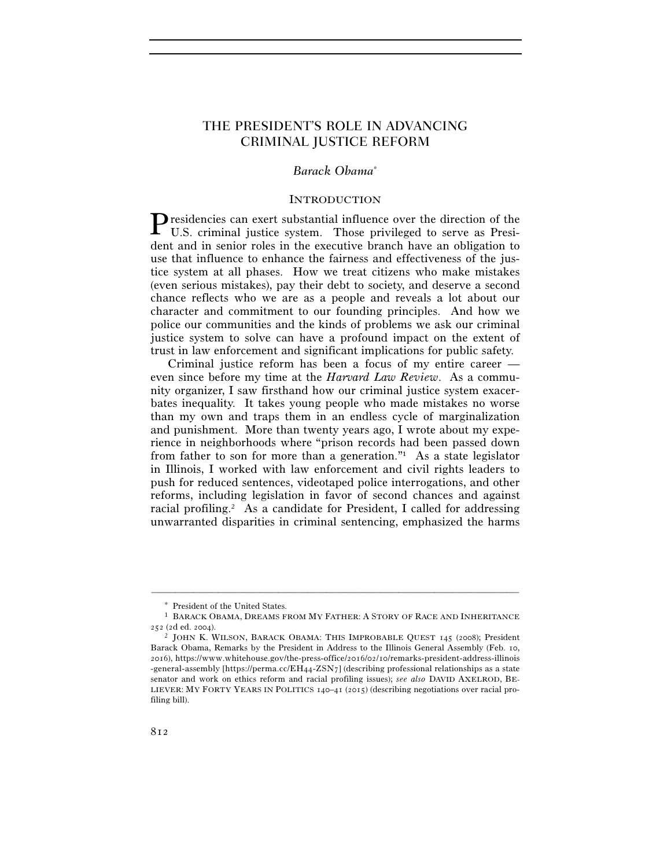# THE PRESIDENT'S ROLE IN ADVANCING CRIMINAL JUSTICE REFORM

# *Barack Obama*<sup>∗</sup>

#### INTRODUCTION

 $\mathbf P$  residencies can exert substantial influence over the direction of the U.S. criminal justice system. Those privileged to serve as Presi-U.S. criminal justice system. Those privileged to serve as President and in senior roles in the executive branch have an obligation to use that influence to enhance the fairness and effectiveness of the justice system at all phases. How we treat citizens who make mistakes (even serious mistakes), pay their debt to society, and deserve a second chance reflects who we are as a people and reveals a lot about our character and commitment to our founding principles. And how we police our communities and the kinds of problems we ask our criminal justice system to solve can have a profound impact on the extent of trust in law enforcement and significant implications for public safety.

Criminal justice reform has been a focus of my entire career even since before my time at the *Harvard Law Review*. As a community organizer, I saw firsthand how our criminal justice system exacerbates inequality. It takes young people who made mistakes no worse than my own and traps them in an endless cycle of marginalization and punishment. More than twenty years ago, I wrote about my experience in neighborhoods where "prison records had been passed down from father to son for more than a generation." As a state legislator in Illinois, I worked with law enforcement and civil rights leaders to push for reduced sentences, videotaped police interrogations, and other reforms, including legislation in favor of second chances and against racial profiling.2 As a candidate for President, I called for addressing unwarranted disparities in criminal sentencing, emphasized the harms

<sup>∗</sup> President of the United States.

<sup>1</sup> BARACK OBAMA, DREAMS FROM MY FATHER: A STORY OF RACE AND INHERITANCE  $252$  (2d ed. 2004).<br><sup>2</sup> JOHN K. WILSON, BARACK OBAMA: THIS IMPROBABLE QUEST 145 (2008); President

Barack Obama, Remarks by the President in Address to the Illinois General Assembly (Feb. 10, 2016), https://www.whitehouse.gov/the-press-office/2016/02/10/remarks-president-address-illinois -general-assembly [https://perma.cc/ $EH_{44}$ -ZSN<sub>7</sub>] (describing professional relationships as a state senator and work on ethics reform and racial profiling issues); *see also* DAVID AXELROD, BE-LIEVER: MY FORTY YEARS IN POLITICS 140–41 (2015) (describing negotiations over racial profiling bill).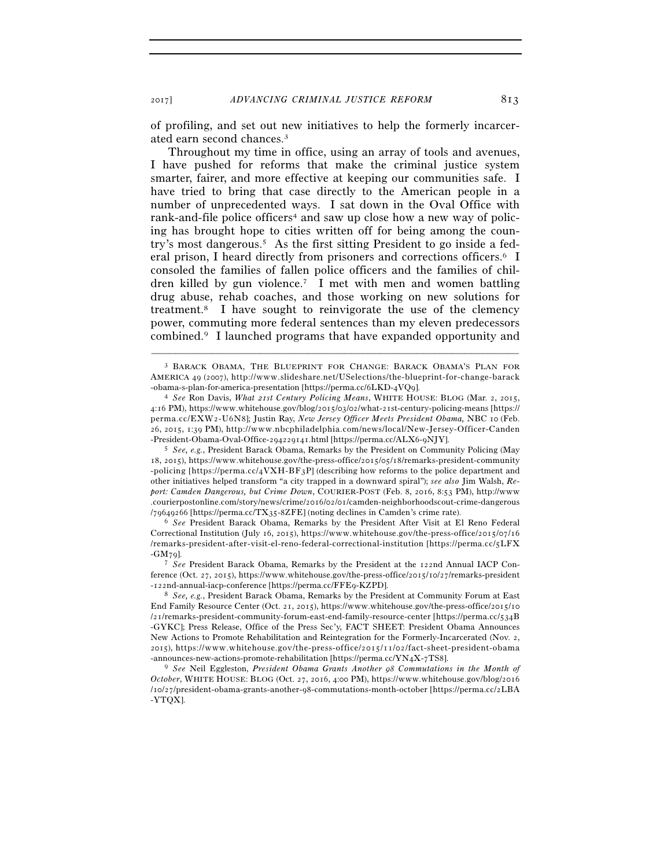of profiling, and set out new initiatives to help the formerly incarcerated earn second chances.3

Throughout my time in office, using an array of tools and avenues, I have pushed for reforms that make the criminal justice system smarter, fairer, and more effective at keeping our communities safe. I have tried to bring that case directly to the American people in a number of unprecedented ways. I sat down in the Oval Office with rank-and-file police officers<sup>4</sup> and saw up close how a new way of policing has brought hope to cities written off for being among the country's most dangerous.5 As the first sitting President to go inside a federal prison, I heard directly from prisoners and corrections officers.6 I consoled the families of fallen police officers and the families of children killed by gun violence.7 I met with men and women battling drug abuse, rehab coaches, and those working on new solutions for treatment.8 I have sought to reinvigorate the use of the clemency power, commuting more federal sentences than my eleven predecessors combined.9 I launched programs that have expanded opportunity and

–––––––––––––––––––––––––––––––––––––––––––––––––––––––––––––

 $18, 2015$ ), https://www.whitehouse.gov/the-press-office/2015/05/18/remarks-president-community -policing [https://perma.cc/4VXH-BF3P] (describing how reforms to the police department and other initiatives helped transform "a city trapped in a downward spiral"); *see also* Jim Walsh, *Report: Camden Dangerous, but Crime Down*, COURIER-POST (Feb. 8, 2016, 8:53 PM), http://www .courierpostonline.com/story/news/crime/2016/02/01/camden-neighborhoodscout-crime-dangerous /79649266 [https://perma.cc/TX35-8ZFE] (noting declines in Camden's crime rate). 6 *See* President Barack Obama, Remarks by the President After Visit at El Reno Federal

Correctional Institution (July 16, 2015), https://www.whitehouse.gov/the-press-office/2015/07/16 /remarks-president-after-visit-el-reno-federal-correctional-institution [https://perma.cc/5LFX -GM79]. 7 *See* President Barack Obama, Remarks by the President at the 122nd Annual IACP Con-

ference (Oct. 27, 2015), https://www.whitehouse.gov/the-press-office/2015/10/27/remarks-president

<sup>3</sup> BARACK OBAMA, THE BLUEPRINT FOR CHANGE: BARACK OBAMA'S PLAN FOR AMERICA 49 (2007), http://www.slideshare.net/USelections/the-blueprint-for-change-barack -obama-s-plan-for-america-presentation [https://perma.cc/6LKD-4VQ9]. 4 *See* Ron Davis, *What 21st Century Policing Means*, WHITE HOUSE: BLOG (Mar. 2, 2015,

 $4:16$  PM), https://www.whitehouse.gov/blog/2015/03/02/what-21st-century-policing-means [https:// perma.cc/EXW2-U6N8]; Justin Ray, *New Jersey Officer Meets President Obama*, NBC 10 (Feb. 26, 2015, 1:39 PM), http://www.nbcphiladelphia.com/news/local/New-Jersey-Officer-Canden -President-Obama-Oval-Office-294229141.html [https://perma.cc/ALX6-9NJY]. 5 *See, e.g.*, President Barack Obama, Remarks by the President on Community Policing (May

<sup>-</sup>122nd-annual-iacp-conference [https://perma.cc/FFE9-KZPD]. 8 *See, e.g.*, President Barack Obama, Remarks by the President at Community Forum at East End Family Resource Center (Oct. 21, 2015), https://www.whitehouse.gov/the-press-office/2015/10  $\frac{1}{2}$  / remarks-president-community-forum-east-end-family-resource-center [https://perma.cc/534B] -GYKC]; Press Release, Office of the Press Sec'y, FACT SHEET: President Obama Announces New Actions to Promote Rehabilitation and Reintegration for the Formerly-Incarcerated (Nov. 2,  $2015$ ), https://www.whitehouse.gov/the-press-office/ $2015/11/02$ /fact-sheet-president-obama -announces-new-actions-promote-rehabilitation [https://perma.cc/YN4X-7TS8]. 9 *See* Neil Eggleston, *President Obama Grants Another 98 Commutations in the Month of* 

*October*, WHITE HOUSE: BLOG (Oct. 27, 2016, 4:00 PM), https://www.whitehouse.gov/blog/2016 /10/27/president-obama-grants-another-98-commutations-month-october [https://perma.cc/2LBA -YTQX].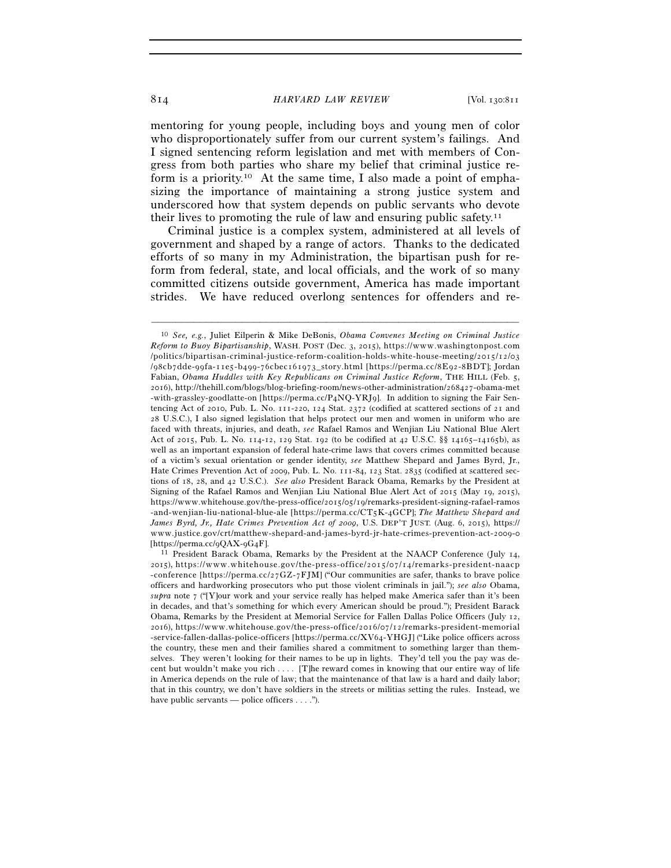mentoring for young people, including boys and young men of color who disproportionately suffer from our current system's failings. And I signed sentencing reform legislation and met with members of Congress from both parties who share my belief that criminal justice reform is a priority.<sup>10</sup> At the same time, I also made a point of emphasizing the importance of maintaining a strong justice system and underscored how that system depends on public servants who devote their lives to promoting the rule of law and ensuring public safety.<sup>11</sup>

Criminal justice is a complex system, administered at all levels of government and shaped by a range of actors. Thanks to the dedicated efforts of so many in my Administration, the bipartisan push for reform from federal, state, and local officials, and the work of so many committed citizens outside government, America has made important strides. We have reduced overlong sentences for offenders and re-

<sup>10</sup> *See, e.g.*, Juliet Eilperin & Mike DeBonis, *Obama Convenes Meeting on Criminal Justice Reform to Buoy Bipartisanship*, WASH. POST (Dec. 3, 2015), https://www.washingtonpost.com /politics/bipartisan-criminal-justice-reform-coalition-holds-white-house-meeting/2015/12/03 / 98 c b 7 d d e - 99 f a - 11 e 5 - b 499 - 76 c b e c 161973 \_ s t o r y . h t m l [ h t t p s : / / p e r m a . c c / 8 E 92 - 8 B D T]; Jordan Fabian, *Obama Huddles with Key Republicans on Criminal Justice Reform*, THE HILL (Feb. 5, 2016), http://thehill.com/blogs/blog-briefing-room/news-other-administration/268427-obama-met -with-grassley-goodlatte-on [https://perma.cc/P4NQ-YRJ9]. In addition to signing the Fair Sentencing Act of 2010, Pub. L. No. 111-220, 124 Stat. 2372 (codified at scattered sections of 21 and 28 U.S.C.), I also signed legislation that helps protect our men and women in uniform who are faced with threats, injuries, and death, *see* Rafael Ramos and Wenjian Liu National Blue Alert Act of 2015, Pub. L. No. 114-12, 129 Stat. 192 (to be codified at 42 U.S.C. §§ 14165–14165b), as well as an important expansion of federal hate-crime laws that covers crimes committed because of a victim's sexual orientation or gender identity, *see* Matthew Shepard and James Byrd, Jr., Hate Crimes Prevention Act of 2009, Pub. L. No. 111-84, 123 Stat. 2835 (codified at scattered sections of 18, 28, and 42 U.S.C.). *See also* President Barack Obama, Remarks by the President at Signing of the Rafael Ramos and Wenjian Liu National Blue Alert Act of 2015 (May 19, 2015), https://www.whitehouse.gov/the-press-office/2015/05/19/remarks-president-signing-rafael-ramos - and-wenjian-liu-national-blue-ale [https://perma.cc/CT5K-4GCP]; The Matthew Shepard and *James Byrd, Jr., Hate Crimes Prevention Act of 2009*, U.S. DEP'T JUST. (Aug. 6, 2015), https:// www.justice.gov/crt/matthew-shepard-and-james-byrd-jr-hate-crimes-prevention-act-2009-0

<sup>[</sup>https://perma.cc/9QAX-9G4F]. 11 President Barack Obama, Remarks by the President at the NAACP Conference (July 14,  $2015$ ), https://www.whitehouse.gov/the-press-office/2015/07/14/remarks-president-naacp -conference [https://perma.cc/27 $GZ$ -7 $FJM$ ] ("Our communities are safer, thanks to brave police officers and hardworking prosecutors who put those violent criminals in jail."); *see also* Obama, *supra* note 7 ("[Y]our work and your service really has helped make America safer than it's been in decades, and that's something for which every American should be proud."); President Barack Obama, Remarks by the President at Memorial Service for Fallen Dallas Police Officers (July 12, 2016), https://www.whitehouse.gov/the-press-office/2016/07/12/remarks-president-memorial -service-fallen-dallas-police-officers [https://perma.cc/XV64-YHGJ] ("Like police officers across the country, these men and their families shared a commitment to something larger than themselves. They weren't looking for their names to be up in lights. They'd tell you the pay was decent but wouldn't make you rich . . . . [T]he reward comes in knowing that our entire way of life in America depends on the rule of law; that the maintenance of that law is a hard and daily labor; that in this country, we don't have soldiers in the streets or militias setting the rules. Instead, we have public servants — police officers . . . .").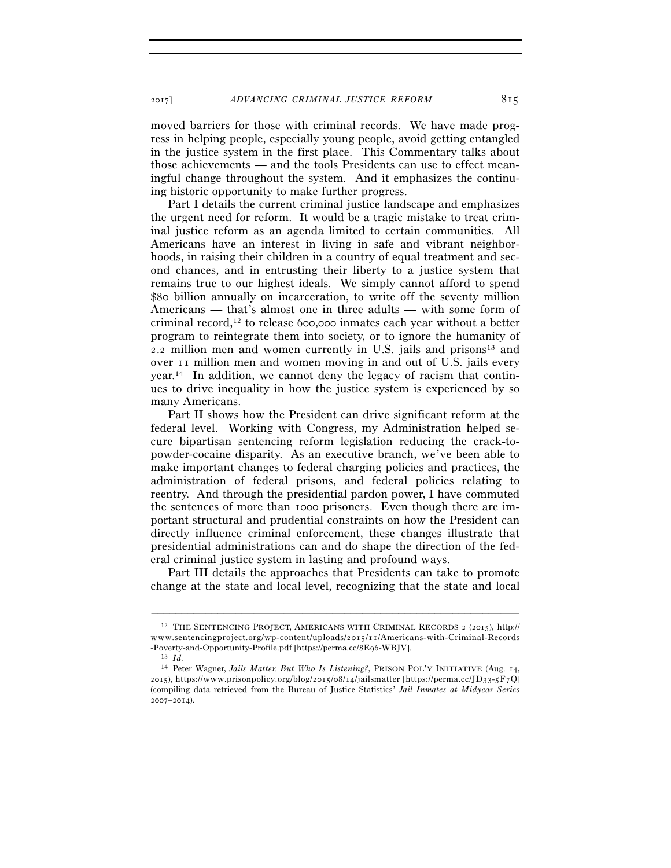2017] *ADVANCING CRIMINAL JUSTICE REFORM* 815

moved barriers for those with criminal records. We have made progress in helping people, especially young people, avoid getting entangled in the justice system in the first place. This Commentary talks about those achievements — and the tools Presidents can use to effect meaningful change throughout the system. And it emphasizes the continuing historic opportunity to make further progress.

Part I details the current criminal justice landscape and emphasizes the urgent need for reform. It would be a tragic mistake to treat criminal justice reform as an agenda limited to certain communities. All Americans have an interest in living in safe and vibrant neighborhoods, in raising their children in a country of equal treatment and second chances, and in entrusting their liberty to a justice system that remains true to our highest ideals. We simply cannot afford to spend \$80 billion annually on incarceration, to write off the seventy million Americans — that's almost one in three adults — with some form of criminal record,12 to release 600,000 inmates each year without a better program to reintegrate them into society, or to ignore the humanity of 2.2 million men and women currently in U.S. jails and prisons<sup>13</sup> and over 11 million men and women moving in and out of U.S. jails every  $year<sup>14</sup>$  In addition, we cannot deny the legacy of racism that continues to drive inequality in how the justice system is experienced by so many Americans.

Part II shows how the President can drive significant reform at the federal level. Working with Congress, my Administration helped secure bipartisan sentencing reform legislation reducing the crack-topowder-cocaine disparity. As an executive branch, we've been able to make important changes to federal charging policies and practices, the administration of federal prisons, and federal policies relating to reentry. And through the presidential pardon power, I have commuted the sentences of more than 1000 prisoners. Even though there are important structural and prudential constraints on how the President can directly influence criminal enforcement, these changes illustrate that presidential administrations can and do shape the direction of the federal criminal justice system in lasting and profound ways.

Part III details the approaches that Presidents can take to promote change at the state and local level, recognizing that the state and local

<sup>12</sup> THE SENTENCING PROJECT, AMERICANS WITH CRIMINAL RECORDS 2 (2015), http:// www.sentencingproject.org/wp-content/uploads/2015/11/Americans-with-Criminal-Records -Poverty-and-Opportunity-Profile.pdf [https://perma.cc/8E96-WBJV]. 13 *Id.*

<sup>14</sup> Peter Wagner, *Jails Matter. But Who Is Listening?*, PRISON POL'Y INITIATIVE (Aug. 14, 2015), https://www.prisonpolicy.org/blog/2015/08/14/jailsmatter [https://perma.cc/JD33-5F7Q] (compiling data retrieved from the Bureau of Justice Statistics' *Jail Inmates at Midyear Series* 2007–2014).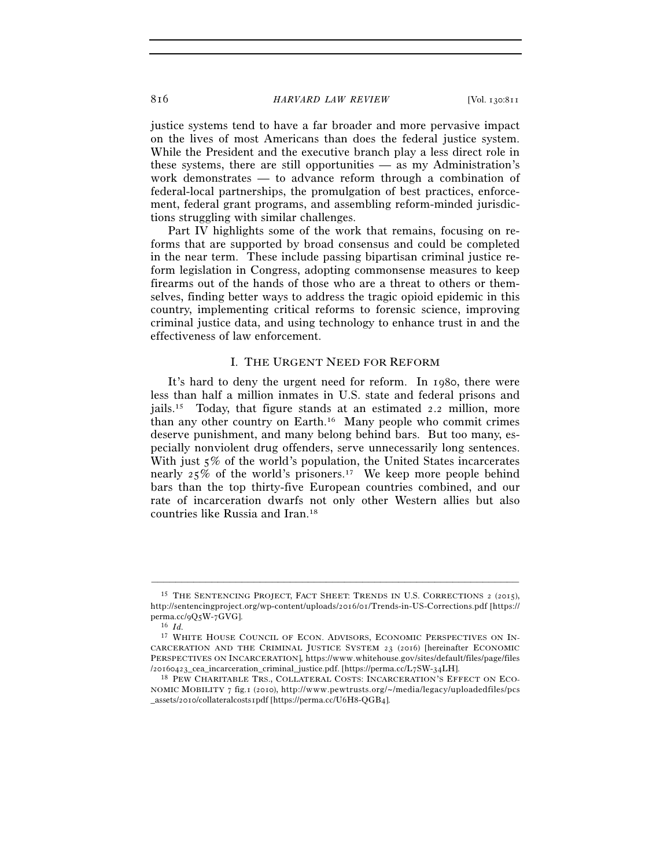justice systems tend to have a far broader and more pervasive impact on the lives of most Americans than does the federal justice system. While the President and the executive branch play a less direct role in these systems, there are still opportunities — as my Administration's work demonstrates — to advance reform through a combination of federal-local partnerships, the promulgation of best practices, enforcement, federal grant programs, and assembling reform-minded jurisdictions struggling with similar challenges.

Part IV highlights some of the work that remains, focusing on reforms that are supported by broad consensus and could be completed in the near term. These include passing bipartisan criminal justice reform legislation in Congress, adopting commonsense measures to keep firearms out of the hands of those who are a threat to others or themselves, finding better ways to address the tragic opioid epidemic in this country, implementing critical reforms to forensic science, improving criminal justice data, and using technology to enhance trust in and the effectiveness of law enforcement.

# I. THE URGENT NEED FOR REFORM

It's hard to deny the urgent need for reform. In 1980, there were less than half a million inmates in U.S. state and federal prisons and jails.15 Today, that figure stands at an estimated 2.2 million, more than any other country on Earth.16 Many people who commit crimes deserve punishment, and many belong behind bars. But too many, especially nonviolent drug offenders, serve unnecessarily long sentences. With just 5% of the world's population, the United States incarcerates nearly  $25\%$  of the world's prisoners.<sup>17</sup> We keep more people behind bars than the top thirty-five European countries combined, and our rate of incarceration dwarfs not only other Western allies but also countries like Russia and Iran.18

<sup>15</sup> THE SENTENCING PROJECT, FACT SHEET: TRENDS IN U.S. CORRECTIONS 2 (2015), http://sentencingproject.org/wp-content/uploads/2016/01/Trends-in-US-Corrections.pdf [https:// perma.cc/9Q5W-7GVG]. 16 *Id.*

<sup>&</sup>lt;sup>17</sup> WHITE HOUSE COUNCIL OF ECON. ADVISORS, ECONOMIC PERSPECTIVES ON IN-CARCERATION AND THE CRIMINAL JUSTICE SYSTEM 23 (2016) [hereinafter ECONOMIC PERSPECTIVES ON INCARCERATION], https://www.whitehouse.gov/sites/default/files/page/files /20160423\_cea\_incarceration\_criminal\_justice.pdf. [https://perma.cc/L7SW-34LH]. 18 PEW CHARITABLE TRS., COLLATERAL COSTS: INCARCERATION'S EFFECT ON ECO-

NOMIC MOBILITY 7 fig.1 (2010), http://www.pewtrusts.org/~/media/legacy/uploadedfiles/pcs \_assets/2010/collateralcosts1pdf [https://perma.cc/U6H8-QGB4].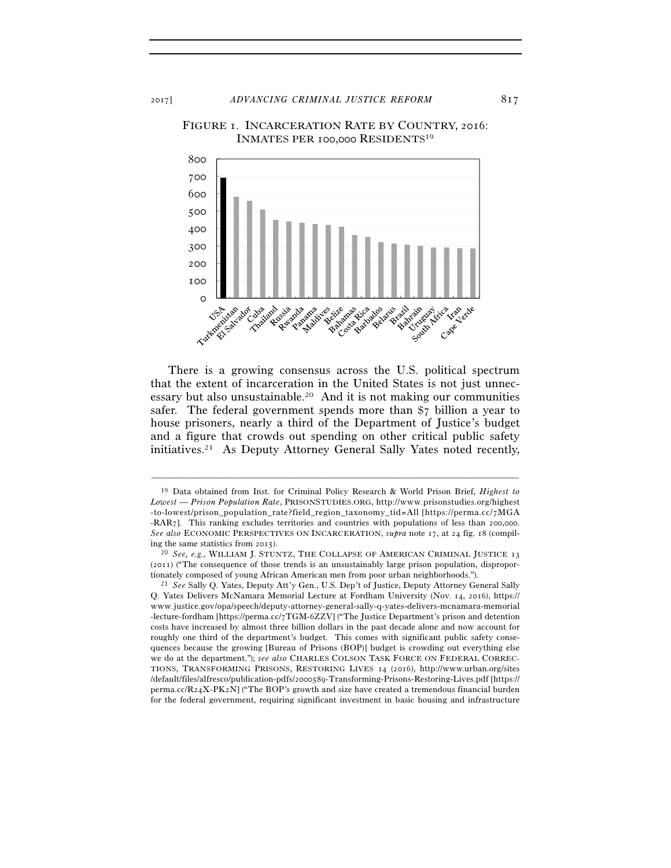FIGURE 1. INCARCERATION RATE BY COUNTRY, 2016: INMATES PER 100,000 RESIDENTS19



There is a growing consensus across the U.S. political spectrum that the extent of incarceration in the United States is not just unnecessary but also unsustainable.20 And it is not making our communities safer. The federal government spends more than \$7 billion a year to house prisoners, nearly a third of the Department of Justice's budget and a figure that crowds out spending on other critical public safety initiatives.21 As Deputy Attorney General Sally Yates noted recently,

<sup>19</sup> Data obtained from Inst. for Criminal Policy Research & World Prison Brief, *Highest to Lowest — Prison Population Rate*, PRISONSTUDIES.ORG, http://www.prisonstudies.org/highest -to-lowest/prison\_population\_rate?field\_region\_taxonomy\_tid=All [https://perma.cc/7MGA -RAR7]. This ranking excludes territories and countries with populations of less than 200,000. *See also* ECONOMIC PERSPECTIVES ON INCARCERATION, *supra* note 17, at 24 fig. 18 (compil-

ing the same statistics from 2015). 20 *See, e.g.*, WILLIAM J. STUNTZ, THE COLLAPSE OF AMERICAN CRIMINAL JUSTICE <sup>13</sup> (2011) ("The consequence of those trends is an unsustainably large prison population, disproportionately composed of young African American men from poor urban neighborhoods."). 21 *See* Sally Q. Yates, Deputy Att'y Gen., U.S. Dep't of Justice, Deputy Attorney General Sally

Q. Yates Delivers McNamara Memorial Lecture at Fordham University (Nov. 14, 2016), https:// www.justice.gov/opa/speech/deputy-attorney-general-sally-q-yates-delivers-mcnamara-memorial -lecture-fordham [https://perma.cc/7TGM-6ZZV] ("The Justice Department's prison and detention costs have increased by almost three billion dollars in the past decade alone and now account for roughly one third of the department's budget. This comes with significant public safety consequences because the growing [Bureau of Prisons (BOP)] budget is crowding out everything else we do at the department."); *see also* CHARLES COLSON TASK FORCE ON FEDERAL CORREC-TIONS, TRANSFORMING PRISONS, RESTORING LIVES 14 (2016), http://www.urban.org/sites /default/files/alfresco/publication-pdfs/2000589-Transforming-Prisons-Restoring-Lives.pdf [https://  $perma.c(R<sub>24</sub>X-PK<sub>2</sub>N$ ] ("The BOP's growth and size have created a tremendous financial burden for the federal government, requiring significant investment in basic housing and infrastructure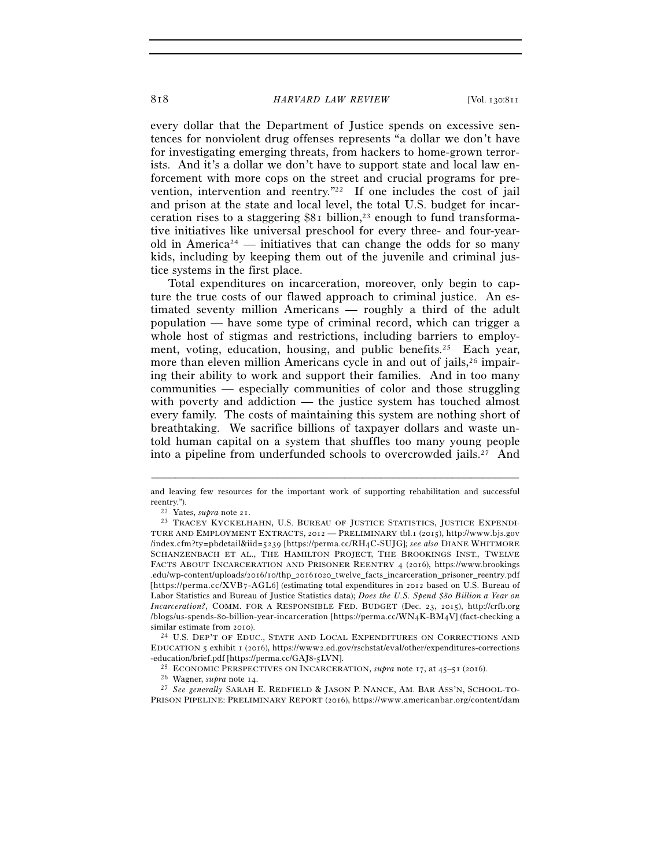every dollar that the Department of Justice spends on excessive sentences for nonviolent drug offenses represents "a dollar we don't have for investigating emerging threats, from hackers to home-grown terrorists. And it's a dollar we don't have to support state and local law enforcement with more cops on the street and crucial programs for prevention, intervention and reentry."22 If one includes the cost of jail and prison at the state and local level, the total U.S. budget for incarceration rises to a staggering  $$81$  billion,<sup>23</sup> enough to fund transformative initiatives like universal preschool for every three- and four-yearold in America<sup>24</sup> — initiatives that can change the odds for so many kids, including by keeping them out of the juvenile and criminal justice systems in the first place.

Total expenditures on incarceration, moreover, only begin to capture the true costs of our flawed approach to criminal justice. An estimated seventy million Americans — roughly a third of the adult population — have some type of criminal record, which can trigger a whole host of stigmas and restrictions, including barriers to employment, voting, education, housing, and public benefits.<sup>25</sup> Each year, more than eleven million Americans cycle in and out of jails,<sup>26</sup> impairing their ability to work and support their families. And in too many communities — especially communities of color and those struggling with poverty and addiction — the justice system has touched almost every family. The costs of maintaining this system are nothing short of breathtaking. We sacrifice billions of taxpayer dollars and waste untold human capital on a system that shuffles too many young people into a pipeline from underfunded schools to overcrowded jails.<sup>27</sup> And

EDUCATION 5 exhibit 1 (2016), https://www2.ed.gov/rschstat/eval/other/expenditures-corrections

<sup>–––––––––––––––––––––––––––––––––––––––––––––––––––––––––––––</sup> and leaving few resources for the important work of supporting rehabilitation and successful

reentry.").<br><sup>22</sup> Yates, *supra* note 21.<br><sup>23</sup> TRACEY KYCKELHAHN, U.S. BUREAU OF JUSTICE STATISTICS, JUSTICE EXPENDI-TURE AND EMPLOYMENT EXTRACTS, 2012 - PRELIMINARY tbl.1 (2015), http://www.bjs.gov /index.cfm?ty=pbdetail&iid=5239 [https://perma.cc/RH4C-SUJG]; see also DIANE WHITMORE SCHANZENBACH ET AL., THE HAMILTON PROJECT, THE BROOKINGS INST., TWELVE FACTS ABOUT INCARCERATION AND PRISONER REENTRY 4 (2016), https://www.brookings .edu/wp-content/uploads/2016/10/thp\_20161020\_twelve\_facts\_incarceration\_prisoner\_reentry.pdf [https://perma.cc/XVB7-AGL6] (estimating total expenditures in 2012 based on U.S. Bureau of Labor Statistics and Bureau of Justice Statistics data); *Does the U.S. Spend \$80 Billion a Year on Incarceration?*, COMM. FOR A RESPONSIBLE FED. BUDGET (Dec. 23, 2015), http://crfb.org  $/b$ logs/us-spends-80-billion-year-incarceration [https://perma.cc/WN4K-BM4V] (fact-checking a similar estimate from 2010). 24 U.S. DEP'T OF EDUC., STATE AND LOCAL EXPENDITURES ON CORRECTIONS AND

<sup>-</sup>education/brief.pdf [https://perma.cc/GAJ8-5LVN].<br><sup>25</sup> ECONOMIC PERSPECTIVES ON INCARCERATION, *supra* note 17, at 45–51 (2016).<br><sup>26</sup> Wagner, *supra* note 14.<br><sup>27</sup> See generally SARAH E. REDFIELD & JASON P. NANCE, AM. BAR PRISON PIPELINE: PRELIMINARY REPORT (2016), https://www.americanbar.org/content/dam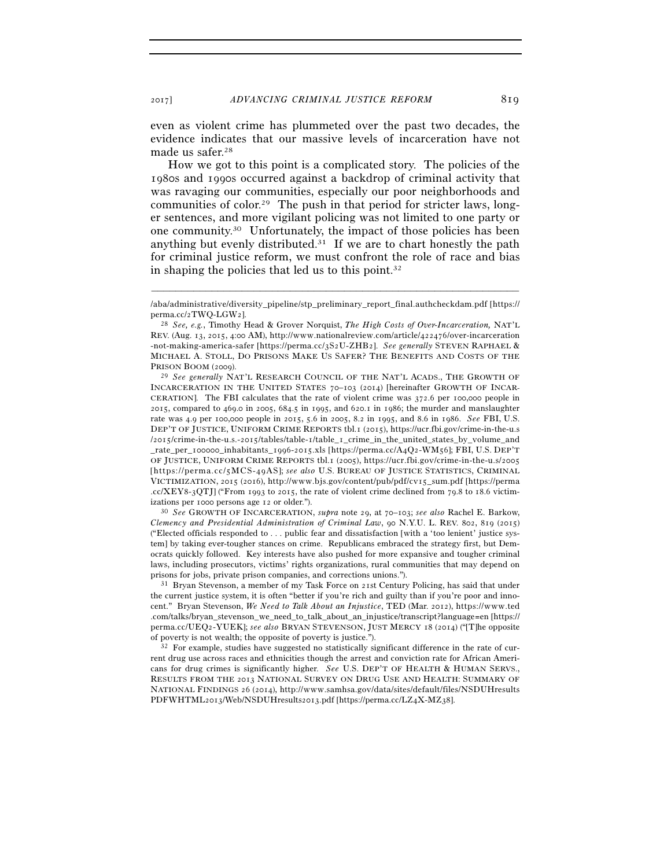even as violent crime has plummeted over the past two decades, the evidence indicates that our massive levels of incarceration have not made us safer.28

How we got to this point is a complicated story. The policies of the 1980s and 1990s occurred against a backdrop of criminal activity that was ravaging our communities, especially our poor neighborhoods and communities of color.29 The push in that period for stricter laws, longer sentences, and more vigilant policing was not limited to one party or one community.30 Unfortunately, the impact of those policies has been anything but evenly distributed.<sup>31</sup> If we are to chart honestly the path for criminal justice reform, we must confront the role of race and bias in shaping the policies that led us to this point.32

INCARCERATION IN THE UNITED STATES 70–103 (2014) [hereinafter GROWTH OF INCAR-CERATION]. The FBI calculates that the rate of violent crime was 372.6 per 100,000 people in 2015, compared to 469.0 in 2005, 684.5 in 1995, and 620.1 in 1986; the murder and manslaughter rate was 4.9 per 100,000 people in 2015, 5.6 in 2005, 8.2 in 1995, and 8.6 in 1986. *See* FBI, U.S. DEP'T OF JUSTICE, UNIFORM CRIME REPORTS tbl.1 (2015), https://ucr.fbi.gov/crime-in-the-u.s /2015/crime-in-the-u.s.-2015/tables/table-1/table\_1\_crime\_in\_the\_united\_states\_by\_volume\_and \_ r a t e \_ p e r \_ 100000 \_ i n h a b i t a n t s \_ 1996 - 2015 . x l s [ h t t p s : / / p e r m a . c c / A 4 Q 2 - W M 56]; FBI, U.S. DEP'T OF JUSTICE, UNIFORM CRIME REPORTS tbl.1 (2005), https://ucr.fbi.gov/crime-in-the-u.s/2005 [https://perma.cc/5MCS-49AS]; see also U.S. BUREAU OF JUSTICE STATISTICS, CRIMINAL VICTIMIZATION, 2015 (2016), http://www.bjs.gov/content/pub/pdf/cv15\_sum.pdf [https://perma .cc/XEY8-3OTJ] ("From 1993 to 2015, the rate of violent crime declined from  $79.8$  to 18.6 victimizations per 1000 persons age 12 or older."). 30 *See* GROWTH OF INCARCERATION, *supra* note 29, at 70–103; *see also* Rachel E. Barkow,

*Clemency and Presidential Administration of Criminal Law*, 90 N.Y.U. L. REV. 802, 819 (2015) ("Elected officials responded to . . . public fear and dissatisfaction [with a 'too lenient' justice system] by taking ever-tougher stances on crime. Republicans embraced the strategy first, but Democrats quickly followed. Key interests have also pushed for more expansive and tougher criminal laws, including prosecutors, victims' rights organizations, rural communities that may depend on prisons for jobs, private prison companies, and corrections unions.").<br><sup>31</sup> Bryan Stevenson, a member of my Task Force on 21st Century Policing, has said that under

the current justice system, it is often "better if you're rich and guilty than if you're poor and innocent." Bryan Stevenson, *We Need to Talk About an Injustice*, TED (Mar. 2012), https://www.ted .com/talks/bryan\_stevenson\_we\_need\_to\_talk\_about\_an\_injustice/transcript?language=en [https:// perma.cc/UEQ2-YUEK]; see also BRYAN STEVENSON, JUST MERCY 18 (2014) ("[T]he opposite % of poverty is not wealth; the opposite of poverty is justice.").  $32 \text{ For example, studies have suggested no statistically significant difference in the rate of cur-}$ 

rent drug use across races and ethnicities though the arrest and conviction rate for African Americans for drug crimes is significantly higher. *See* U.S. DEP'T OF HEALTH & HUMAN SERVS., RESULTS FROM THE 2013 NATIONAL SURVEY ON DRUG USE AND HEALTH: SUMMARY OF NATIONAL FINDINGS 26 (2014), http://www.samhsa.gov/data/sites/default/files/NSDUHresults PDFWHTML2013/Web/NSDUHresults2013.pdf [https://perma.cc/LZ4X-MZ38].

<sup>–––––––––––––––––––––––––––––––––––––––––––––––––––––––––––––</sup> /aba/administrative/diversity\_pipeline/stp\_preliminary\_report\_final.authcheckdam.pdf [https:// perma.cc/2TWQ-LGW2].

<sup>&</sup>lt;sup>28</sup> See, e.g., Timothy Head & Grover Norquist, *The High Costs of Over-Incarceration*, NAT'L REV. (Aug. 13, 2015, 4:00 AM), http://www.nationalreview.com/article/422476/over-incarceration -not-making-america-safer [https://perma.cc/3S2U-ZHB2]. See generally STEVEN RAPHAEL & MICHAEL A. STOLL, DO PRISONS MAKE US SAFER? THE BENEFITS AND COSTS OF THE PRISON BOOM (2009). 29 *See generally* NAT'L RESEARCH COUNCIL OF THE NAT'L ACADS., THE GROWTH OF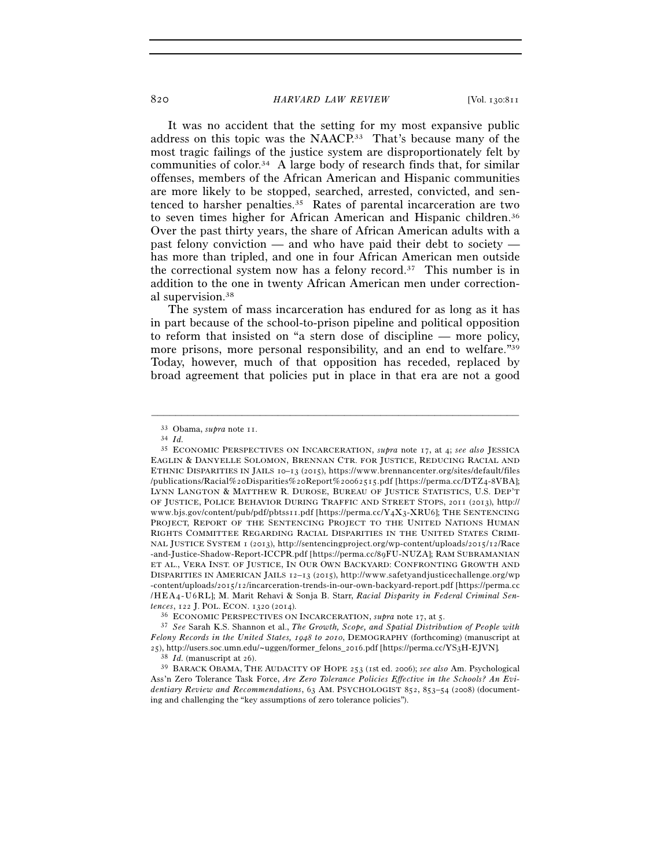It was no accident that the setting for my most expansive public address on this topic was the NAACP.33 That's because many of the most tragic failings of the justice system are disproportionately felt by communities of color.<sup>34</sup> A large body of research finds that, for similar offenses, members of the African American and Hispanic communities are more likely to be stopped, searched, arrested, convicted, and sentenced to harsher penalties.35 Rates of parental incarceration are two to seven times higher for African American and Hispanic children.<sup>36</sup> Over the past thirty years, the share of African American adults with a past felony conviction — and who have paid their debt to society has more than tripled, and one in four African American men outside the correctional system now has a felony record.37 This number is in addition to the one in twenty African American men under correctional supervision.38

The system of mass incarceration has endured for as long as it has in part because of the school-to-prison pipeline and political opposition to reform that insisted on "a stern dose of discipline — more policy, more prisons, more personal responsibility, and an end to welfare."39 Today, however, much of that opposition has receded, replaced by broad agreement that policies put in place in that era are not a good

–––––––––––––––––––––––––––––––––––––––––––––––––––––––––––––

<sup>38</sup> *Id.* (manuscript at 26). 39 BARACK OBAMA, THE AUDACITY OF HOPE <sup>253</sup> (1st ed. 2006); *see also* Am. Psychological Ass'n Zero Tolerance Task Force, *Are Zero Tolerance Policies Effective in the Schools? An Evidentiary Review and Recommendations*, 63 AM. PSYCHOLOGIST 852, 853–54 (2008) (documenting and challenging the "key assumptions of zero tolerance policies").

<sup>33</sup> Obama, *supra* note 11. 34 *Id.*

<sup>35</sup> ECONOMIC PERSPECTIVES ON INCARCERATION, *supra* note 17, at 4; *see also* JESSICA EAGLIN & DANYELLE SOLOMON, BRENNAN CTR. FOR JUSTICE, REDUCING RACIAL AND ETHNIC DISPARITIES IN JAILS 10-13 (2015), https://www.brennancenter.org/sites/default/files  $\verb|/publications/Racial\% 2 o Disparities\% 2 o Report\% 2 o o62515.pdf [https://perma.cc/DTZ4-8VBA];$ LYNN LANGTON & MATTHEW R. DUROSE, BUREAU OF JUSTICE STATISTICS, U.S. DEP'T OF JUSTICE, POLICE BEHAVIOR DURING TRAFFIC AND STREET STOPS, 2011 (2013), http:// www.bjs.gov/content/pub/pdf/pbtss11.pdf [https://perma.cc/Y4X3-XRU6]; THE SENTENCING PROJECT, REPORT OF THE SENTENCING PROJECT TO THE UNITED NATIONS HUMAN RIGHTS COMMITTEE REGARDING RACIAL DISPARITIES IN THE UNITED STATES CRIMI-NAL JUSTICE SYSTEM 1 (2013), http://sentencingproject.org/wp-content/uploads/2015/12/Race - and-Justice-Shadow-Report-ICCPR.pdf [https://perma.cc/89FU-NUZA]; RAM SUBRAMANIAN ET AL., VERA INST. OF JUSTICE, IN OUR OWN BACKYARD: CONFRONTING GROWTH AND DISPARITIES IN AMERICAN JAILS 12-13 (2015), http://www.safetyandjusticechallenge.org/wp -content/uploads/2015/12/incarceration-trends-in-our-own-backyard-report.pdf [https://perma.cc / H E A 4 - U 6 R L]; M. Marit Rehavi & Sonja B. Starr, *Racial Disparity in Federal Criminal Sentences*, 122 J. POL. ECON. 1320 (2014).<br><sup>36</sup> ECONOMIC PERSPECTIVES ON INCARCERATION, *supra* note 17, at 5.<br><sup>37</sup> *See* Sarah K.S. Shannon et al., *The Growth, Scope, and Spatial Distribution of People with* 

*Felony Records in the United States, 1948 to 2010*, DEMOGRAPHY (forthcoming) (manuscript at 25), http://users.soc.umn.edu/~uggen/former\_felons\_2016.pdf [https://perma.cc/YS3H-EJVN]*.*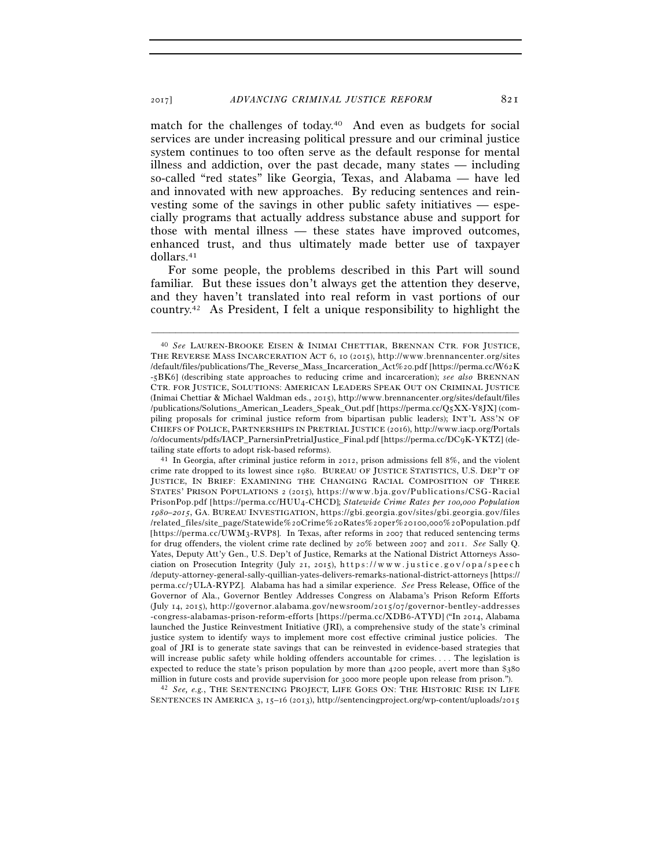match for the challenges of today.40 And even as budgets for social services are under increasing political pressure and our criminal justice system continues to too often serve as the default response for mental illness and addiction, over the past decade, many states — including so-called "red states" like Georgia, Texas, and Alabama — have led and innovated with new approaches. By reducing sentences and reinvesting some of the savings in other public safety initiatives — especially programs that actually address substance abuse and support for those with mental illness — these states have improved outcomes, enhanced trust, and thus ultimately made better use of taxpayer dollars.41

For some people, the problems described in this Part will sound familiar. But these issues don't always get the attention they deserve, and they haven't translated into real reform in vast portions of our country.<sup>42</sup> As President, I felt a unique responsibility to highlight the

–––––––––––––––––––––––––––––––––––––––––––––––––––––––––––––

million in future costs and provide supervision for 3000 more people upon release from prison."). 42 *See, e.g.*, THE SENTENCING PROJECT, LIFE GOES ON: THE HISTORIC RISE IN LIFE SENTENCES IN AMERICA 3, 15-16 (2013), http://sentencingproject.org/wp-content/uploads/2015

<sup>40</sup> *See* LAUREN-BROOKE EISEN & INIMAI CHETTIAR, BRENNAN CTR. FOR JUSTICE, THE REVERSE MASS INCARCERATION ACT 6, 10 (2015), http://www.brennancenter.org/sites /default/files/publications/The\_Reverse\_Mass\_Incarceration\_Act%20.pdf [https://perma.cc/W62K -5BK6] (describing state approaches to reducing crime and incarceration); *see also* BRENNAN CTR. FOR JUSTICE, SOLUTIONS: AMERICAN LEADERS SPEAK OUT ON CRIMINAL JUSTICE (Inimai Chettiar & Michael Waldman eds., 2015), http://www.brennancenter.org/sites/default/files /publications/Solutions\_American\_Leaders\_Speak\_Out.pdf [https://perma.cc/Q5XX-Y8JX] (compiling proposals for criminal justice reform from bipartisan public leaders); INT'L ASS'N OF CHIEFS OF POLICE, PARTNERSHIPS IN PRETRIAL JUSTICE (2016), http://www.iacp.org/Portals /o/documents/pdfs/IACP\_ParnersinPretrialJustice\_Final.pdf [https://perma.cc/DC9K-YKTZ] (detailing state efforts to adopt risk-based reforms). 41 In Georgia, after criminal justice reform in 2012, prison admissions fell 8%, and the violent

crime rate dropped to its lowest since 1980. BUREAU OF JUSTICE STATISTICS, U.S. DEP'T OF JUSTICE, IN BRIEF: EXAMINING THE CHANGING RACIAL COMPOSITION OF THREE STATES' PRISON POPULATIONS  $2$  ( $2015$ ), https://www.bja.gov/Publications/CSG-Racial PrisonPop.pdf [https://perma.cc/HUU4-CHCD]; *Statewide Crime Rates per 100,000 Population*  $1980-2015$ , GA. BUREAU INVESTIGATION, https://gbi.georgia.gov/sites/gbi.georgia.gov/files /related\_files/site\_page/Statewide%20Crime%20Rates%20per%20100,000%20Population.pdf [https://perma.cc/UWM3-RVP8]. In Texas, after reforms in 2007 that reduced sentencing terms for drug offenders, the violent crime rate declined by 20% between 2007 and 2011. *See* Sally Q. Yates, Deputy Att'y Gen., U.S. Dep't of Justice, Remarks at the National District Attorneys Association on Prosecution Integrity (July 21, 2015), https://www.justice.gov/opa/speech /deputy-attorney-general-sally-quillian-yates-delivers-remarks-national-district-attorneys [https:// perma.cc/7ULA-RYPZ]. Alabama has had a similar experience. See Press Release, Office of the Governor of Ala., Governor Bentley Addresses Congress on Alabama's Prison Reform Efforts (July 14, 2015), http://governor.alabama.gov/newsroom/2015/07/governor-bentley-addresses -congress-alabamas-prison-reform-efforts [https://perma.cc/XDB6-ATYD] ("In 2014, Alabama launched the Justice Reinvestment Initiative (JRI), a comprehensive study of the state's criminal justice system to identify ways to implement more cost effective criminal justice policies. The goal of JRI is to generate state savings that can be reinvested in evidence-based strategies that will increase public safety while holding offenders accountable for crimes. . . . The legislation is expected to reduce the state's prison population by more than 4200 people, avert more than \$380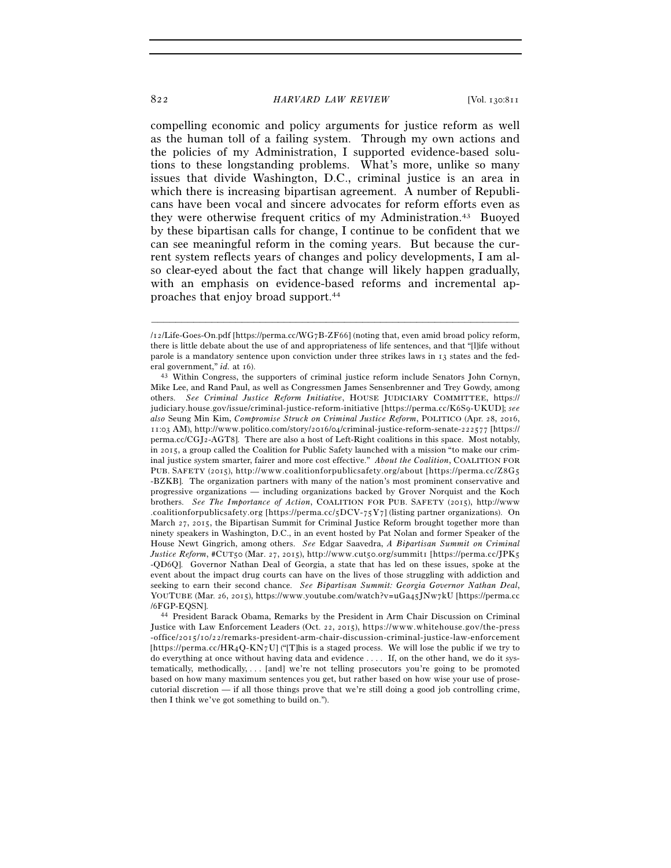compelling economic and policy arguments for justice reform as well as the human toll of a failing system. Through my own actions and the policies of my Administration, I supported evidence-based solutions to these longstanding problems. What's more, unlike so many issues that divide Washington, D.C., criminal justice is an area in which there is increasing bipartisan agreement. A number of Republicans have been vocal and sincere advocates for reform efforts even as they were otherwise frequent critics of my Administration.43 Buoyed by these bipartisan calls for change, I continue to be confident that we can see meaningful reform in the coming years. But because the current system reflects years of changes and policy developments, I am also clear-eyed about the fact that change will likely happen gradually, with an emphasis on evidence-based reforms and incremental approaches that enjoy broad support.44

–––––––––––––––––––––––––––––––––––––––––––––––––––––––––––––

44 President Barack Obama, Remarks by the President in Arm Chair Discussion on Criminal Justice with Law Enforcement Leaders (Oct. 22, 2015), https://www.whitehouse.gov/the-press  $-$ office/2015/10/22/remarks-president-arm-chair-discussion-criminal-justice-law-enforcement [https://perma.cc/HR4Q-KN7U] ("[T]his is a staged process. We will lose the public if we try to do everything at once without having data and evidence . . . . If, on the other hand, we do it systematically, methodically, . . . [and] we're not telling prosecutors you're going to be promoted based on how many maximum sentences you get, but rather based on how wise your use of prosecutorial discretion — if all those things prove that we're still doing a good job controlling crime, then I think we've got something to build on.").

 $/12$ /Life-Goes-On.pdf [https://perma.cc/WG7B-ZF66] (noting that, even amid broad policy reform, there is little debate about the use of and appropriateness of life sentences, and that "[l]ife without parole is a mandatory sentence upon conviction under three strikes laws in 13 states and the federal government," *id.* at 16).  $^{43}$  Within Congress, the supporters of criminal justice reform include Senators John Cornyn,

Mike Lee, and Rand Paul, as well as Congressmen James Sensenbrenner and Trey Gowdy, among others. *See Criminal Justice Reform Initiative*, HOUSE JUDICIARY COMMITTEE, https:// judiciary.house.gov/issue/criminal-justice-reform-initiative [https://perma.cc/K6Sq-UKUD]; see *also* Seung Min Kim, *Compromise Struck on Criminal Justice Reform*, POLITICO (Apr. 28, 2016, 11:03 AM), http://www.politico.com/story/2016/04/criminal-justice-reform-senate-222577 [https:// perma.cc/CGJ2-AGT8]. There are also a host of Left-Right coalitions in this space. Most notably, in 2015, a group called the Coalition for Public Safety launched with a mission "to make our criminal justice system smarter, fairer and more cost effective." *About the Coalition*, COALITION FOR PUB. SAFETY (2015), http://www.coalitionforpublicsafety.org/about [https://perma.cc/Z8G5] -BZKB]. The organization partners with many of the nation's most prominent conservative and progressive organizations — including organizations backed by Grover Norquist and the Koch brothers. *See The Importance of Action*, COALITION FOR PUB. SAFETY (2015), http://www .coalitionforpublicsafety.org [https://perma.cc/5DCV-75Y7] (listing partner organizations). On March 27, 2015, the Bipartisan Summit for Criminal Justice Reform brought together more than ninety speakers in Washington, D.C., in an event hosted by Pat Nolan and former Speaker of the House Newt Gingrich, among others. *See* Edgar Saavedra, *A Bipartisan Summit on Criminal Justice Reform*, #CUT50 (Mar. 27, 2015), http://www.cut50.org/summit1 [https://perma.cc/JPK5 -QD6Q]. Governor Nathan Deal of Georgia, a state that has led on these issues, spoke at the event about the impact drug courts can have on the lives of those struggling with addiction and seeking to earn their second chance. *See Bipartisan Summit: Georgia Governor Nathan Deal*, YOUTUBE (Mar. 26, 2015), https://www.youtube.com/watch?v=uGa45JNw7kU [https://perma.cc /6FGP-EQSN].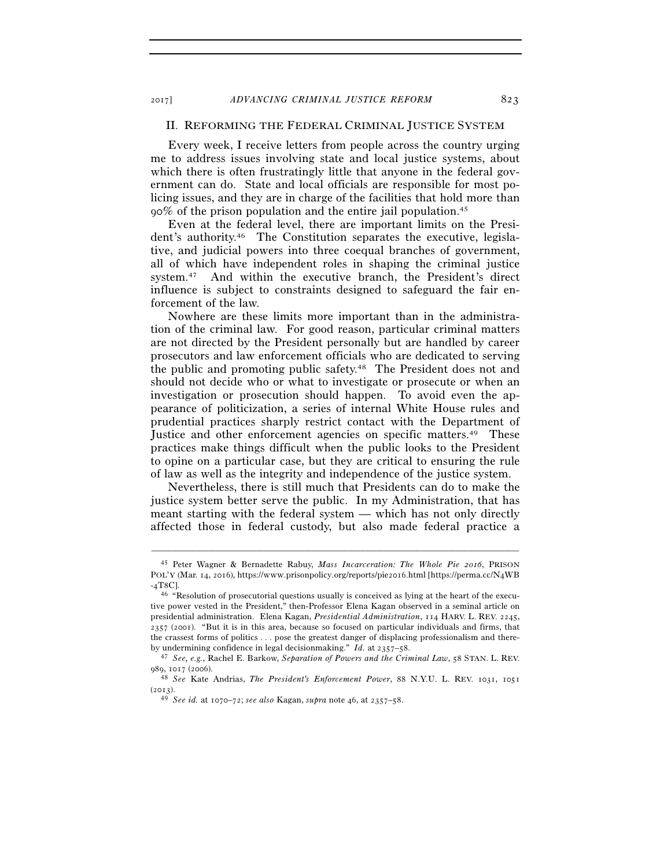# II. REFORMING THE FEDERAL CRIMINAL JUSTICE SYSTEM

Every week, I receive letters from people across the country urging me to address issues involving state and local justice systems, about which there is often frustratingly little that anyone in the federal government can do. State and local officials are responsible for most policing issues, and they are in charge of the facilities that hold more than  $90\%$  of the prison population and the entire jail population.<sup>45</sup>

Even at the federal level, there are important limits on the President's authority.46 The Constitution separates the executive, legislative, and judicial powers into three coequal branches of government, all of which have independent roles in shaping the criminal justice system.47 And within the executive branch, the President's direct influence is subject to constraints designed to safeguard the fair enforcement of the law.

Nowhere are these limits more important than in the administration of the criminal law. For good reason, particular criminal matters are not directed by the President personally but are handled by career prosecutors and law enforcement officials who are dedicated to serving the public and promoting public safety.48 The President does not and should not decide who or what to investigate or prosecute or when an investigation or prosecution should happen. To avoid even the appearance of politicization, a series of internal White House rules and prudential practices sharply restrict contact with the Department of Justice and other enforcement agencies on specific matters.<sup>49</sup> These practices make things difficult when the public looks to the President to opine on a particular case, but they are critical to ensuring the rule of law as well as the integrity and independence of the justice system.

Nevertheless, there is still much that Presidents can do to make the justice system better serve the public. In my Administration, that has meant starting with the federal system — which has not only directly affected those in federal custody, but also made federal practice a

<sup>45</sup> Peter Wagner & Bernadette Rabuy, *Mass Incarceration: The Whole Pie 2016*, PRISON POL'Y (Mar. 14, 2016), https://www.prisonpolicy.org/reports/pie2016.html [https://perma.cc/N4WB -4T8C].

<sup>46</sup> "Resolution of prosecutorial questions usually is conceived as lying at the heart of the executive power vested in the President," then-Professor Elena Kagan observed in a seminal article on presidential administration. Elena Kagan, *Presidential Administration*, 114 HARV. L. REV. 2245, 2357 (2001). "But it is in this area, because so focused on particular individuals and firms, that the crassest forms of politics . . . pose the greatest danger of displacing professionalism and there-

by undermining confidence in legal decisionmaking." *Id.* at 2357–58. 47 *See, e.g.*, Rachel E. Barkow, *Separation of Powers and the Criminal Law*, 58 STAN. L. REV.

<sup>989</sup>, 1017 (2006). 48 *See* Kate Andrias, *The President's Enforcement Power*, 88 N.Y.U. L. REV. 1031, <sup>1051</sup>

<sup>(</sup>2013). 49 *See id.* at 1070–72; *see also* Kagan, *supra* note 46, at 2357–58.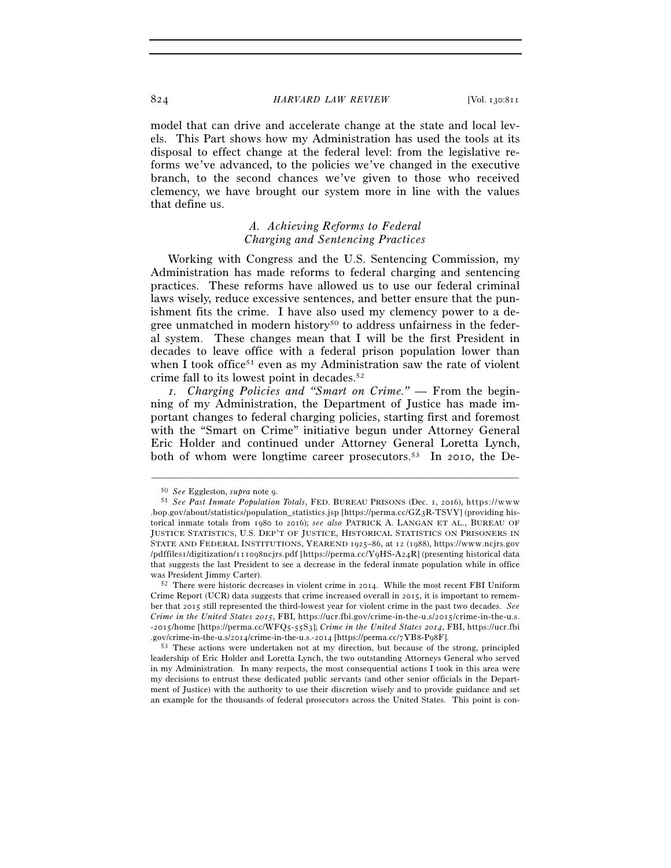model that can drive and accelerate change at the state and local levels. This Part shows how my Administration has used the tools at its disposal to effect change at the federal level: from the legislative reforms we've advanced, to the policies we've changed in the executive branch, to the second chances we've given to those who received clemency, we have brought our system more in line with the values that define us.

# *A. Achieving Reforms to Federal Charging and Sentencing Practices*

Working with Congress and the U.S. Sentencing Commission, my Administration has made reforms to federal charging and sentencing practices. These reforms have allowed us to use our federal criminal laws wisely, reduce excessive sentences, and better ensure that the punishment fits the crime. I have also used my clemency power to a degree unmatched in modern history<sup>50</sup> to address unfairness in the federal system. These changes mean that I will be the first President in decades to leave office with a federal prison population lower than when I took office<sup>51</sup> even as my Administration saw the rate of violent crime fall to its lowest point in decades.52

*1. Charging Policies and "Smart on Crime." —* From the beginning of my Administration, the Department of Justice has made important changes to federal charging policies, starting first and foremost with the "Smart on Crime" initiative begun under Attorney General Eric Holder and continued under Attorney General Loretta Lynch, both of whom were longtime career prosecutors.53 In 2010, the De-

<sup>50</sup> *See* Eggleston, *supra* note 9.<br>51 *See Past Inmate Population Totals*, FED. BUREAU PRISONS (Dec. 1, 2016), https://www . bop.gov/about/statistics/population\_statistics.jsp [https://perma.cc/GZ3R-TSVY] (providing historical inmate totals from 1980 to 2016); *see also* PATRICK A. LANGAN ET AL., BUREAU OF JUSTICE STATISTICS, U.S. DEP'T OF JUSTICE, HISTORICAL STATISTICS ON PRISONERS IN STATE AND FEDERAL INSTITUTIONS, YEAREND 1925-86, at 12 (1988), https://www.ncjrs.gov /pdffiles1/digitization/111098ncjrs.pdf [https://perma.cc/Y9HS-A24R] (presenting historical data that suggests the last President to see a decrease in the federal inmate population while in office was President Jimmy Carter). 52 There were historic decreases in violent crime in 2014. While the most recent FBI Uniform

Crime Report (UCR) data suggests that crime increased overall in 2015, it is important to remember that 2015 still represented the third-lowest year for violent crime in the past two decades. *See Crime in the United States 2015*, FBI, https://ucr.fbi.gov/crime-in-the-u.s/2015/crime-in-the-u.s. -2015/home [https://perma.cc/WFQ5-55S3]; Crime in the United States 2014, FBI, https://ucr.fbi .gov/crime-in-the-u.s/2014/crime-in-the-u.s.-2014 [https://perma.cc/7YB8-P98F].<br><sup>53</sup> These actions were undertaken not at my direction, but because of the strong, principled

leadership of Eric Holder and Loretta Lynch, the two outstanding Attorneys General who served in my Administration. In many respects, the most consequential actions I took in this area were my decisions to entrust these dedicated public servants (and other senior officials in the Department of Justice) with the authority to use their discretion wisely and to provide guidance and set an example for the thousands of federal prosecutors across the United States. This point is con-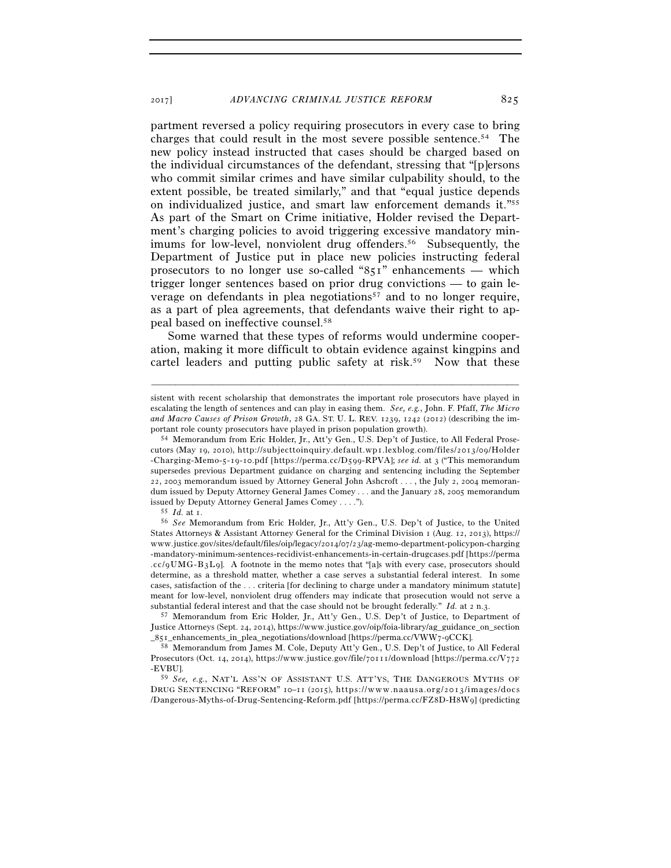partment reversed a policy requiring prosecutors in every case to bring charges that could result in the most severe possible sentence.<sup>54</sup> The new policy instead instructed that cases should be charged based on the individual circumstances of the defendant, stressing that "[p]ersons who commit similar crimes and have similar culpability should, to the extent possible, be treated similarly," and that "equal justice depends on individualized justice, and smart law enforcement demands it."55 As part of the Smart on Crime initiative, Holder revised the Department's charging policies to avoid triggering excessive mandatory minimums for low-level, nonviolent drug offenders.<sup>56</sup> Subsequently, the Department of Justice put in place new policies instructing federal prosecutors to no longer use so-called "851" enhancements — which trigger longer sentences based on prior drug convictions — to gain leverage on defendants in plea negotiations<sup>57</sup> and to no longer require, as a part of plea agreements, that defendants waive their right to appeal based on ineffective counsel.58

Some warned that these types of reforms would undermine cooperation, making it more difficult to obtain evidence against kingpins and cartel leaders and putting public safety at risk.<sup>59</sup> Now that these

–––––––––––––––––––––––––––––––––––––––––––––––––––––––––––––

59 *See, e.g.*, NAT'L ASS'N OF ASSISTANT U.S. ATT'YS, THE DANGEROUS MYTHS OF DRUG SENTENCING "REFORM" 10-11 (2015), https://www.naausa.org/2013/images/docs /Dangerous-Myths-of-Drug-Sentencing-Reform.pdf [https://perma.cc/FZ8D-H8W9] (predicting

sistent with recent scholarship that demonstrates the important role prosecutors have played in escalating the length of sentences and can play in easing them. *See, e.g.*, John. F. Pfaff, *The Micro and Macro Causes of Prison Growth*, 28 GA. ST. U. L. REV. 1239, 1242 (2012) (describing the important role county prosecutors have played in prison population growth). 54 Memorandum from Eric Holder, Jr., Att'y Gen., U.S. Dep't of Justice, to All Federal Prose-

cutors (May 19, 2010), http://subjecttoinquiry.default.wp1.lexblog.com/files/2013/09/Holder - Charging-Memo-5-19-10.pdf [https://perma.cc/D599-RPVA]; see *id.* at 3 ("This memorandum supersedes previous Department guidance on charging and sentencing including the September 22, 2003 memorandum issued by Attorney General John Ashcroft . . . , the July 2, 2004 memorandum issued by Deputy Attorney General James Comey . . . and the January 28, 2005 memorandum issued by Deputy Attorney General James Comey . . . .").

issued by Deputy Attorney General James Comey . . . ."). 55 *Id.* at 1. 56 *See* Memorandum from Eric Holder, Jr., Att'y Gen., U.S. Dep't of Justice, to the United States Attorneys & Assistant Attorney General for the Criminal Division 1 (Aug. 12, 2013), https:// www.justice.gov/sites/default/files/oip/legacy/2014/07/23/ag-memo-department-policypon-charging -mandatory-minimum-sentences-recidivist-enhancements-in-certain-drugcases.pdf [https://perma  $\cdot$ cc/ $\cdot$ UMG-B3L $\cdot$ I. A footnote in the memo notes that "[a]s with every case, prosecutors should determine, as a threshold matter, whether a case serves a substantial federal interest. In some cases, satisfaction of the . . . criteria [for declining to charge under a mandatory minimum statute] meant for low-level, nonviolent drug offenders may indicate that prosecution would not serve a substantial federal interest and that the case should not be brought federally." *Id.* at 2 n.3.<br><sup>57</sup> Memorandum from Eric Holder, Jr., Att'y Gen., U.S. Dep't of Justice, to Department of

Justice Attorneys (Sept. 24, 2014), https://www.justice.gov/oip/foia-library/ag\_guidance\_on\_section \_851\_enhancements\_in\_plea\_negotiations/download [https://perma.cc/VWW7-9CCK]. 58 Memorandum from James M. Cole, Deputy Att'y Gen., U.S. Dep't of Justice, to All Federal

Prosecutors (Oct. 14, 2014), https://www.justice.gov/file/70111/download [https://perma.cc/V772 -EVBU].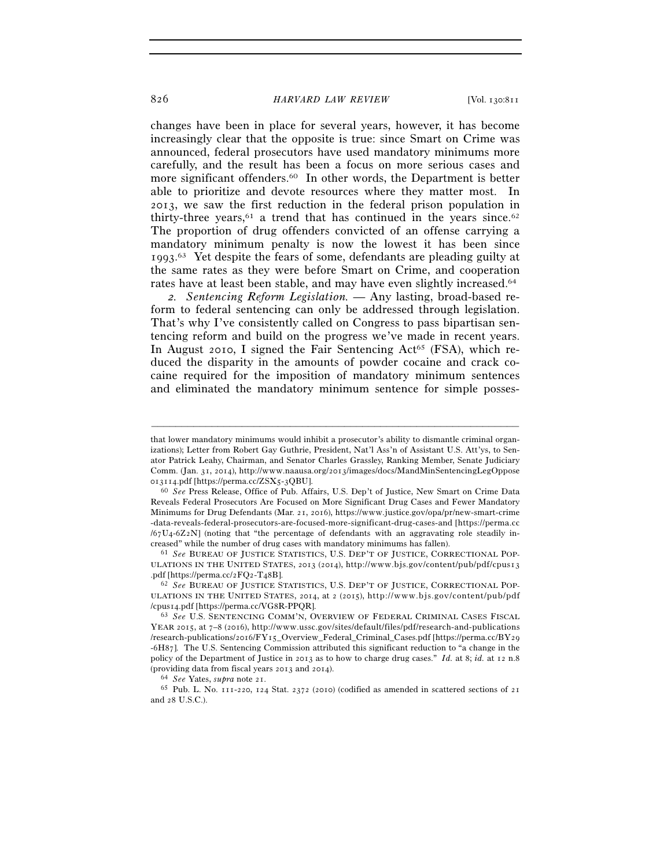changes have been in place for several years, however, it has become increasingly clear that the opposite is true: since Smart on Crime was announced, federal prosecutors have used mandatory minimums more carefully, and the result has been a focus on more serious cases and more significant offenders.<sup>60</sup> In other words, the Department is better able to prioritize and devote resources where they matter most. In 2013, we saw the first reduction in the federal prison population in thirty-three years, $61$  a trend that has continued in the years since. $62$ The proportion of drug offenders convicted of an offense carrying a mandatory minimum penalty is now the lowest it has been since 1993. 63 Yet despite the fears of some, defendants are pleading guilty at the same rates as they were before Smart on Crime, and cooperation rates have at least been stable, and may have even slightly increased.<sup>64</sup>

*2. Sentencing Reform Legislation. —* Any lasting, broad-based reform to federal sentencing can only be addressed through legislation. That's why I've consistently called on Congress to pass bipartisan sentencing reform and build on the progress we've made in recent years. In August 2010, I signed the Fair Sentencing Act<sup>65</sup> (FSA), which reduced the disparity in the amounts of powder cocaine and crack cocaine required for the imposition of mandatory minimum sentences and eliminated the mandatory minimum sentence for simple posses-

–––––––––––––––––––––––––––––––––––––––––––––––––––––––––––––

ULATIONS IN THE UNITED STATES, 2013 (2014), http://www.bjs.gov/content/pub/pdf/cpus13 .pdf [https://perma.cc/2FQ2-T48B]. 62 *See* BUREAU OF JUSTICE STATISTICS, U.S. DEP'T OF JUSTICE, CORRECTIONAL POP-

ULATIONS IN THE UNITED STATES, 2014, at 2 (2015), http://www.bjs.gov/content/pub/pdf /cpus14.pdf [https://perma.cc/VG8R-PPQR]. 63 *See* U.S. SENTENCING COMM'N, OVERVIEW OF FEDERAL CRIMINAL CASES FISCAL

<sup>65</sup> Pub. L. No. 111-220, 124 Stat. 2372 (2010) (codified as amended in scattered sections of 21 and 28 U.S.C.).

that lower mandatory minimums would inhibit a prosecutor's ability to dismantle criminal organizations); Letter from Robert Gay Guthrie, President, Nat'l Ass'n of Assistant U.S. Att'ys, to Senator Patrick Leahy, Chairman, and Senator Charles Grassley, Ranking Member, Senate Judiciary Comm. (Jan. 31, 2014), http://www.naausa.org/2013/images/docs/MandMinSentencingLegOppose <sup>013114</sup>.pdf [https://perma.cc/ZSX5-3QBU]. 60 *See* Press Release, Office of Pub. Affairs, U.S. Dep't of Justice, New Smart on Crime Data

Reveals Federal Prosecutors Are Focused on More Significant Drug Cases and Fewer Mandatory Minimums for Drug Defendants (Mar. 21, 2016), https://www.justice.gov/opa/pr/new-smart-crime -data-reveals-federal-prosecutors-are-focused-more-significant-drug-cases-and [https://perma.cc  $/67U_4$ -6Z2N] (noting that "the percentage of defendants with an aggravating role steadily increased" while the number of drug cases with mandatory minimums has fallen). 61 *See* BUREAU OF JUSTICE STATISTICS, U.S. DEP'T OF JUSTICE, CORRECTIONAL POP-

YEAR 2015, at  $7-8$  (2016), http://www.ussc.gov/sites/default/files/pdf/research-and-publications /research-publications/2016/FY15\_Overview\_Federal\_Criminal\_Cases.pdf [https://perma.cc/BY29 -6H87]. The U.S. Sentencing Commission attributed this significant reduction to "a change in the policy of the Department of Justice in 2013 as to how to charge drug cases." *Id.* at 8; *id.* at 12 n.8 (providing data from fiscal years 2013 and 2014). 64 *See* Yates, *supra* note 21.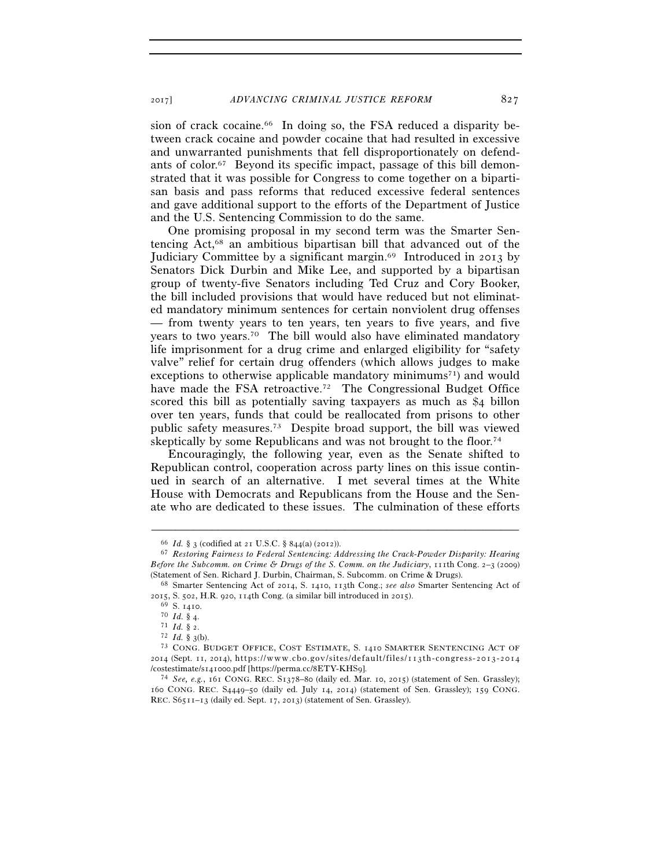sion of crack cocaine.<sup>66</sup> In doing so, the FSA reduced a disparity between crack cocaine and powder cocaine that had resulted in excessive and unwarranted punishments that fell disproportionately on defendants of color.67 Beyond its specific impact, passage of this bill demonstrated that it was possible for Congress to come together on a bipartisan basis and pass reforms that reduced excessive federal sentences and gave additional support to the efforts of the Department of Justice and the U.S. Sentencing Commission to do the same.

One promising proposal in my second term was the Smarter Sentencing Act,68 an ambitious bipartisan bill that advanced out of the Judiciary Committee by a significant margin.69 Introduced in 2013 by Senators Dick Durbin and Mike Lee, and supported by a bipartisan group of twenty-five Senators including Ted Cruz and Cory Booker, the bill included provisions that would have reduced but not eliminated mandatory minimum sentences for certain nonviolent drug offenses — from twenty years to ten years, ten years to five years, and five years to two years.70 The bill would also have eliminated mandatory life imprisonment for a drug crime and enlarged eligibility for "safety valve" relief for certain drug offenders (which allows judges to make exceptions to otherwise applicable mandatory minimums<sup>71</sup>) and would have made the FSA retroactive.<sup>72</sup> The Congressional Budget Office scored this bill as potentially saving taxpayers as much as \$4 billon over ten years, funds that could be reallocated from prisons to other public safety measures.73 Despite broad support, the bill was viewed skeptically by some Republicans and was not brought to the floor.<sup>74</sup>

Encouragingly, the following year, even as the Senate shifted to Republican control, cooperation across party lines on this issue continued in search of an alternative. I met several times at the White House with Democrats and Republicans from the House and the Senate who are dedicated to these issues. The culmination of these efforts

<sup>66</sup> *Id.* § 3 (codified at 21 U.S.C. § 844(a) (2012)). 67 *Restoring Fairness to Federal Sentencing: Addressing the Crack-Powder Disparity: Hearing Before the Subcomm. on Crime & Drugs of the S. Comm. on the Judiciary*, 111th Cong. 2–3 (2009)

<sup>(</sup>Statement of Sen. Richard J. Durbin, Chairman, S. Subcomm. on Crime & Drugs). 68 Smarter Sentencing Act of 2014, S. 1410, 113th Cong.; *see also* Smarter Sentencing Act of

<sup>&</sup>lt;sup>69</sup> S. 1410.<br><sup>70</sup> *Id.* § 4.<br><sup>71</sup> *Id.* § 2. 72 *Id.* § 3(b). 73 CONG. BUDGET OFFICE, COST ESTIMATE, S. 1410 SMARTER SENTENCING ACT OF 2014 (Sept. 11, 2014), https://www.cbo.gov/sites/default/files/113th-congress-2013-2014 /costestimate/s141000.pdf [https://perma.cc/8ETY-KHS9]. 74 *See, e.g.*, 161 CONG. REC. S1378–80 (daily ed. Mar. 10, 2015) (statement of Sen. Grassley);

<sup>160</sup> CONG. REC. S4449–50 (daily ed. July 14, 2014) (statement of Sen. Grassley); 159 CONG. REC. S6511–13 (daily ed. Sept. 17, 2013) (statement of Sen. Grassley).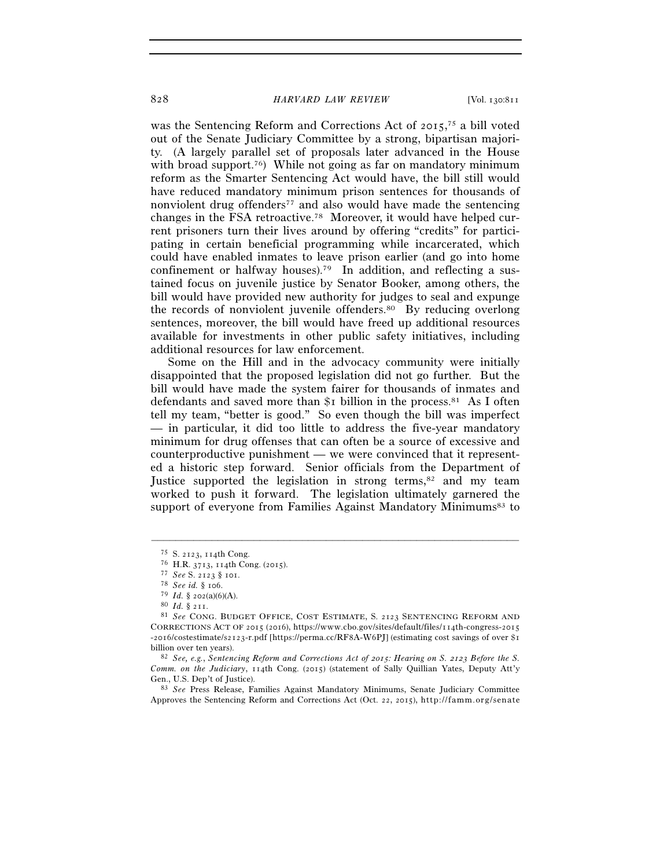was the Sentencing Reform and Corrections Act of 2015, 75 a bill voted out of the Senate Judiciary Committee by a strong, bipartisan majority. (A largely parallel set of proposals later advanced in the House with broad support.<sup>76</sup>) While not going as far on mandatory minimum reform as the Smarter Sentencing Act would have, the bill still would have reduced mandatory minimum prison sentences for thousands of nonviolent drug offenders<sup>77</sup> and also would have made the sentencing changes in the FSA retroactive.78 Moreover, it would have helped current prisoners turn their lives around by offering "credits" for participating in certain beneficial programming while incarcerated, which could have enabled inmates to leave prison earlier (and go into home confinement or halfway houses).79 In addition, and reflecting a sustained focus on juvenile justice by Senator Booker, among others, the bill would have provided new authority for judges to seal and expunge the records of nonviolent juvenile offenders.80 By reducing overlong sentences, moreover, the bill would have freed up additional resources available for investments in other public safety initiatives, including additional resources for law enforcement.

Some on the Hill and in the advocacy community were initially disappointed that the proposed legislation did not go further. But the bill would have made the system fairer for thousands of inmates and defendants and saved more than  $\S$ I billion in the process.<sup>81</sup> As I often tell my team, "better is good." So even though the bill was imperfect — in particular, it did too little to address the five-year mandatory minimum for drug offenses that can often be a source of excessive and counterproductive punishment — we were convinced that it represented a historic step forward. Senior officials from the Department of Justice supported the legislation in strong terms,<sup>82</sup> and my team worked to push it forward. The legislation ultimately garnered the support of everyone from Families Against Mandatory Minimums<sup>83</sup> to

<sup>&</sup>lt;sup>75</sup> S. 2123, 114th Cong.<br><sup>76</sup> H.R. 3713, 114th Cong. (2015).<br><sup>77</sup> See S. 2123 § 101.<br><sup>78</sup> See id. § 106.<br><sup>79</sup> Id. § 202(a)(6)(A).<br><sup>80</sup> Id. § 211.<br><sup>81</sup> See CONG. BUDGET OFFICE, COST ESTIMATE, S. 2123 SENTENCING REFORM AND CORRECTIONS ACT OF 2015 (2016), https://www.cbo.gov/sites/default/files/114th-congress-2015 -2016/costestimate/s2123-r.pdf [https://perma.cc/RF8A-W6PJ] (estimating cost savings of over \$1 billion over ten years). 82 *See, e.g.*, *Sentencing Reform and Corrections Act of 2015: Hearing on S. 2123 Before the S.* 

*Comm. on the Judiciary*, 114th Cong. (2015) (statement of Sally Quillian Yates, Deputy Att'y Gen., U.S. Dep't of Justice). 83 *See* Press Release, Families Against Mandatory Minimums, Senate Judiciary Committee

Approves the Sentencing Reform and Corrections Act (Oct. 22, 2015), http://famm.org/senate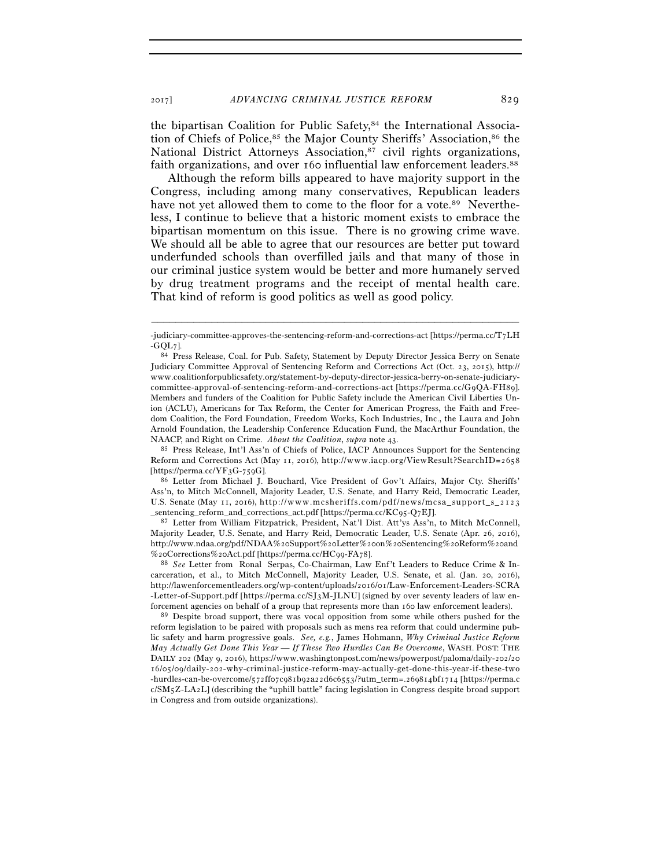the bipartisan Coalition for Public Safety,<sup>84</sup> the International Association of Chiefs of Police,<sup>85</sup> the Major County Sheriffs' Association,<sup>86</sup> the National District Attorneys Association,<sup>87</sup> civil rights organizations, faith organizations, and over 160 influential law enforcement leaders.<sup>88</sup>

Although the reform bills appeared to have majority support in the Congress, including among many conservatives, Republican leaders have not yet allowed them to come to the floor for a vote.<sup>89</sup> Nevertheless, I continue to believe that a historic moment exists to embrace the bipartisan momentum on this issue. There is no growing crime wave. We should all be able to agree that our resources are better put toward underfunded schools than overfilled jails and that many of those in our criminal justice system would be better and more humanely served by drug treatment programs and the receipt of mental health care. That kind of reform is good politics as well as good policy.

NAACP, and Right on Crime. *About the Coalition*, *supra* note 43. 85 Press Release, Int'l Ass'n of Chiefs of Police, IACP Announces Support for the Sentencing Reform and Corrections Act (May 11, 2016), http://www.iacp.org/ViewResult?SearchID=2658 [https://perma.cc/YF3G-759G]. 86 Letter from Michael J. Bouchard, Vice President of Gov't Affairs, Major Cty. Sheriffs'

Ass'n, to Mitch McConnell, Majority Leader, U.S. Senate, and Harry Reid, Democratic Leader, U.S. Senate (May 11, 2016), http://www.mcsheriffs.com/pdf/news/mcsa\_support\_s\_2123<br>\_sentencing\_reform\_and\_corrections\_act.pdf [https://perma.cc/KC95-Q7EJ].

87 Letter from William Fitzpatrick, President, Nat'l Dist. Att'ys Ass'n, to Mitch McConnell, Majority Leader, U.S. Senate, and Harry Reid, Democratic Leader, U.S. Senate (Apr. 26, 2016), http://www.ndaa.org/pdf/NDAA%20Support%20Letter%200n%20Sentencing%20Reform%20and %20Corrections%20Act.pdf [https://perma.cc/HC99-FA78]. 88 *See* Letter from Ronal Serpas, Co-Chairman, Law Enf't Leaders to Reduce Crime & In-

<sup>–––––––––––––––––––––––––––––––––––––––––––––––––––––––––––––</sup> -judiciary-committee-approves-the-sentencing-reform-and-corrections-act [https://perma.cc/T7LH -GQL7]. 84 Press Release, Coal. for Pub. Safety, Statement by Deputy Director Jessica Berry on Senate

Judiciary Committee Approval of Sentencing Reform and Corrections Act (Oct. 23, 2015), http:// www.coalitionforpublicsafety.org/statement-by-deputy-director-jessica-berry-on-senate-judiciarycommittee-approval-of-sentencing-reform-and-corrections-act [https://perma.cc/G9QA-FH89]. Members and funders of the Coalition for Public Safety include the American Civil Liberties Union (ACLU), Americans for Tax Reform, the Center for American Progress, the Faith and Freedom Coalition, the Ford Foundation, Freedom Works, Koch Industries, Inc., the Laura and John Arnold Foundation, the Leadership Conference Education Fund, the MacArthur Foundation, the

carceration, et al., to Mitch McConnell, Majority Leader, U.S. Senate, et al. (Jan. 20, 2016), http://lawenforcementleaders.org/wp-content/uploads/2016/01/Law-Enforcement-Leaders-SCRA -Letter-of-Support.pdf [https://perma.cc/SJ3M-JLNU] (signed by over seventy leaders of law en-

forcement agencies on behalf of a group that represents more than 160 law enforcement leaders). 89 Despite broad support, there was vocal opposition from some while others pushed for the reform legislation to be paired with proposals such as mens rea reform that could undermine public safety and harm progressive goals. *See, e.g.*, James Hohmann, *Why Criminal Justice Reform May Actually Get Done This Year — If These Two Hurdles Can Be Overcome*, WASH. POST: THE DAILY 202 (May 9, 2016), https://www.washingtonpost.com/news/powerpost/paloma/daily-202/20 16/05/09/daily-202-why-criminal-justice-reform-may-actually-get-done-this-year-if-these-two  $-$  hurdles-can-be-overcome/572ff07c981b92a22d6c6553/?utm\_term=.269814bf1714 [https://perma.c  $c/SM<sub>5</sub>Z-LA<sub>2</sub>L$ ] (describing the "uphill battle" facing legislation in Congress despite broad support in Congress and from outside organizations).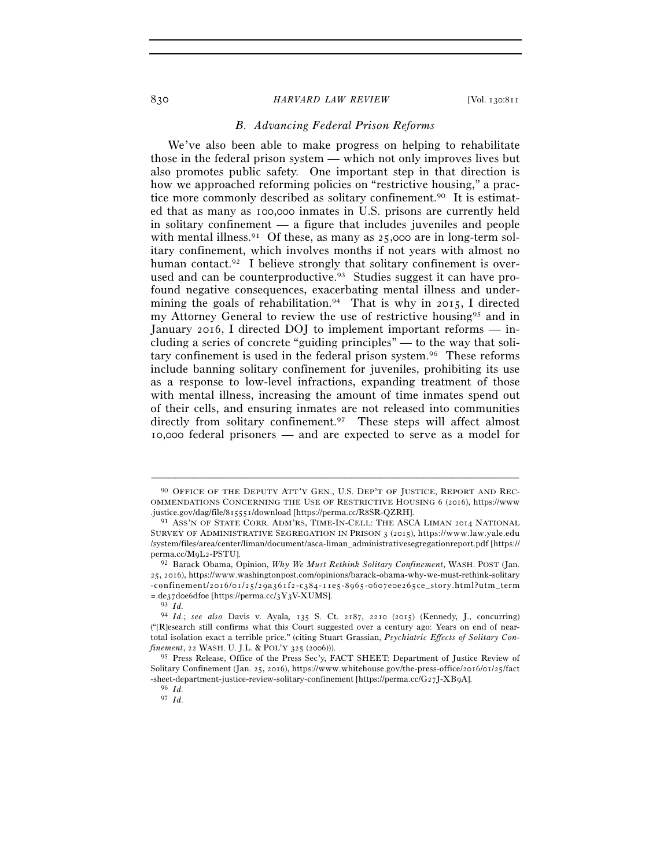# *B. Advancing Federal Prison Reforms*

We've also been able to make progress on helping to rehabilitate those in the federal prison system — which not only improves lives but also promotes public safety. One important step in that direction is how we approached reforming policies on "restrictive housing," a practice more commonly described as solitary confinement.90 It is estimated that as many as 100,000 inmates in U.S. prisons are currently held in solitary confinement — a figure that includes juveniles and people with mental illness.<sup>91</sup> Of these, as many as  $25,000$  are in long-term solitary confinement, which involves months if not years with almost no human contact.<sup>92</sup> I believe strongly that solitary confinement is overused and can be counterproductive.<sup>93</sup> Studies suggest it can have profound negative consequences, exacerbating mental illness and undermining the goals of rehabilitation.<sup>94</sup> That is why in 2015, I directed my Attorney General to review the use of restrictive housing95 and in January 2016, I directed DOJ to implement important reforms — including a series of concrete "guiding principles" — to the way that solitary confinement is used in the federal prison system.96 These reforms include banning solitary confinement for juveniles, prohibiting its use as a response to low-level infractions, expanding treatment of those with mental illness, increasing the amount of time inmates spend out of their cells, and ensuring inmates are not released into communities directly from solitary confinement.<sup>97</sup> These steps will affect almost 10,000 federal prisoners — and are expected to serve as a model for

<sup>90</sup> OFFICE OF THE DEPUTY ATT'Y GEN., U.S. DEP'T OF JUSTICE, REPORT AND REC-OMMENDATIONS CONCERNING THE USE OF RESTRICTIVE HOUSING 6 (2016), https://www .justice.gov/dag/file/815551/download [https://perma.cc/R8SR-QZRH]. 91 ASS'N OF STATE CORR. ADM'RS, TIME-IN-CELL: THE ASCA LIMAN <sup>2014</sup> NATIONAL

SURVEY OF ADMINISTRATIVE SEGREGATION IN PRISON 3 (2015), https://www.law.yale.edu //system/files/area/center/liman/document/asca-liman\_administrativesegregationreport.pdf [https:// perma.cc/M9L2-PSTU]. 92 Barack Obama, Opinion, *Why We Must Rethink Solitary Confinement*, WASH. POST (Jan.

<sup>25, 2016),</sup> https://www.washingtonpost.com/opinions/barack-obama-why-we-must-rethink-solitary -confinement/2016/01/25/29a361f2-c384-11e5-8965-0607e0e265ce\_story.html?utm\_term  $\sim$ .de37doe6dfoe [https://perma.cc/3Y3V-XUMS].  $^{93}$   $Id$ 

<sup>94</sup> *Id.*; *see also* Davis v. Ayala*,* 135 S. Ct. 2187, 2210 (2015) (Kennedy, J., concurring) ("[R]esearch still confirms what this Court suggested over a century ago: Years on end of neartotal isolation exact a terrible price." (citing Stuart Grassian, *Psychiatric Effects of Solitary Confinement*, 22 WASH. U. J.L. & POL'Y 325 (2006))).

<sup>95</sup> Press Release, Office of the Press Sec'y, FACT SHEET: Department of Justice Review of Solitary Confinement (Jan. 25, 2016), https://www.whitehouse.gov/the-press-office/2016/01/25/fact -sheet-department-justice-review-solitary-confinement [https://perma.cc/G27J-XB9A]. 96 *Id.*

<sup>97</sup> *Id.*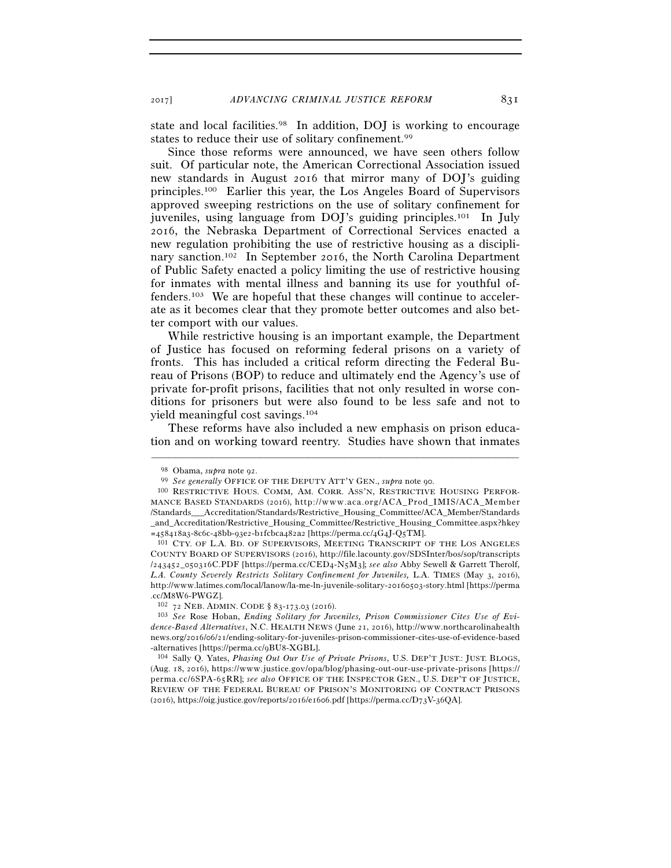2017] *ADVANCING CRIMINAL JUSTICE REFORM* 831

state and local facilities.98 In addition, DOJ is working to encourage states to reduce their use of solitary confinement.99

Since those reforms were announced, we have seen others follow suit. Of particular note, the American Correctional Association issued new standards in August 2016 that mirror many of DOJ's guiding principles.100 Earlier this year, the Los Angeles Board of Supervisors approved sweeping restrictions on the use of solitary confinement for juveniles, using language from DOJ's guiding principles.101 In July 2016, the Nebraska Department of Correctional Services enacted a new regulation prohibiting the use of restrictive housing as a disciplinary sanction.102 In September 2016, the North Carolina Department of Public Safety enacted a policy limiting the use of restrictive housing for inmates with mental illness and banning its use for youthful offenders.103 We are hopeful that these changes will continue to accelerate as it becomes clear that they promote better outcomes and also better comport with our values.

While restrictive housing is an important example, the Department of Justice has focused on reforming federal prisons on a variety of fronts. This has included a critical reform directing the Federal Bureau of Prisons (BOP) to reduce and ultimately end the Agency's use of private for-profit prisons, facilities that not only resulted in worse conditions for prisoners but were also found to be less safe and not to yield meaningful cost savings.104

These reforms have also included a new emphasis on prison education and on working toward reentry. Studies have shown that inmates

<sup>&</sup>lt;sup>98</sup> Obama, *supra* note 92.<br><sup>99</sup> *See generally* OFFICE OF THE DEPUTY ATT'Y GEN., *supra* note 90.<br><sup>100</sup> RESTRICTIVE HOUS. COMM, AM. CORR. ASS'N, RESTRICTIVE HOUSING PERFOR-

MANCE BASED STANDARDS (2016), http://www.aca.org/ACA\_Prod\_IMIS/ACA\_Member / S t a n d a r d s \_ \_ \_ A c c r e d i t a t i o n / S t a n d a r d s / R e s t r i c t i v e \_ H o u s i n g \_ C o m m i t t e e / A C A \_ M e m b e r / S t a n d a r d s \_and\_Accreditation/Restrictive\_Housing\_Committee/Restrictive\_Housing\_Committee.aspx?hkey =458418a3-8c6c-48bb-93e2-b1fcbca482a2 [https://perma.cc/4G4J-Q5TM].

<sup>101</sup> CTY. OF L.A. BD. OF SUPERVISORS, MEETING TRANSCRIPT OF THE LOS ANGELES COUNTY BOARD OF SUPERVISORS (2016), http://file.lacounty.gov/SDSInter/bos/sop/transcripts  $/243452$   $050316$  C.PDF [https://perma.cc/CED4-N5M3]; *see also* Abby Sewell & Garrett Therolf, *L.A. County Severely Restricts Solitary Confinement for Juveniles,* L.A. TIMES (May 3, 2016), http://www.latimes.com/local/lanow/la-me-ln-juvenile-solitary-20160503-story.html [https://perma .cc/M8W6-PWGZ]. 102 <sup>72</sup> NEB. ADMIN. CODE § 83-173.03 (2016). 103 *See* Rose Hoban, *Ending Solitary for Juveniles, Prison Commissioner Cites Use of Evi-*

*dence-Based Alternatives*, N.C. HEALTH NEWS (June 21, 2016), http://www.northcarolinahealth news.org/2016/06/21/ending-solitary-for-juveniles-prison-commissioner-cites-use-of-evidence-based -alternatives [https://perma.cc/9BU8-XGBL].

<sup>104</sup> Sally Q. Yates, *Phasing Out Our Use of Private Prisons*, U.S. DEP'T JUST.: JUST. BLOGS, (Aug. 18, 2016), https://www.justice.gov/opa/blog/phasing-out-our-use-private-prisons [https:// perma.cc/6SPA-65RR]; see also OFFICE OF THE INSPECTOR GEN., U.S. DEP'T OF JUSTICE, REVIEW OF THE FEDERAL BUREAU OF PRISON'S MONITORING OF CONTRACT PRISONS (2016), https://oig.justice.gov/reports/2016/e1606.pdf [https://perma.cc/D73V-36QA].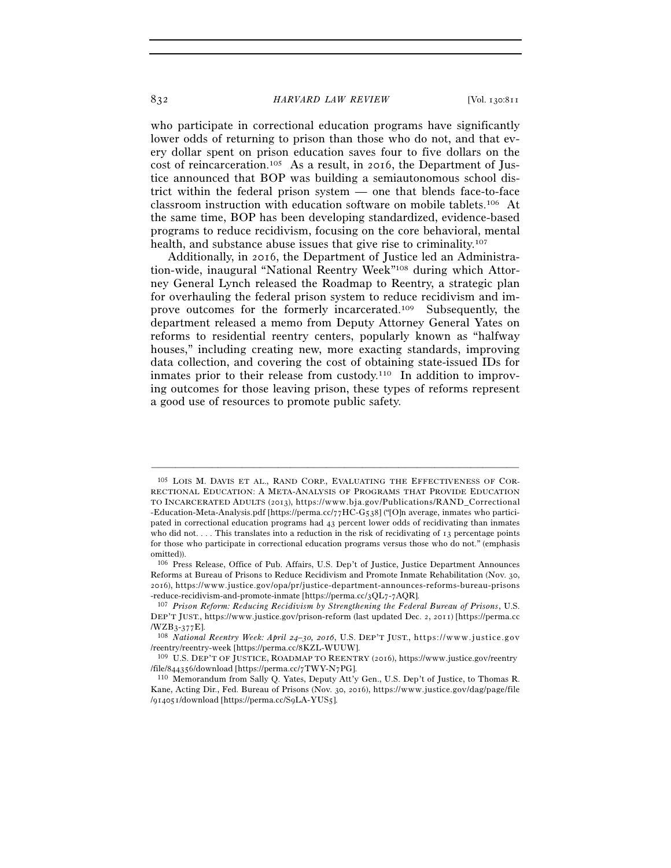who participate in correctional education programs have significantly lower odds of returning to prison than those who do not, and that every dollar spent on prison education saves four to five dollars on the cost of reincarceration.<sup>105</sup> As a result, in 2016, the Department of Justice announced that BOP was building a semiautonomous school district within the federal prison system — one that blends face-to-face classroom instruction with education software on mobile tablets.106 At the same time, BOP has been developing standardized, evidence-based programs to reduce recidivism, focusing on the core behavioral, mental health, and substance abuse issues that give rise to criminality.<sup>107</sup>

Additionally, in 2016, the Department of Justice led an Administration-wide, inaugural "National Reentry Week"108 during which Attorney General Lynch released the Roadmap to Reentry, a strategic plan for overhauling the federal prison system to reduce recidivism and improve outcomes for the formerly incarcerated.109 Subsequently, the department released a memo from Deputy Attorney General Yates on reforms to residential reentry centers, popularly known as "halfway houses," including creating new, more exacting standards, improving data collection, and covering the cost of obtaining state-issued IDs for inmates prior to their release from custody.<sup>110</sup> In addition to improving outcomes for those leaving prison, these types of reforms represent a good use of resources to promote public safety.

<sup>105</sup> LOIS M. DAVIS ET AL., RAND CORP., EVALUATING THE EFFECTIVENESS OF COR-RECTIONAL EDUCATION: A META-ANALYSIS OF PROGRAMS THAT PROVIDE EDUCATION TO INCARCERATED ADULTS (2013), https://www.bja.gov/Publications/RAND\_Correctional - Education-Meta-Analysis.pdf [https://perma.cc/77HC-G538] ("[O]n average, inmates who participated in correctional education programs had 43 percent lower odds of recidivating than inmates who did not. . . . This translates into a reduction in the risk of recidivating of 13 percentage points for those who participate in correctional education programs versus those who do not." (emphasis omitted)).

<sup>106</sup> Press Release, Office of Pub. Affairs, U.S. Dep't of Justice, Justice Department Announces Reforms at Bureau of Prisons to Reduce Recidivism and Promote Inmate Rehabilitation (Nov. 30, 2016), https://www.justice.gov/opa/pr/justice-department-announces-reforms-bureau-prisons

<sup>-</sup>reduce-recidivism-and-promote-inmate [https://perma.cc/3QL7-7AQR]. 107 *Prison Reform: Reducing Recidivism by Strengthening the Federal Bureau of Prisons*, U.S. DEP'T JUST., https://www.justice.gov/prison-reform (last updated Dec. 2, 2011) [https://perma.cc /WZB3-377E]. 108 *National Reentry Week: April 24–30, 2016*, U.S. DEP'T JUST., h t t p s : / / w w w . j u s t i c e . g o v

<sup>/</sup>reentry/reentry-week [https://perma.cc/8KZL-WUUW].<br><sup>109</sup> U.S. DEP'T OF JUSTICE, ROADMAP TO REENTRY (2016), https://www.justice.gov/reentry

<sup>/</sup>file/844356/download [https://perma.cc/7TWY-N7PG]. 110 Memorandum from Sally Q. Yates, Deputy Att'y Gen., U.S. Dep't of Justice, to Thomas R.

Kane, Acting Dir., Fed. Bureau of Prisons (Nov. 30, 2016), https://www.justice.gov/dag/page/file /914051/download [https://perma.cc/S9LA-YUS5].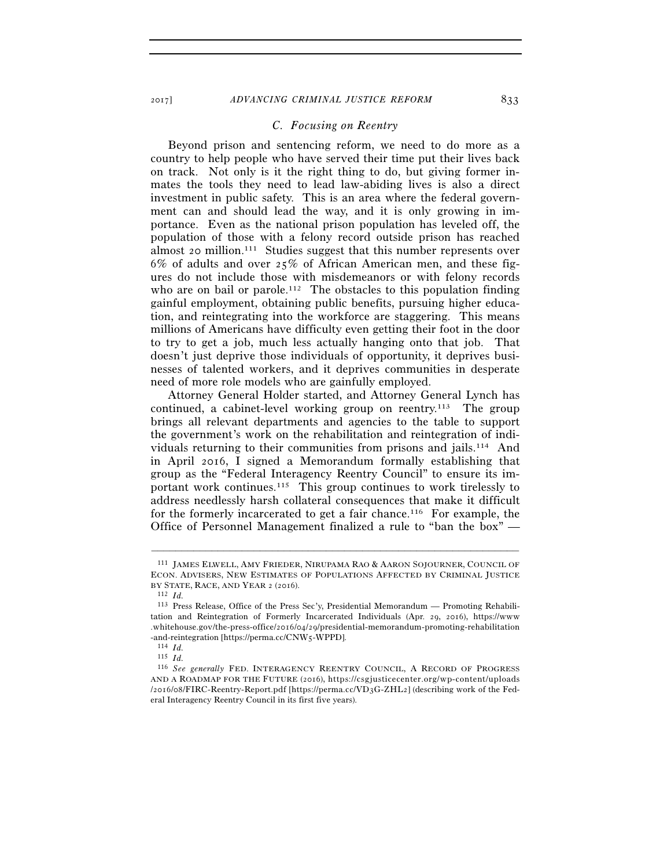2017] *ADVANCING CRIMINAL JUSTICE REFORM* 833

#### *C. Focusing on Reentry*

Beyond prison and sentencing reform, we need to do more as a country to help people who have served their time put their lives back on track. Not only is it the right thing to do, but giving former inmates the tools they need to lead law-abiding lives is also a direct investment in public safety. This is an area where the federal government can and should lead the way, and it is only growing in importance. Even as the national prison population has leveled off, the population of those with a felony record outside prison has reached almost 20 million.111 Studies suggest that this number represents over 6% of adults and over 25% of African American men, and these figures do not include those with misdemeanors or with felony records who are on bail or parole.<sup>112</sup> The obstacles to this population finding gainful employment, obtaining public benefits, pursuing higher education, and reintegrating into the workforce are staggering. This means millions of Americans have difficulty even getting their foot in the door to try to get a job, much less actually hanging onto that job. That doesn't just deprive those individuals of opportunity, it deprives businesses of talented workers, and it deprives communities in desperate need of more role models who are gainfully employed.

Attorney General Holder started, and Attorney General Lynch has continued, a cabinet-level working group on reentry.<sup>113</sup> The group brings all relevant departments and agencies to the table to support the government's work on the rehabilitation and reintegration of individuals returning to their communities from prisons and jails.114 And in April 2016, I signed a Memorandum formally establishing that group as the "Federal Interagency Reentry Council" to ensure its important work continues.115 This group continues to work tirelessly to address needlessly harsh collateral consequences that make it difficult for the formerly incarcerated to get a fair chance.116 For example, the Office of Personnel Management finalized a rule to "ban the box" —

<sup>111</sup> JAMES ELWELL, AMY FRIEDER, NIRUPAMA RAO & AARON SOJOURNER, COUNCIL OF ECON. ADVISERS, NEW ESTIMATES OF POPULATIONS AFFECTED BY CRIMINAL JUSTICE BY STATE, RACE, AND YEAR <sup>2</sup> (2016). 112 *Id.*

<sup>113</sup> Press Release, Office of the Press Sec'y, Presidential Memorandum — Promoting Rehabilitation and Reintegration of Formerly Incarcerated Individuals (Apr. 29, 2016), https://www .whitehouse.gov/the-press-office/2016/04/29/presidential-memorandum-promoting-rehabilitation -and-reintegration [https://perma.cc/CNW5-WPPD]. 114 *Id.*

<sup>115</sup> *Id.* 

<sup>116</sup> *See generally* FED. INTERAGENCY REENTRY COUNCIL, A RECORD OF PROGRESS AND A ROADMAP FOR THE FUTURE (2016), https://csgjusticecenter.org/wp-content/uploads  $/2016/08$  FIRC-Reentry-Report.pdf [https://perma.cc/VD3G-ZHL2] (describing work of the Federal Interagency Reentry Council in its first five years).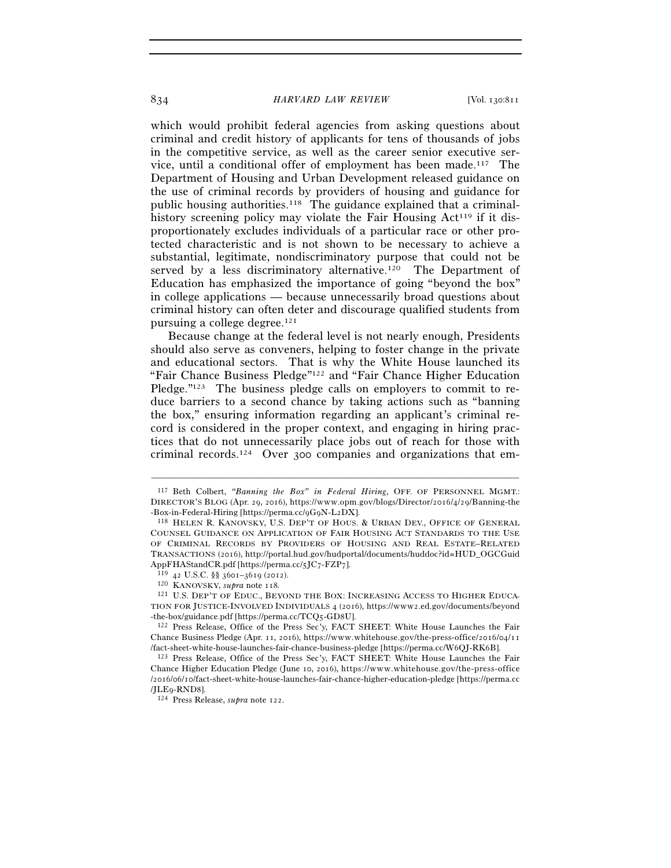which would prohibit federal agencies from asking questions about criminal and credit history of applicants for tens of thousands of jobs in the competitive service, as well as the career senior executive service, until a conditional offer of employment has been made.117 The Department of Housing and Urban Development released guidance on the use of criminal records by providers of housing and guidance for public housing authorities.118 The guidance explained that a criminalhistory screening policy may violate the Fair Housing  $Act^{119}$  if it disproportionately excludes individuals of a particular race or other protected characteristic and is not shown to be necessary to achieve a substantial, legitimate, nondiscriminatory purpose that could not be served by a less discriminatory alternative.<sup>120</sup> The Department of Education has emphasized the importance of going "beyond the box" in college applications — because unnecessarily broad questions about criminal history can often deter and discourage qualified students from pursuing a college degree.121

Because change at the federal level is not nearly enough, Presidents should also serve as conveners, helping to foster change in the private and educational sectors. That is why the White House launched its "Fair Chance Business Pledge"122 and "Fair Chance Higher Education Pledge."<sup>123</sup> The business pledge calls on employers to commit to reduce barriers to a second chance by taking actions such as "banning the box," ensuring information regarding an applicant's criminal record is considered in the proper context, and engaging in hiring practices that do not unnecessarily place jobs out of reach for those with criminal records.124 Over 300 companies and organizations that em-

<sup>117</sup> Beth Colbert, *"Banning the Box" in Federal Hiring*, OFF. OF PERSONNEL MGMT.: DIRECTOR'S BLOG (Apr. 29, 2016), https://www.opm.gov/blogs/Director/2016/4/29/Banning-the -Box-in-Federal-Hiring [https://perma.cc/9G9N-L2DX]. 118 HELEN R. KANOVSKY, U.S. DEP'T OF HOUS. & URBAN DEV., OFFICE OF GENERAL

COUNSEL GUIDANCE ON APPLICATION OF FAIR HOUSING ACT STANDARDS TO THE USE OF CRIMINAL RECORDS BY PROVIDERS OF HOUSING AND REAL ESTATE–RELATED TRANSACTIONS (2016), http://portal.hud.gov/hudportal/documents/huddoc?id=HUD\_OGCGuid AppFHAStandCR.pdf [https://perma.cc/5JC7-FZP7]. 119 <sup>42</sup> U.S.C. §§ 3601–3619 (2012). 120 KANOVSKY, *supra* note 118*.*

<sup>121</sup> U.S. DEP'T OF EDUC., BEYOND THE BOX: INCREASING ACCESS TO HIGHER EDUCA-TION FOR JUSTICE-INVOLVED INDIVIDUALS 4 (2016), https://www2.ed.gov/documents/beyond -the-box/guidance.pdf [https://perma.cc/TCQ5-GD8U]. 122 Press Release, Office of the Press Sec'y, FACT SHEET: White House Launches the Fair

Chance Business Pledge (Apr. 11, 2016), https://www.whitehouse.gov/the-press-office/2016/04/11 /fact-sheet-white-house-launches-fair-chance-business-pledge [https://perma.cc/W6QJ-RK6B]. 123 Press Release, Office of the Press Sec'y, FACT SHEET: White House Launches the Fair

Chance Higher Education Pledge (June 10, 2016), https://www.whitehouse.gov/the-press-office /2016/06/10/fact-sheet-white-house-launches-fair-chance-higher-education-pledge [https://perma.cc<br>/ILEq-RND8].

<sup>124</sup> Press Release, *supra* note 122.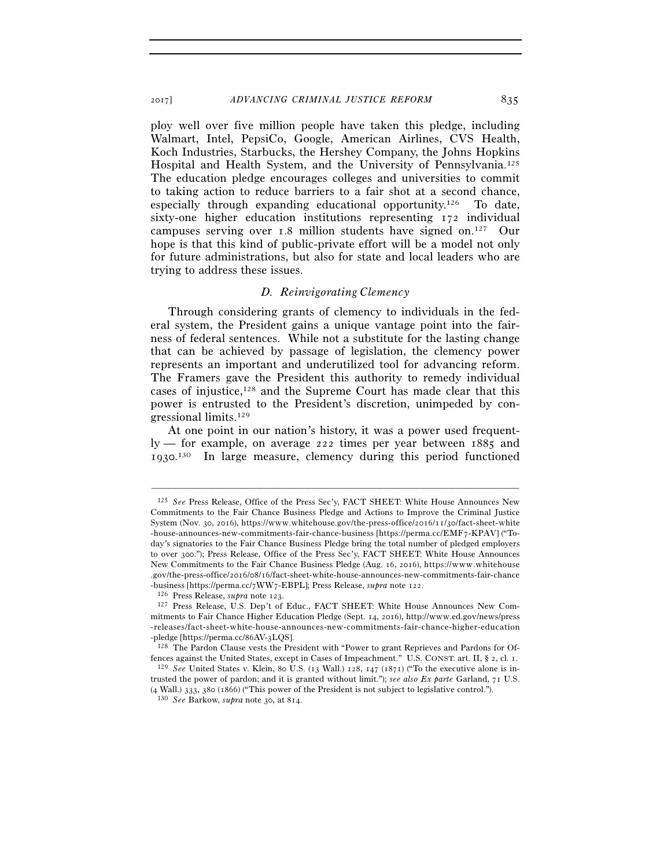ploy well over five million people have taken this pledge, including Walmart, Intel, PepsiCo, Google, American Airlines, CVS Health, Koch Industries, Starbucks, the Hershey Company, the Johns Hopkins Hospital and Health System, and the University of Pennsylvania.125 The education pledge encourages colleges and universities to commit to taking action to reduce barriers to a fair shot at a second chance, especially through expanding educational opportunity.126 To date, sixty-one higher education institutions representing 172 individual campuses serving over 1.8 million students have signed on.127 Our hope is that this kind of public-private effort will be a model not only for future administrations, but also for state and local leaders who are trying to address these issues.

### *D. Reinvigorating Clemency*

Through considering grants of clemency to individuals in the federal system, the President gains a unique vantage point into the fairness of federal sentences. While not a substitute for the lasting change that can be achieved by passage of legislation, the clemency power represents an important and underutilized tool for advancing reform. The Framers gave the President this authority to remedy individual cases of injustice,<sup>128</sup> and the Supreme Court has made clear that this power is entrusted to the President's discretion, unimpeded by congressional limits.129

At one point in our nation's history, it was a power used frequently — for example, on average 222 times per year between 1885 and 1930. 130 In large measure, clemency during this period functioned

<sup>125</sup> *See* Press Release, Office of the Press Sec'y, FACT SHEET: White House Announces New Commitments to the Fair Chance Business Pledge and Actions to Improve the Criminal Justice System (Nov. 30, 2016), https://www.whitehouse.gov/the-press-office/2016/11/30/fact-sheet-white -house-announces-new-commitments-fair-chance-business [https://perma.cc/EMF7-KPAV] ("Today's signatories to the Fair Chance Business Pledge bring the total number of pledged employers to over 300."); Press Release, Office of the Press Sec'y, FACT SHEET: White House Announces New Commitments to the Fair Chance Business Pledge (Aug. 16, 2016), https://www.whitehouse .gov/the-press-office/2016/08/16/fact-sheet-white-house-announces-new-commitments-fair-chance<br>-business [https://perma.cc/7WW7-EBPL]; Press Release, *supra* note 122.

<sup>&</sup>lt;sup>126</sup> Press Release, *supra* note 123.<br><sup>127</sup> Press Release, U.S. Dep't of Educ., FACT SHEET: White House Announces New Commitments to Fair Chance Higher Education Pledge (Sept.  $14$ , 2016), http://www.ed.gov/news/press -releases/fact-sheet-white-house-announces-new-commitments-fair-chance-higher-education -pledge [https://perma.cc/86AV-3LQS].<br><sup>128</sup> The Pardon Clause vests the President with "Power to grant Reprieves and Pardons for Of-

fences against the United States, except in Cases of Impeachment." U.S. CONST. art. II, § 2, cl. 1. 129 *See* United States v. Klein, 80 U.S. (13 Wall.) 128, 147 (1871) ("To the executive alone is in-

trusted the power of pardon; and it is granted without limit."); *see also Ex parte* Garland, 71 U.S. (4 Wall.) 333, 380 (1866) ("This power of the President is not subject to legislative control.").

<sup>130</sup> *See* Barkow, *supra* note 30, at 814.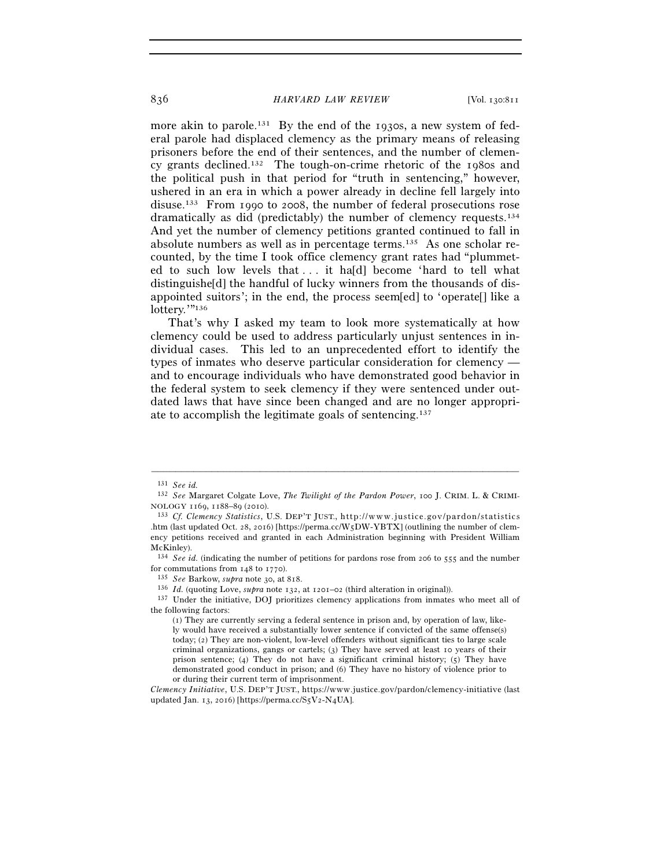more akin to parole.<sup>131</sup> By the end of the 1930s, a new system of federal parole had displaced clemency as the primary means of releasing prisoners before the end of their sentences, and the number of clemency grants declined.132 The tough-on-crime rhetoric of the 1980s and the political push in that period for "truth in sentencing," however, ushered in an era in which a power already in decline fell largely into disuse.133 From 1990 to 2008, the number of federal prosecutions rose dramatically as did (predictably) the number of clemency requests.134 And yet the number of clemency petitions granted continued to fall in absolute numbers as well as in percentage terms.135 As one scholar recounted, by the time I took office clemency grant rates had "plummeted to such low levels that . . . it ha[d] become 'hard to tell what distinguishe[d] the handful of lucky winners from the thousands of disappointed suitors'; in the end, the process seem[ed] to 'operate[] like a lottery.""136

That's why I asked my team to look more systematically at how clemency could be used to address particularly unjust sentences in individual cases. This led to an unprecedented effort to identify the types of inmates who deserve particular consideration for clemency and to encourage individuals who have demonstrated good behavior in the federal system to seek clemency if they were sentenced under outdated laws that have since been changed and are no longer appropriate to accomplish the legitimate goals of sentencing.137

–––––––––––––––––––––––––––––––––––––––––––––––––––––––––––––

134 *See id.* (indicating the number of petitions for pardons rose from 206 to 555 and the number for commutations from 148 to 1770).<br>
<sup>135</sup> See Barkow, *supra* note 30, at 818.<br>
<sup>136</sup> *Id.* (quoting Love, *supra* note 132, at 1201–02 (third alteration in original)).<br>
<sup>136</sup> *Id.* (quoting Love, *supra* note 132, at 12

<sup>131</sup> *See id.* 

<sup>132</sup> *See* Margaret Colgate Love, *The Twilight of the Pardon Power*, 100 J. CRIM. L. & CRIMI-NOLOGY 1169, 1188–89 (2010).<br><sup>133</sup> *Cf. Clemency Statistics*, U.S. DEP'T JUST., http://www.justice.gov/pardon/statistics

<sup>.</sup>htm (last updated Oct. 28, 2016) [https://perma.cc/W5DW-YBTX] (outlining the number of clemency petitions received and granted in each Administration beginning with President William McKinley).

the following factors:

<sup>(</sup>1) They are currently serving a federal sentence in prison and, by operation of law, likely would have received a substantially lower sentence if convicted of the same offense(s) today; (2) They are non-violent, low-level offenders without significant ties to large scale criminal organizations, gangs or cartels; (3) They have served at least 10 years of their prison sentence; (4) They do not have a significant criminal history; (5) They have demonstrated good conduct in prison; and (6) They have no history of violence prior to or during their current term of imprisonment.

*Clemency Initiative*, U.S. DEP'T JUST., https://www.justice.gov/pardon/clemency-initiative (last updated Jan. 13, 2016) [https://perma.cc/S5V2-N4UA].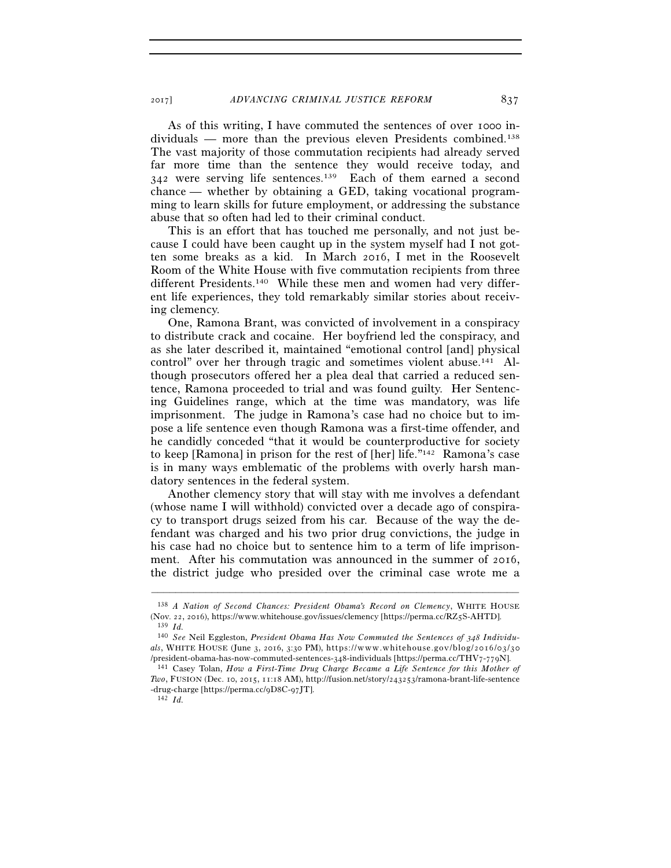As of this writing, I have commuted the sentences of over 1000 individuals — more than the previous eleven Presidents combined.138 The vast majority of those commutation recipients had already served far more time than the sentence they would receive today, and 342 were serving life sentences.139 Each of them earned a second chance — whether by obtaining a GED, taking vocational programming to learn skills for future employment, or addressing the substance abuse that so often had led to their criminal conduct.

This is an effort that has touched me personally, and not just because I could have been caught up in the system myself had I not gotten some breaks as a kid. In March 2016, I met in the Roosevelt Room of the White House with five commutation recipients from three different Presidents.140 While these men and women had very different life experiences, they told remarkably similar stories about receiving clemency.

One, Ramona Brant, was convicted of involvement in a conspiracy to distribute crack and cocaine. Her boyfriend led the conspiracy, and as she later described it, maintained "emotional control [and] physical control" over her through tragic and sometimes violent abuse.141 Although prosecutors offered her a plea deal that carried a reduced sentence, Ramona proceeded to trial and was found guilty. Her Sentencing Guidelines range, which at the time was mandatory, was life imprisonment. The judge in Ramona's case had no choice but to impose a life sentence even though Ramona was a first-time offender, and he candidly conceded "that it would be counterproductive for society to keep [Ramona] in prison for the rest of [her] life."142 Ramona's case is in many ways emblematic of the problems with overly harsh mandatory sentences in the federal system.

Another clemency story that will stay with me involves a defendant (whose name I will withhold) convicted over a decade ago of conspiracy to transport drugs seized from his car. Because of the way the defendant was charged and his two prior drug convictions, the judge in his case had no choice but to sentence him to a term of life imprisonment. After his commutation was announced in the summer of 2016, the district judge who presided over the criminal case wrote me a

<sup>138</sup> *A Nation of Second Chances: President Obama's Record on Clemency*, WHITE HOUSE (Nov. 22, 2016), https://www.whitehouse.gov/issues/clemency [https://perma.cc/RZ5S-AHTD]. 139 *Id.*

<sup>140</sup> *See* Neil Eggleston, *President Obama Has Now Commuted the Sentences of 348 Individu* $als$ , WHITE HOUSE (June 3, 2016, 3:30 PM), https://www.whitehouse.gov/blog/2016/03/30 /president-obama-has-now-commuted-sentences-348-individuals [https://perma.cc/THV7-779N]. 141 Casey Tolan, *How a First-Time Drug Charge Became a Life Sentence for this Mother of* 

*Two*, FUSION (Dec. 10, 2015, 11:18 AM), http://fusion.net/story/243253/ramona-brant-life-sentence -drug-charge [https://perma.cc/9D8C-97JT].  $142$  *Id.*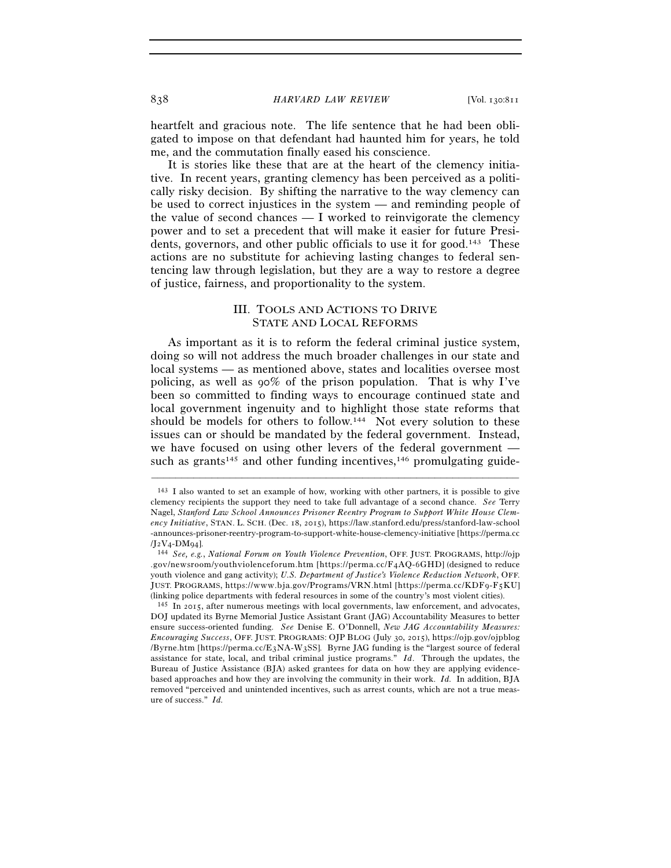heartfelt and gracious note. The life sentence that he had been obligated to impose on that defendant had haunted him for years, he told me, and the commutation finally eased his conscience.

It is stories like these that are at the heart of the clemency initiative. In recent years, granting clemency has been perceived as a politically risky decision. By shifting the narrative to the way clemency can be used to correct injustices in the system — and reminding people of the value of second chances — I worked to reinvigorate the clemency power and to set a precedent that will make it easier for future Presidents, governors, and other public officials to use it for good.143 These actions are no substitute for achieving lasting changes to federal sentencing law through legislation, but they are a way to restore a degree of justice, fairness, and proportionality to the system.

# III. TOOLS AND ACTIONS TO DRIVE STATE AND LOCAL REFORMS

As important as it is to reform the federal criminal justice system, doing so will not address the much broader challenges in our state and local systems — as mentioned above, states and localities oversee most policing, as well as 90% of the prison population. That is why I've been so committed to finding ways to encourage continued state and local government ingenuity and to highlight those state reforms that should be models for others to follow.<sup>144</sup> Not every solution to these issues can or should be mandated by the federal government. Instead, we have focused on using other levers of the federal government such as grants<sup>145</sup> and other funding incentives,  $146$  promulgating guide-

<sup>143</sup> I also wanted to set an example of how, working with other partners, it is possible to give clemency recipients the support they need to take full advantage of a second chance. *See* Terry Nagel, *Stanford Law School Announces Prisoner Reentry Program to Support White House Clemency Initiative*, STAN. L. SCH. (Dec. 18, 2015), https://law.stanford.edu/press/stanford-law-school - announces-prisoner-reentry-program-to-support-white-house-clemency-initiative [https://perma.cc

<sup>/</sup>J2V4-DM94]. 144 *See, e.g.*, *National Forum on Youth Violence Prevention*, OFF. JUST. PROGRAMS, http://ojp .gov/newsroom/youthviolenceforum.htm [https://perma.cc/F4AQ-6GHD] (designed to reduce youth violence and gang activity); *U.S. Department of Justice's Violence Reduction Network*, OFF. JUST. PROGRAMS, https://www.bja.gov/Programs/VRN.html [https://perma.cc/KDF9-F5KU] (linking police departments with federal resources in some of the country's most violent cities).

 $145$  In 2015, after numerous meetings with local governments, law enforcement, and advocates, DOJ updated its Byrne Memorial Justice Assistant Grant (JAG) Accountability Measures to better ensure success-oriented funding. *See* Denise E. O'Donnell, *New JAG Accountability Measures: Encouraging Success*, OFF. JUST. PROGRAMS: OJP BLOG (July 30, 2015), https://ojp.gov/ojpblog  $/B$  yrne.htm [https://perma.cc/E3NA-W3SS]. Byrne JAG funding is the "largest source of federal assistance for state, local, and tribal criminal justice programs." *Id*. Through the updates, the Bureau of Justice Assistance (BJA) asked grantees for data on how they are applying evidencebased approaches and how they are involving the community in their work. *Id.* In addition, BJA removed "perceived and unintended incentives, such as arrest counts, which are not a true measure of success." *Id.*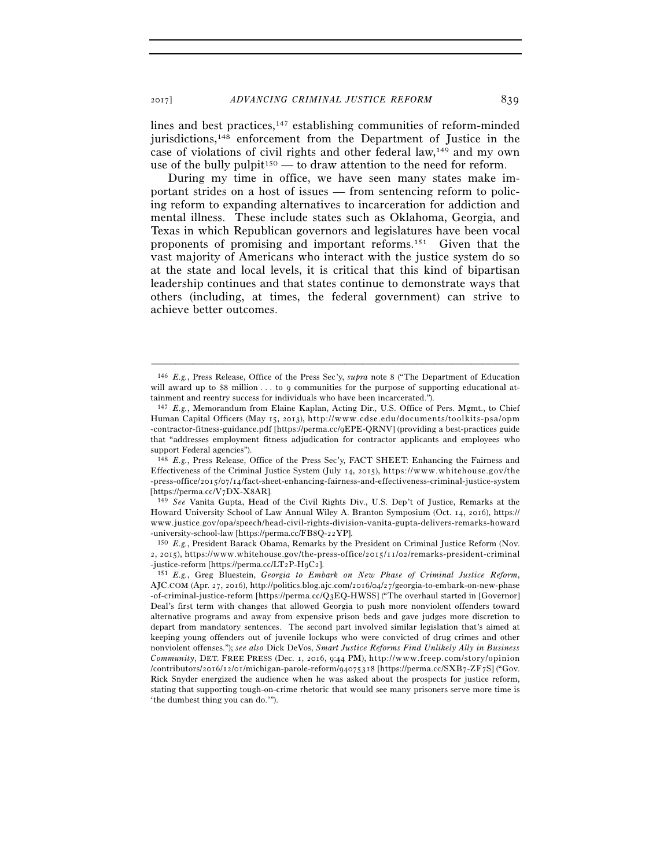lines and best practices,147 establishing communities of reform-minded jurisdictions,<sup>148</sup> enforcement from the Department of Justice in the case of violations of civil rights and other federal law,149 and my own use of the bully pulpit<sup>150</sup> — to draw attention to the need for reform.

During my time in office, we have seen many states make important strides on a host of issues — from sentencing reform to policing reform to expanding alternatives to incarceration for addiction and mental illness. These include states such as Oklahoma, Georgia, and Texas in which Republican governors and legislatures have been vocal proponents of promising and important reforms.151 Given that the vast majority of Americans who interact with the justice system do so at the state and local levels, it is critical that this kind of bipartisan leadership continues and that states continue to demonstrate ways that others (including, at times, the federal government) can strive to achieve better outcomes.

–––––––––––––––––––––––––––––––––––––––––––––––––––––––––––––

-university-school-law [https://perma.cc/FB8Q-22YP]. 150 *E.g.*, President Barack Obama, Remarks by the President on Criminal Justice Reform (Nov. 2, 2015), https://www.whitehouse.gov/the-press-office/2015/11/02/remarks-president-criminal -justice-reform [https://perma.cc/LT2P-H9C2].

<sup>146</sup> *E.g.*, Press Release, Office of the Press Sec'y, *supra* note 8 ("The Department of Education will award up to  $$8$  million ... to 9 communities for the purpose of supporting educational attainment and reentry success for individuals who have been incarcerated.").

<sup>147</sup> *E.g.*, Memorandum from Elaine Kaplan, Acting Dir., U.S. Office of Pers. Mgmt., to Chief Human Capital Officers (May 15, 2013), http://www.cdse.edu/documents/toolkits-psa/opm -contractor-fitness-guidance.pdf [https://perma.cc/9EPE-QRNV] (providing a best-practices guide that "addresses employment fitness adjudication for contractor applicants and employees who support Federal agencies").

<sup>148</sup> *E.g.*, Press Release, Office of the Press Sec'y, FACT SHEET: Enhancing the Fairness and Effectiveness of the Criminal Justice System (July 14, 2015), https://www.whitehouse.gov/the -press-office/2015/07/14/fact-sheet-enhancing-fairness-and-effectiveness-criminal-justice-system [https://perma.cc/V7DX-X8AR]. 149 *See* Vanita Gupta, Head of the Civil Rights Div., U.S. Dep't of Justice, Remarks at the

Howard University School of Law Annual Wiley A. Branton Symposium (Oct. 14, 2016), https:// www.justice.gov/opa/speech/head-civil-rights-division-vanita-gupta-delivers-remarks-howard

<sup>&</sup>lt;sup>151</sup> *E.g.*, Greg Bluestein, *Georgia to Embark on New Phase of Criminal Justice Reform*, AJC.COM (Apr. 27, 2016), http://politics.blog.ajc.com/2016/04/27/georgia-to-embark-on-new-phase - of-criminal-justice-reform [https://perma.cc/Q3EQ-HWSS] ("The overhaul started in [Governor] Deal's first term with changes that allowed Georgia to push more nonviolent offenders toward alternative programs and away from expensive prison beds and gave judges more discretion to depart from mandatory sentences. The second part involved similar legislation that's aimed at keeping young offenders out of juvenile lockups who were convicted of drug crimes and other nonviolent offenses."); *see also* Dick DeVos, *Smart Justice Reforms Find Unlikely Ally in Business Community*, DET. FREE PRESS (Dec. 1, 2016, 9:44 PM), http://www.freep.com/story/opinion /contributors/2016/12/01/michigan-parole-reform/94075318 [https://perma.cc/SXB7-ZF7S] ("Gov. Rick Snyder energized the audience when he was asked about the prospects for justice reform, stating that supporting tough-on-crime rhetoric that would see many prisoners serve more time is 'the dumbest thing you can do.'").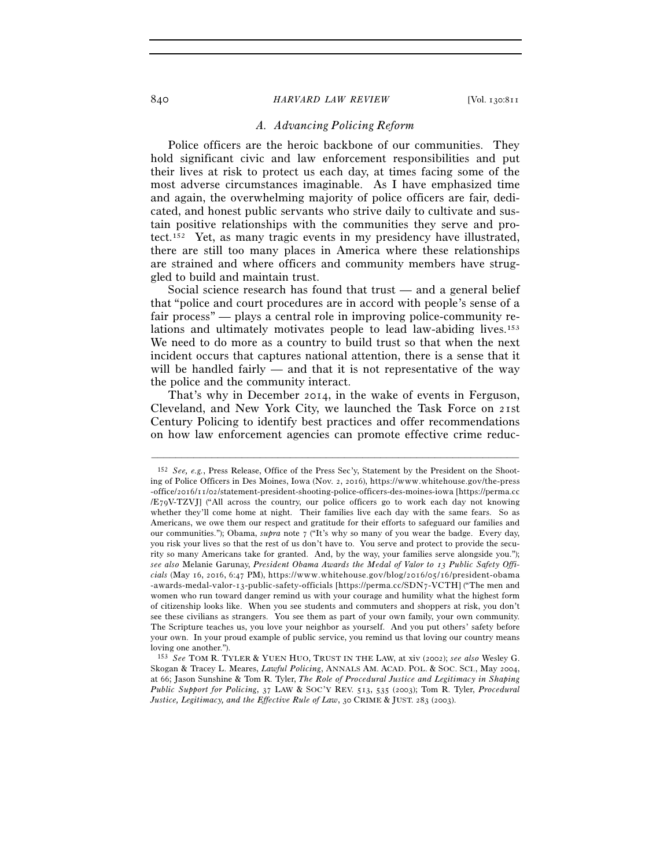# *A. Advancing Policing Reform*

Police officers are the heroic backbone of our communities. They hold significant civic and law enforcement responsibilities and put their lives at risk to protect us each day, at times facing some of the most adverse circumstances imaginable. As I have emphasized time and again, the overwhelming majority of police officers are fair, dedicated, and honest public servants who strive daily to cultivate and sustain positive relationships with the communities they serve and protect.152 Yet, as many tragic events in my presidency have illustrated, there are still too many places in America where these relationships are strained and where officers and community members have struggled to build and maintain trust.

Social science research has found that trust — and a general belief that "police and court procedures are in accord with people's sense of a fair process" — plays a central role in improving police-community relations and ultimately motivates people to lead law-abiding lives.<sup>153</sup> We need to do more as a country to build trust so that when the next incident occurs that captures national attention, there is a sense that it will be handled fairly  $-$  and that it is not representative of the way the police and the community interact.

That's why in December 2014, in the wake of events in Ferguson, Cleveland, and New York City, we launched the Task Force on 21st Century Policing to identify best practices and offer recommendations on how law enforcement agencies can promote effective crime reduc-

<sup>152</sup> *See, e.g.*, Press Release, Office of the Press Sec'y, Statement by the President on the Shooting of Police Officers in Des Moines, Iowa (Nov. 2, 2016), https://www.whitehouse.gov/the-press -office/2016/11/02/statement-president-shooting-police-officers-des-moines-iowa [https://perma.cc /E79V-TZVJ] ("All across the country, our police officers go to work each day not knowing whether they'll come home at night. Their families live each day with the same fears. So as Americans, we owe them our respect and gratitude for their efforts to safeguard our families and our communities."); Obama, *supra* note 7 ("It's why so many of you wear the badge. Every day, you risk your lives so that the rest of us don't have to. You serve and protect to provide the security so many Americans take for granted. And, by the way, your families serve alongside you."); *see also* Melanie Garunay, *President Obama Awards the Medal of Valor to 13 Public Safety Officials* (May 16, 2016, 6:47 PM), https://www.whitehouse.gov/blog/2016/05/16/president-obama -awards-medal-valor-13-public-safety-officials [https://perma.cc/SDN7-VCTH] ("The men and women who run toward danger remind us with your courage and humility what the highest form of citizenship looks like. When you see students and commuters and shoppers at risk, you don't see these civilians as strangers. You see them as part of your own family, your own community. The Scripture teaches us, you love your neighbor as yourself. And you put others' safety before your own. In your proud example of public service, you remind us that loving our country means loving one another.").

<sup>153</sup> *See* TOM R. TYLER & YUEN HUO, TRUST IN THE LAW, at xiv (2002); *see also* Wesley G. Skogan & Tracey L. Meares, *Lawful Policing*, ANNALS AM. ACAD. POL. & SOC. SCI., May 2004, at 66; Jason Sunshine & Tom R. Tyler, *The Role of Procedural Justice and Legitimacy in Shaping Public Support for Policing*, 37 LAW & SOC'Y REV. 513, 535 (2003); Tom R. Tyler, *Procedural Justice, Legitimacy, and the Effective Rule of Law*, 30 CRIME & JUST. 283 (2003).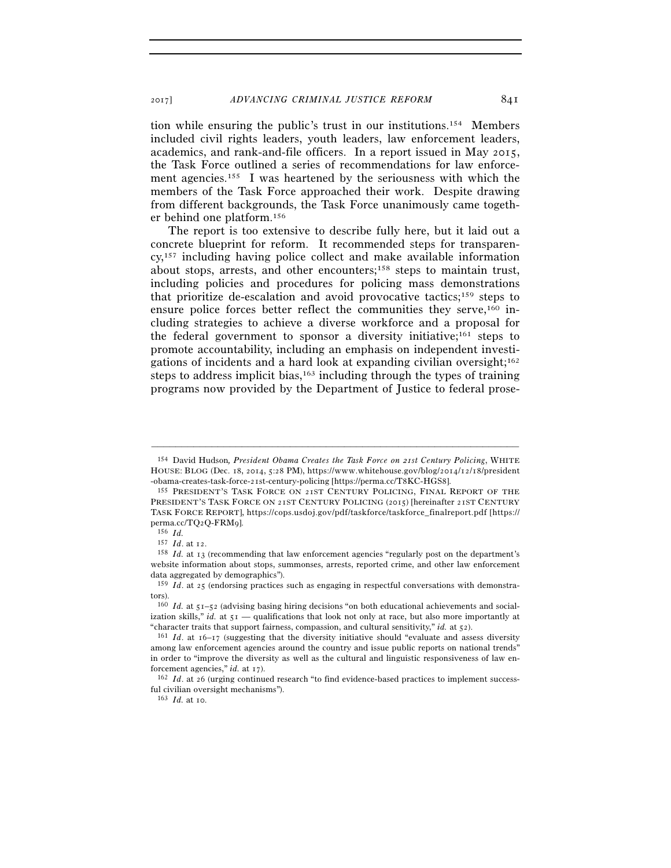tion while ensuring the public's trust in our institutions.154 Members included civil rights leaders, youth leaders, law enforcement leaders, academics, and rank-and-file officers. In a report issued in May 2015, the Task Force outlined a series of recommendations for law enforcement agencies.155 I was heartened by the seriousness with which the members of the Task Force approached their work. Despite drawing from different backgrounds, the Task Force unanimously came together behind one platform.156

The report is too extensive to describe fully here, but it laid out a concrete blueprint for reform. It recommended steps for transparency,157 including having police collect and make available information about stops, arrests, and other encounters;158 steps to maintain trust, including policies and procedures for policing mass demonstrations that prioritize de-escalation and avoid provocative tactics;159 steps to ensure police forces better reflect the communities they serve,160 including strategies to achieve a diverse workforce and a proposal for the federal government to sponsor a diversity initiative;161 steps to promote accountability, including an emphasis on independent investigations of incidents and a hard look at expanding civilian oversight;162 steps to address implicit bias,<sup>163</sup> including through the types of training programs now provided by the Department of Justice to federal prose-

<sup>154</sup> David Hudson*, President Obama Creates the Task Force on 21st Century Policing*, WHITE HOUSE: BLOG (Dec. 18, 2014, 5:28 PM), https://www.whitehouse.gov/blog/2014/12/18/president

<sup>-</sup>obama-creates-task-force-21st-century-policing [https://perma.cc/T8KC-HGS8]. 155 PRESIDENT'S TASK FORCE ON <sup>21</sup>ST CENTURY POLICING, FINAL REPORT OF THE PRESIDENT'S TASK FORCE ON 21ST CENTURY POLICING (2015) [hereinafter 21ST CENTURY TASK FORCE REPORT], https://cops.usdoj.gov/pdf/taskforce/taskforce\_finalreport.pdf [https:// perma.cc/TQ2Q-FRM9]. 156 *Id.*

<sup>&</sup>lt;sup>158</sup> *Id.* at 13 (recommending that law enforcement agencies "regularly post on the department's website information about stops, summonses, arrests, reported crime, and other law enforcement data aggregated by demographics").

<sup>&</sup>lt;sup>159</sup> *Id.* at 25 (endorsing practices such as engaging in respectful conversations with demonstrators).

<sup>160</sup> *Id.* at 51–52 (advising basing hiring decisions "on both educational achievements and socialization skills," *id.* at 51 — qualifications that look not only at race, but also more importantly at "character traits that support fairness, compassion, and cultural sensitivity," *id.* at 52). 161 *Id*. at 16–17 (suggesting that the diversity initiative should "evaluate and assess diversity

among law enforcement agencies around the country and issue public reports on national trends" in order to "improve the diversity as well as the cultural and linguistic responsiveness of law enforcement agencies," *id.* at 17).<br><sup>162</sup> *Id.* at 26 (urging continued research "to find evidence-based practices to implement success-

ful civilian oversight mechanisms").

<sup>163</sup> *Id.* at 10.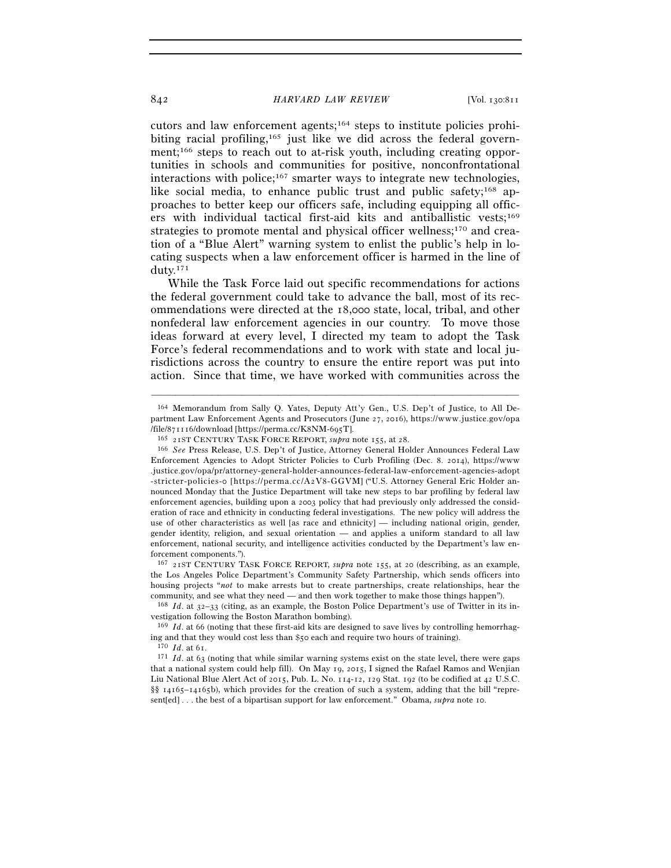cutors and law enforcement agents;164 steps to institute policies prohibiting racial profiling,<sup>165</sup> just like we did across the federal government;166 steps to reach out to at-risk youth, including creating opportunities in schools and communities for positive, nonconfrontational interactions with police;167 smarter ways to integrate new technologies, like social media, to enhance public trust and public safety;<sup>168</sup> approaches to better keep our officers safe, including equipping all officers with individual tactical first-aid kits and antiballistic vests;169 strategies to promote mental and physical officer wellness;<sup>170</sup> and creation of a "Blue Alert" warning system to enlist the public's help in locating suspects when a law enforcement officer is harmed in the line of duty.171

While the Task Force laid out specific recommendations for actions the federal government could take to advance the ball, most of its recommendations were directed at the 18,000 state, local, tribal, and other nonfederal law enforcement agencies in our country. To move those ideas forward at every level, I directed my team to adopt the Task Force's federal recommendations and to work with state and local jurisdictions across the country to ensure the entire report was put into action. Since that time, we have worked with communities across the

–––––––––––––––––––––––––––––––––––––––––––––––––––––––––––––

167 21ST CENTURY TASK FORCE REPORT, *supra* note 155, at 20 (describing, as an example, the Los Angeles Police Department's Community Safety Partnership, which sends officers into housing projects "*not* to make arrests but to create partnerships, create relationships, hear the community, and see what they need — and then work together to make those things happen").

<sup>164</sup> Memorandum from Sally Q. Yates, Deputy Att'y Gen., U.S. Dep't of Justice, to All Department Law Enforcement Agents and Prosecutors (June 27, 2016), https://www.justice.gov/opa /file/871116/download [https://perma.cc/K8NM-695T]. 165 <sup>21</sup>ST CENTURY TASK FORCE REPORT, *supra* note 155, at 28.

<sup>166</sup> *See* Press Release, U.S. Dep't of Justice, Attorney General Holder Announces Federal Law Enforcement Agencies to Adopt Stricter Policies to Curb Profiling (Dec. 8. 2014), https://www .justice.gov/opa/pr/attorney-general-holder-announces-federal-law-enforcement-agencies-adopt - stricter-policies-o [https://perma.cc/A2V8-GGVM] ("U.S. Attorney General Eric Holder announced Monday that the Justice Department will take new steps to bar profiling by federal law enforcement agencies, building upon a 2003 policy that had previously only addressed the consideration of race and ethnicity in conducting federal investigations. The new policy will address the use of other characteristics as well [as race and ethnicity] — including national origin, gender, gender identity, religion, and sexual orientation — and applies a uniform standard to all law enforcement, national security, and intelligence activities conducted by the Department's law enforcement components.").

<sup>&</sup>lt;sup>168</sup> *Id.* at 32-33 (citing, as an example, the Boston Police Department's use of Twitter in its investigation following the Boston Marathon bombing).

<sup>169</sup> *Id*. at 66 (noting that these first-aid kits are designed to save lives by controlling hemorrhaging and that they would cost less than \$50 each and require two hours of training). 170 *Id*. at 61.

<sup>171</sup> *Id*. at 63 (noting that while similar warning systems exist on the state level, there were gaps that a national system could help fill). On May 19, 2015, I signed the Rafael Ramos and Wenjian Liu National Blue Alert Act of 2015, Pub. L. No. 114-12, 129 Stat. 192 (to be codified at 42 U.S.C. §§ 14165–14165b), which provides for the creation of such a system, adding that the bill "represent[ed] . . . the best of a bipartisan support for law enforcement." Obama, *supra* note 10.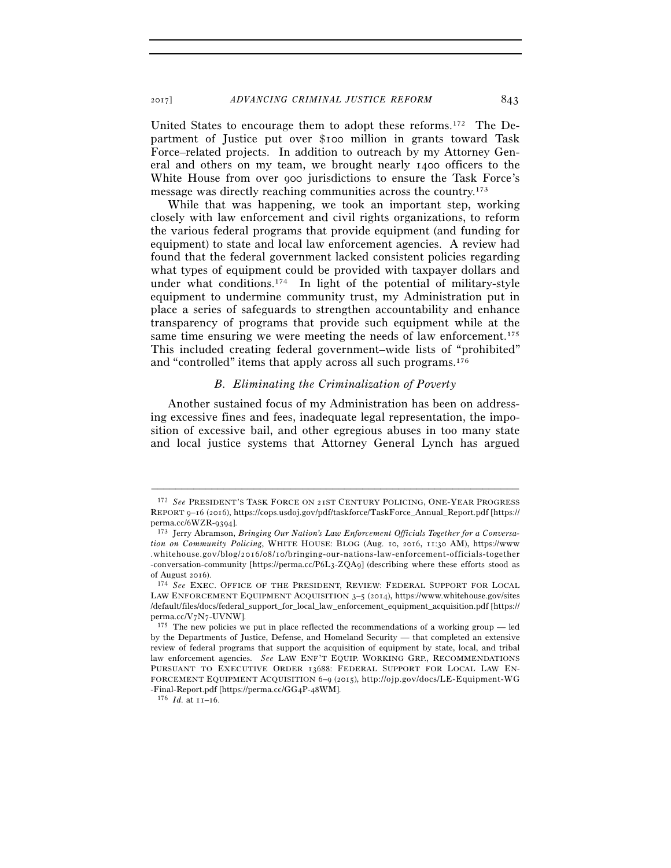2017] *ADVANCING CRIMINAL JUSTICE REFORM* 843

United States to encourage them to adopt these reforms.172 The Department of Justice put over \$100 million in grants toward Task Force–related projects. In addition to outreach by my Attorney General and others on my team, we brought nearly 1400 officers to the White House from over 900 jurisdictions to ensure the Task Force's message was directly reaching communities across the country.173

While that was happening, we took an important step, working closely with law enforcement and civil rights organizations, to reform the various federal programs that provide equipment (and funding for equipment) to state and local law enforcement agencies. A review had found that the federal government lacked consistent policies regarding what types of equipment could be provided with taxpayer dollars and under what conditions.<sup>174</sup> In light of the potential of military-style equipment to undermine community trust, my Administration put in place a series of safeguards to strengthen accountability and enhance transparency of programs that provide such equipment while at the same time ensuring we were meeting the needs of law enforcement.<sup>175</sup> This included creating federal government–wide lists of "prohibited" and "controlled" items that apply across all such programs.176

#### *B. Eliminating the Criminalization of Poverty*

Another sustained focus of my Administration has been on addressing excessive fines and fees, inadequate legal representation, the imposition of excessive bail, and other egregious abuses in too many state and local justice systems that Attorney General Lynch has argued

<sup>172</sup> *See* PRESIDENT'S TASK FORCE ON 21ST CENTURY POLICING, ONE-YEAR PROGRESS REPORT 9-16 (2016), https://cops.usdoj.gov/pdf/taskforce/TaskForce\_Annual\_Report.pdf [https:// perma.cc/6WZR-9394]. 173 Jerry Abramson, *Bringing Our Nation's Law Enforcement Officials Together for a Conversa-*

*tion on Community Policing*, WHITE HOUSE: BLOG (Aug. 10, 2016, 11:30 AM), https://www .whitehouse.gov/blog/2016/08/10/bringing-our-nations-law-enforcement-officials-together -conversation-community [https://perma.cc/P6L3-ZQA9] (describing where these efforts stood as

of August 2016). 174 *See* EXEC. OFFICE OF THE PRESIDENT, REVIEW: FEDERAL SUPPORT FOR LOCAL LAW ENFORCEMENT EQUIPMENT ACQUISITION 3–5 (2014), https://www.whitehouse.gov/sites //default/files/docs/federal\_support\_for\_local\_law\_enforcement\_equipment\_acquisition.pdf [https:// perma.cc/V7N7-UVNW].<br><sup>175</sup> The new policies we put in place reflected the recommendations of a working group — led

by the Departments of Justice, Defense, and Homeland Security — that completed an extensive review of federal programs that support the acquisition of equipment by state, local, and tribal law enforcement agencies. *See* LAW ENF'T EQUIP. WORKING GRP., RECOMMENDATIONS PURSUANT TO EXECUTIVE ORDER 13688: FEDERAL SUPPORT FOR LOCAL LAW EN-FORCEMENT EQUIPMENT ACQUISITION 6-9 (2015), http://ojp.gov/docs/LE-Equipment-WG -Final-Report.pdf [https://perma.cc/GG<sub>4</sub>P-<sub>4</sub>8WM].<br><sup>176</sup> *Id.* at  $11-16$ .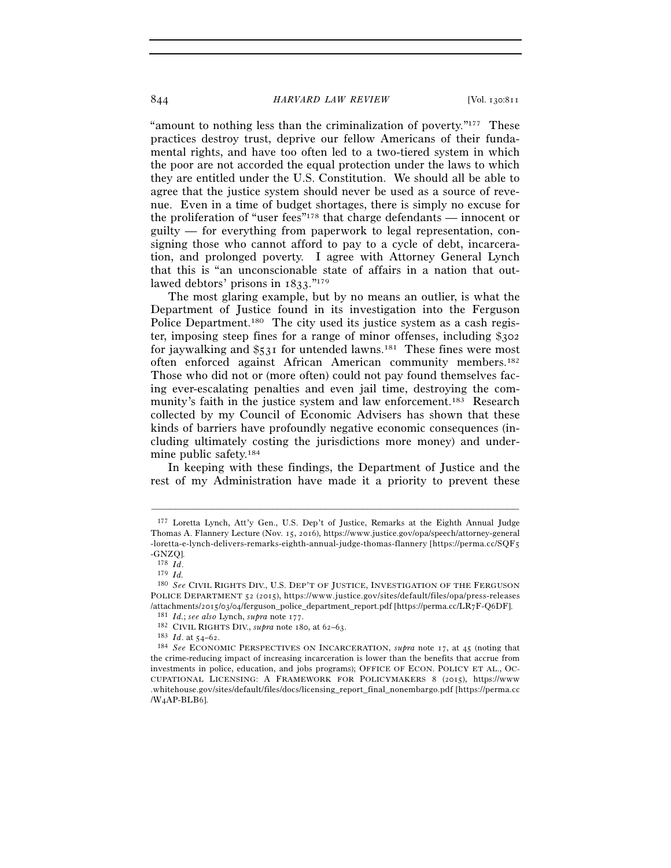"amount to nothing less than the criminalization of poverty."177 These practices destroy trust, deprive our fellow Americans of their fundamental rights, and have too often led to a two-tiered system in which the poor are not accorded the equal protection under the laws to which they are entitled under the U.S. Constitution. We should all be able to agree that the justice system should never be used as a source of revenue. Even in a time of budget shortages, there is simply no excuse for the proliferation of "user fees"178 that charge defendants — innocent or guilty — for everything from paperwork to legal representation, consigning those who cannot afford to pay to a cycle of debt, incarceration, and prolonged poverty. I agree with Attorney General Lynch that this is "an unconscionable state of affairs in a nation that outlawed debtors' prisons in 1833."179

The most glaring example, but by no means an outlier, is what the Department of Justice found in its investigation into the Ferguson Police Department.<sup>180</sup> The city used its justice system as a cash register, imposing steep fines for a range of minor offenses, including \$302 for jaywalking and  $\S$ 531 for untended lawns.<sup>181</sup> These fines were most often enforced against African American community members.182 Those who did not or (more often) could not pay found themselves facing ever-escalating penalties and even jail time, destroying the community's faith in the justice system and law enforcement.183 Research collected by my Council of Economic Advisers has shown that these kinds of barriers have profoundly negative economic consequences (including ultimately costing the jurisdictions more money) and undermine public safety.184

In keeping with these findings, the Department of Justice and the rest of my Administration have made it a priority to prevent these

<sup>177</sup> Loretta Lynch, Att'y Gen., U.S. Dep't of Justice, Remarks at the Eighth Annual Judge Thomas A. Flannery Lecture (Nov. 15, 2016), https://www.justice.gov/opa/speech/attorney-general - loretta-e-lynch-delivers-remarks-eighth-annual-judge-thomas-flannery [https://perma.cc/SQF5  $-$ GNZQ].<br> $178$   $Id$ .

<sup>178</sup> *Id*. 179 *Id.*

<sup>180</sup> *See* CIVIL RIGHTS DIV., U.S. DEP'T OF JUSTICE, INVESTIGATION OF THE FERGUSON POLICE DEPARTMENT 52 (2015), https://www.justice.gov/sites/default/files/opa/press-releases /attachments/2015/03/04/ferguson\_police\_department\_report.pdf [https://perma.cc/LR7F-Q6DF].<br>
<sup>181</sup> *Id.*; see also Lynch, supra note 177.<br>
<sup>182</sup> CIVIL RIGHTS DIV., supra note 180, at 62–63.<br>
<sup>183</sup> *Id.* at 54–62.<br>
<sup>184</sup>

the crime-reducing impact of increasing incarceration is lower than the benefits that accrue from investments in police, education, and jobs programs); OFFICE OF ECON. POLICY ET AL., OC-CUPATIONAL LICENSING: A FRAMEWORK FOR POLICYMAKERS 8 (2015), https://www .whitehouse.gov/sites/default/files/docs/licensing\_report\_final\_nonembargo.pdf [https://perma.cc /W4AP-BLB6].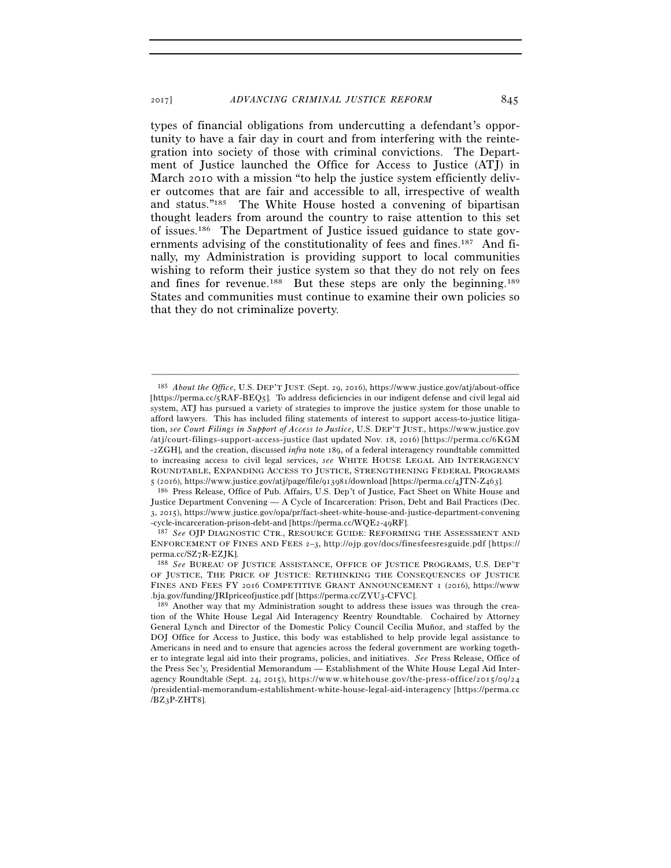types of financial obligations from undercutting a defendant's opportunity to have a fair day in court and from interfering with the reintegration into society of those with criminal convictions. The Department of Justice launched the Office for Access to Justice (ATJ) in March 2010 with a mission "to help the justice system efficiently deliver outcomes that are fair and accessible to all, irrespective of wealth and status."185 The White House hosted a convening of bipartisan thought leaders from around the country to raise attention to this set of issues.186 The Department of Justice issued guidance to state governments advising of the constitutionality of fees and fines.187 And finally, my Administration is providing support to local communities wishing to reform their justice system so that they do not rely on fees and fines for revenue.<sup>188</sup> But these steps are only the beginning.<sup>189</sup> States and communities must continue to examine their own policies so that they do not criminalize poverty.

<sup>&</sup>lt;sup>185</sup> *About the Office*, U.S. DEP'T JUST. (Sept. 29, 2016), https://www.justice.gov/atj/about-office [https://perma.cc/5RAF-BEQ5]. To address deficiencies in our indigent defense and civil legal aid system, ATJ has pursued a variety of strategies to improve the justice system for those unable to afford lawyers. This has included filing statements of interest to support access-to-justice litigation, see Court Filings in Support of Access to Justice, U.S. DEP'T JUST., https://www.justice.gov /atj/court-filings-support-access-justice (last updated Nov. 18, 2016) [https://perma.cc/6KGM -2ZGH], and the creation, discussed *infra* note 189, of a federal interagency roundtable committed to increasing access to civil legal services, *see* WHITE HOUSE LEGAL AID INTERAGENCY ROUNDTABLE, EXPANDING ACCESS TO JUSTICE, STRENGTHENING FEDERAL PROGRAMS <sup>5</sup> (2016), https://www.justice.gov/atj/page/file/913981/download [https://perma.cc/4JTN-Z463]. 186 Press Release, Office of Pub. Affairs, U.S. Dep't of Justice, Fact Sheet on White House and

Justice Department Convening — A Cycle of Incarceration: Prison, Debt and Bail Practices (Dec. 3, 2015), https://www.justice.gov/opa/pr/fact-sheet-white-house-and-justice-department-convening

<sup>-</sup>cycle-incarceration-prison-debt-and [https://perma.cc/WQE2-49RF]. 187 *See* OJP DIAGNOSTIC CTR., RESOURCE GUIDE: REFORMING THE ASSESSMENT AND ENFORCEMENT OF FINES AND FEES 2-3, http://ojp.gov/docs/finesfeesresguide.pdf [https:// perma.cc/SZ7R-EZJK]. 188 *See* BUREAU OF JUSTICE ASSISTANCE, OFFICE OF JUSTICE PROGRAMS, U.S. DEP'T

OF JUSTICE, THE PRICE OF JUSTICE: RETHINKING THE CONSEQUENCES OF JUSTICE FINES AND FEES FY 2016 COMPETITIVE GRANT ANNOUNCEMENT 1 (2016), https://www

<sup>.</sup>bja.gov/funding/JRIpriceofjustice.pdf [https://perma.cc/ZYU3-CFVC]. 189 Another way that my Administration sought to address these issues was through the creation of the White House Legal Aid Interagency Reentry Roundtable. Cochaired by Attorney General Lynch and Director of the Domestic Policy Council Cecilia Muñoz, and staffed by the DOJ Office for Access to Justice, this body was established to help provide legal assistance to Americans in need and to ensure that agencies across the federal government are working together to integrate legal aid into their programs, policies, and initiatives. *See* Press Release, Office of the Press Sec'y, Presidential Memorandum — Establishment of the White House Legal Aid Interagency Roundtable (Sept. 24, 2015), https://www.whitehouse.gov/the-press-office/2015/09/24 /presidential-memorandum-establishment-white-house-legal-aid-interagency [https://perma.cc /BZ3P-ZHT8].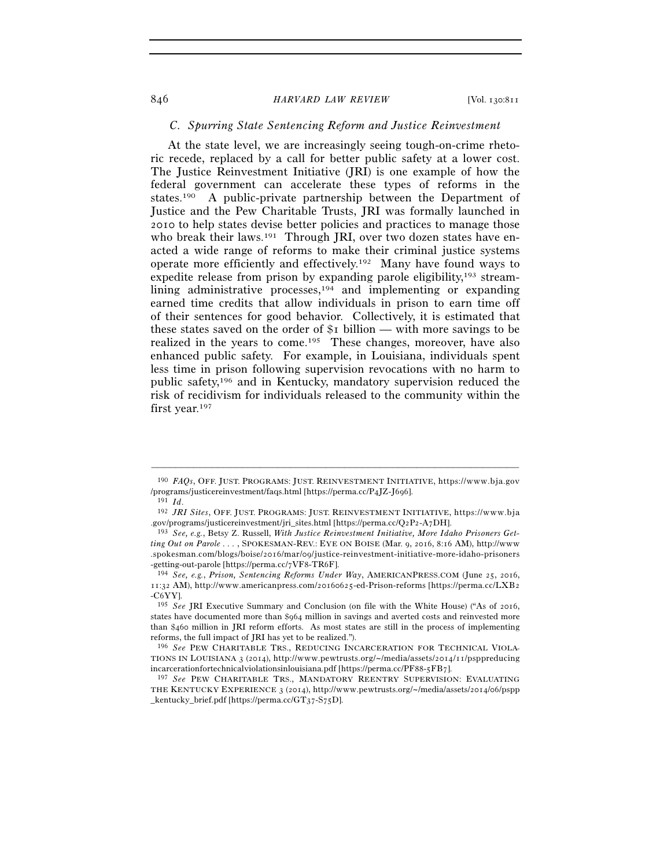# *C. Spurring State Sentencing Reform and Justice Reinvestment*

At the state level, we are increasingly seeing tough-on-crime rhetoric recede, replaced by a call for better public safety at a lower cost. The Justice Reinvestment Initiative (JRI) is one example of how the federal government can accelerate these types of reforms in the states.190 A public-private partnership between the Department of Justice and the Pew Charitable Trusts, JRI was formally launched in 2010 to help states devise better policies and practices to manage those who break their laws.<sup>191</sup> Through JRI, over two dozen states have enacted a wide range of reforms to make their criminal justice systems operate more efficiently and effectively.192 Many have found ways to expedite release from prison by expanding parole eligibility,<sup>193</sup> streamlining administrative processes,<sup>194</sup> and implementing or expanding earned time credits that allow individuals in prison to earn time off of their sentences for good behavior. Collectively, it is estimated that these states saved on the order of \$1 billion — with more savings to be realized in the years to come.<sup>195</sup> These changes, moreover, have also enhanced public safety. For example, in Louisiana, individuals spent less time in prison following supervision revocations with no harm to public safety,196 and in Kentucky, mandatory supervision reduced the risk of recidivism for individuals released to the community within the first year.197

<sup>–––––––––––––––––––––––––––––––––––––––––––––––––––––––––––––</sup> <sup>190</sup> *FAQs*, OFF. JUST. PROGRAMS: JUST. REINVESTMENT INITIATIVE, https://www.bja.gov /programs/justicereinvestment/faqs.html [https://perma.cc/P4JZ-J696]. 191 *Id*. 192 *JRI Sites*, OFF. JUST. PROGRAMS: JUST. REINVESTMENT INITIATIVE, h t t p s : / / w w w . b j a

<sup>.</sup>gov/programs/justicereinvestment/jri\_sites.html [https://perma.cc/Q2P2-A7DH]. 193 *See, e.g.*, Betsy Z. Russell, *With Justice Reinvestment Initiative, More Idaho Prisoners Get-*

*ting Out on Parole . . .* , SPOKESMAN-REV.: EYE ON BOISE (Mar. 9, 2016, 8:16 AM), http://www .spokesman.com/blogs/boise/2016/mar/09/justice-reinvestment-initiative-more-idaho-prisoners<br>-getting-out-parole [https://perma.cc/7VF8-TR6F].

<sup>-</sup>getting-out-parole [https://perma.cc/7VF8-TR6F]. 194 *See, e.g.*, *Prison, Sentencing Reforms Under Way*, AMERICANPRESS.COM (June 25, 2016, 11:32 AM), http://www.americanpress.com/20160625-ed-Prison-reforms [https://perma.cc/LXB2 -C6YY].

<sup>195</sup> *See* JRI Executive Summary and Conclusion (on file with the White House) ("As of 2016, states have documented more than \$964 million in savings and averted costs and reinvested more than \$460 million in JRI reform efforts. As most states are still in the process of implementing reforms, the full impact of JRI has yet to be realized.").

<sup>196</sup> *See* PEW CHARITABLE TRS., REDUCING INCARCERATION FOR TECHNICAL VIOLA-TIONS IN LOUISIANA 3 (2014), http://www.pewtrusts.org/~/media/assets/2014/11/psppreducing incarcerationfortechnicalviolationsinlouisiana.pdf [https://perma.cc/PF88-5FB7].

<sup>197</sup> *See* PEW CHARITABLE TRS., MANDATORY REENTRY SUPERVISION: EVALUATING THE KENTUCKY EXPERIENCE 3 (2014), http://www.pewtrusts.org/~/media/assets/2014/06/pspp \_kentucky\_brief.pdf [https://perma.cc/GT37-S75D].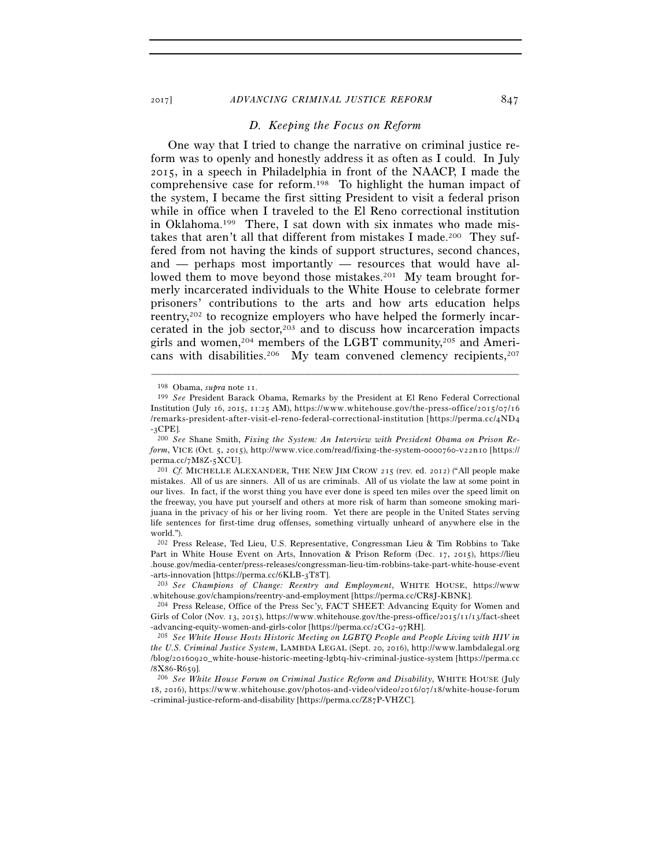#### *D. Keeping the Focus on Reform*

One way that I tried to change the narrative on criminal justice reform was to openly and honestly address it as often as I could. In July 2015, in a speech in Philadelphia in front of the NAACP, I made the comprehensive case for reform.198 To highlight the human impact of the system, I became the first sitting President to visit a federal prison while in office when I traveled to the El Reno correctional institution in Oklahoma.199 There, I sat down with six inmates who made mistakes that aren't all that different from mistakes I made.200 They suffered from not having the kinds of support structures, second chances, and — perhaps most importantly — resources that would have allowed them to move beyond those mistakes.201 My team brought formerly incarcerated individuals to the White House to celebrate former prisoners' contributions to the arts and how arts education helps reentry,202 to recognize employers who have helped the formerly incarcerated in the job sector,203 and to discuss how incarceration impacts girls and women,<sup>204</sup> members of the LGBT community,<sup>205</sup> and Americans with disabilities.<sup>206</sup> My team convened clemency recipients,<sup>207</sup>

<sup>198</sup> Obama, *supra* note 11. 199 *See* President Barack Obama, Remarks by the President at El Reno Federal Correctional Institution (July 16, 2015, 11:25 AM), https://www.whitehouse.gov/the-press-office/2015/07/16 /remarks-president-after-visit-el-reno-federal-correctional-institution [https://perma.cc/4ND4 -3CPE].

<sup>200</sup> *See* Shane Smith, *Fixing the System: An Interview with President Obama on Prison Reform*, VICE (Oct. 5, 2015), http://www.vice.com/read/fixing-the-system-0000760-v22n10 [https:// perma.cc/7M8Z-5XCU].

<sup>201</sup> *Cf.* MICHELLE ALEXANDER, THE NEW JIM CROW 215 (rev. ed. 2012) ("All people make mistakes. All of us are sinners. All of us are criminals. All of us violate the law at some point in our lives. In fact, if the worst thing you have ever done is speed ten miles over the speed limit on the freeway, you have put yourself and others at more risk of harm than someone smoking marijuana in the privacy of his or her living room. Yet there are people in the United States serving life sentences for first-time drug offenses, something virtually unheard of anywhere else in the world.").

<sup>202</sup> Press Release, Ted Lieu, U.S. Representative, Congressman Lieu & Tim Robbins to Take Part in White House Event on Arts, Innovation & Prison Reform (Dec. 17, 2015), https://lieu .house.gov/media-center/press-releases/congressman-lieu-tim-robbins-take-part-white-house-event

<sup>-</sup>arts-innovation [https://perma.cc/6KLB-3T8T]. 203 *See Champions of Change: Reentry and Employment*, WHITE HOUSE, https://www .whitehouse.gov/champions/reentry-and-employment [https://perma.cc/CR8J-KBNK]. 204 Press Release, Office of the Press Sec'y, FACT SHEET: Advancing Equity for Women and

Girls of Color (Nov. 13, 2015), https://www.whitehouse.gov/the-press-office/2015/11/13/fact-sheet -advancing-equity-women-and-girls-color [https://perma.cc/2CG2-97RH]. 205 *See White House Hosts Historic Meeting on LGBTQ People and People Living with HIV in* 

*the U.S. Criminal Justice System, LAMBDA LEGAL (Sept. 20, 2016), http://www.lambdalegal.org* /blog/20160920\_white-house-historic-meeting-lgbtq-hiv-criminal-justice-system [https://perma.cc /8X86-R659]. 206 *See White House Forum on Criminal Justice Reform and Disability*, WHITE HOUSE (July

 $18, 2016$ ), https://www.whitehouse.gov/photos-and-video/video/2016/07/18/white-house-forum -criminal-justice-reform-and-disability [https://perma.cc/Z87P-VHZC].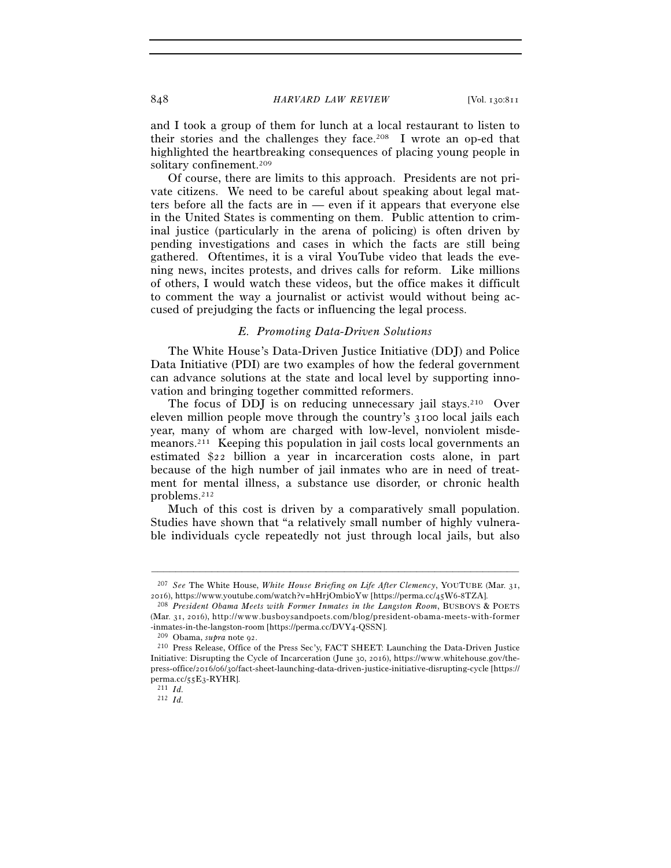and I took a group of them for lunch at a local restaurant to listen to their stories and the challenges they face.208 I wrote an op-ed that highlighted the heartbreaking consequences of placing young people in solitary confinement.209

Of course, there are limits to this approach. Presidents are not private citizens. We need to be careful about speaking about legal matters before all the facts are in — even if it appears that everyone else in the United States is commenting on them. Public attention to criminal justice (particularly in the arena of policing) is often driven by pending investigations and cases in which the facts are still being gathered. Oftentimes, it is a viral YouTube video that leads the evening news, incites protests, and drives calls for reform. Like millions of others, I would watch these videos, but the office makes it difficult to comment the way a journalist or activist would without being accused of prejudging the facts or influencing the legal process.

#### *E. Promoting Data-Driven Solutions*

The White House's Data-Driven Justice Initiative (DDJ) and Police Data Initiative (PDI) are two examples of how the federal government can advance solutions at the state and local level by supporting innovation and bringing together committed reformers.

The focus of DDJ is on reducing unnecessary jail stays.<sup>210</sup> Over eleven million people move through the country's 3100 local jails each year, many of whom are charged with low-level, nonviolent misdemeanors.211 Keeping this population in jail costs local governments an estimated \$22 billion a year in incarceration costs alone, in part because of the high number of jail inmates who are in need of treatment for mental illness, a substance use disorder, or chronic health problems.212

Much of this cost is driven by a comparatively small population. Studies have shown that "a relatively small number of highly vulnerable individuals cycle repeatedly not just through local jails, but also

<sup>–––––––––––––––––––––––––––––––––––––––––––––––––––––––––––––</sup> <sup>207</sup> *See* The White House, *White House Briefing on Life After Clemency*, YOUTUBE (Mar. 31, 2016), https://www.youtube.com/watch?v=hHrjOmbioYw [https://perma.cc/45W6-8TZA].

<sup>&</sup>lt;sup>208</sup> President Obama Meets with Former Inmates in the Langston Room, BUSBOYS & POETS (Mar. 31, 2016), http://www.busboysandpoets.com/blog/president-obama-meets-with-former -inmates-in-the-langston-room [https://perma.cc/DVY4-QSSN]. 209 Obama, *supra* note 92. 210 Press Release, Office of the Press Sec'y, FACT SHEET: Launching the Data-Driven Justice

Initiative: Disrupting the Cycle of Incarceration (June 30, 2016), https://www.whitehouse.gov/thepress-office/2016/06/30/fact-sheet-launching-data-driven-justice-initiative-disrupting-cycle [https:// perma.cc/55E3-RYHR]. 211 *Id.*

<sup>212</sup> *Id.*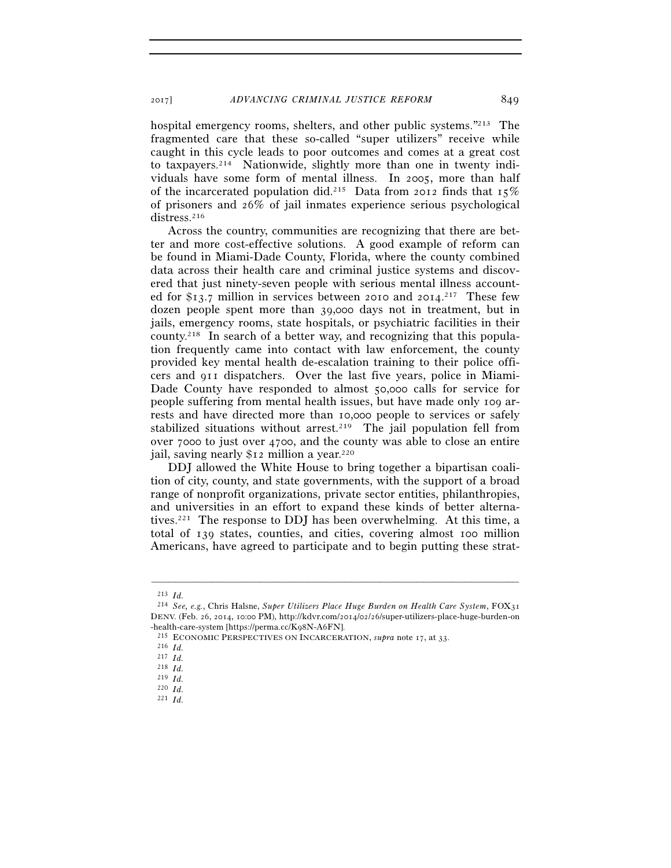hospital emergency rooms, shelters, and other public systems."<sup>213</sup> The fragmented care that these so-called "super utilizers" receive while caught in this cycle leads to poor outcomes and comes at a great cost to taxpayers.214 Nationwide, slightly more than one in twenty individuals have some form of mental illness. In 2005, more than half of the incarcerated population did.<sup>215</sup> Data from 2012 finds that  $15\%$ of prisoners and 26% of jail inmates experience serious psychological distress.<sup>216</sup>

Across the country, communities are recognizing that there are better and more cost-effective solutions. A good example of reform can be found in Miami-Dade County, Florida, where the county combined data across their health care and criminal justice systems and discovered that just ninety-seven people with serious mental illness accounted for \$13.7 million in services between 2010 and 2014.<sup>217</sup> These few dozen people spent more than 39,000 days not in treatment, but in jails, emergency rooms, state hospitals, or psychiatric facilities in their county.218 In search of a better way, and recognizing that this population frequently came into contact with law enforcement, the county provided key mental health de-escalation training to their police officers and 911 dispatchers. Over the last five years, police in Miami-Dade County have responded to almost 50,000 calls for service for people suffering from mental health issues, but have made only 109 arrests and have directed more than 10,000 people to services or safely stabilized situations without arrest.<sup>219</sup> The jail population fell from over 7000 to just over 4700, and the county was able to close an entire jail, saving nearly \$12 million a year.<sup>220</sup>

DDJ allowed the White House to bring together a bipartisan coalition of city, county, and state governments, with the support of a broad range of nonprofit organizations, private sector entities, philanthropies, and universities in an effort to expand these kinds of better alternatives.221 The response to DDJ has been overwhelming. At this time, a total of 139 states, counties, and cities, covering almost 100 million Americans, have agreed to participate and to begin putting these strat-

<sup>213</sup> *Id.*

<sup>214</sup> *See, e.g.*, Chris Halsne, *Super Utilizers Place Huge Burden on Health Care System*, FOX31 DENV. (Feb. 26, 2014, 10:00 PM), http://kdvr.com/2014/02/26/super-utilizers-place-huge-burden-on -health-care-system [https://perma.cc/K98N-A6FN]. 215 ECONOMIC PERSPECTIVES ON INCARCERATION, *supra* note 17, at 33. 216 *Id.*

<sup>217</sup> *Id.*

<sup>218</sup> *Id.*

<sup>219</sup> *Id.*

<sup>220</sup> *Id.* 221 *Id.*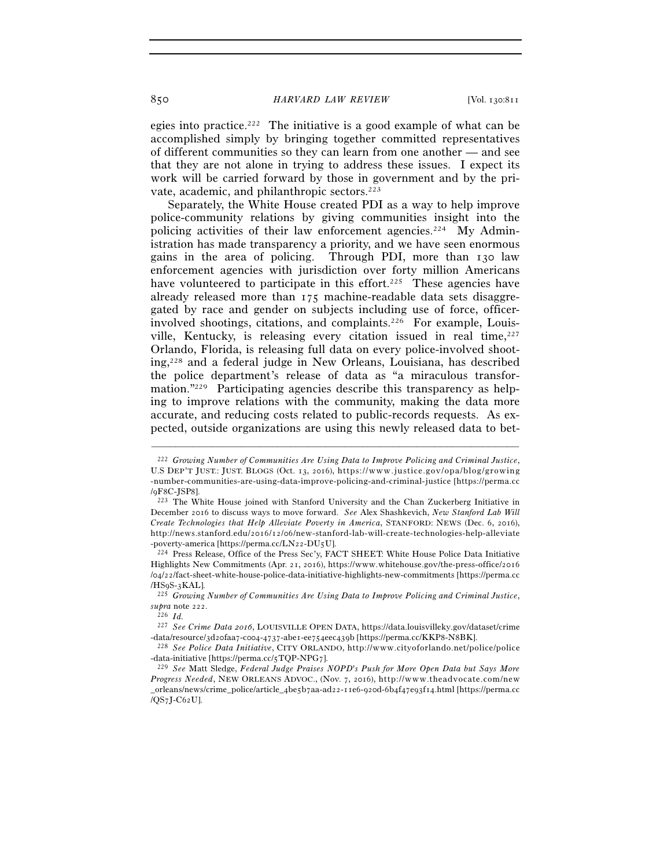egies into practice.<sup>222</sup> The initiative is a good example of what can be accomplished simply by bringing together committed representatives of different communities so they can learn from one another — and see that they are not alone in trying to address these issues. I expect its work will be carried forward by those in government and by the private, academic, and philanthropic sectors.223

Separately, the White House created PDI as a way to help improve police-community relations by giving communities insight into the policing activities of their law enforcement agencies.224 My Administration has made transparency a priority, and we have seen enormous gains in the area of policing. Through PDI, more than 130 law enforcement agencies with jurisdiction over forty million Americans have volunteered to participate in this effort.<sup>225</sup> These agencies have already released more than 175 machine-readable data sets disaggregated by race and gender on subjects including use of force, officerinvolved shootings, citations, and complaints.226 For example, Louisville, Kentucky, is releasing every citation issued in real time,  $2^{27}$ Orlando, Florida, is releasing full data on every police-involved shooting,228 and a federal judge in New Orleans, Louisiana, has described the police department's release of data as "a miraculous transformation."229 Participating agencies describe this transparency as helping to improve relations with the community, making the data more accurate, and reducing costs related to public-records requests. As expected, outside organizations are using this newly released data to bet-

<sup>222</sup> *Growing Number of Communities Are Using Data to Improve Policing and Criminal Justice*, U.S DEP'T JUST.: JUST. BLOGS (Oct. 13, 2016), https://www.justice.gov/opa/blog/growing -number-communities-are-using-data-improve-policing-and-criminal-justice [https://perma.cc /9F8C-JSP8]. 223 The White House joined with Stanford University and the Chan Zuckerberg Initiative in

December 2016 to discuss ways to move forward. *See* Alex Shashkevich, *New Stanford Lab Will Create Technologies that Help Alleviate Poverty in America*, STANFORD: NEWS (Dec. 6, 2016), http://news.stanford.edu/2016/12/06/new-stanford-lab-will-create-technologies-help-alleviate

<sup>-</sup>poverty-america [https://perma.cc/LN22-DU5U]. 224 Press Release, Office of the Press Sec'y, FACT SHEET: White House Police Data Initiative Highlights New Commitments (Apr. 21, 2016), https://www.whitehouse.gov/the-press-office/2016 /o4/22/fact-sheet-white-house-police-data-initiative-highlights-new-commitments [https://perma.cc /HS9S-3KAL]. 225 *Growing Number of Communities Are Using Data to Improve Policing and Criminal Justice*,

*supra* note 222. 226 *Id.*

<sup>&</sup>lt;sup>227</sup> See Crime Data 2016, LOUISVILLE OPEN DATA, https://data.louisvilleky.gov/dataset/crime -data/resource/3d2ofaa7-c004-4737-abe1-ee754eec439b [https://perma.cc/KKP8-N8BK].<br><sup>228</sup> See Police Data Initiative, CITY ORLANDO, http://www.cityoforlando.net/police/police

<sup>-</sup>data-initiative [https://perma.cc/5TQP-NPG7]. 229 *See* Matt Sledge, *Federal Judge Praises NOPD's Push for More Open Data but Says More* 

*Progress Needed*, NEW ORLEANS ADVOC., (Nov. 7, 2016), http://www.theadvocate.com/new  $or$  leans/news/crime police/article  $_4$ be $\frac{1}{2}$ b $\frac{1}{2}$ a  $-$ ad  $2$  -11e 6 - 920d - 6 b  $4$ f $4$ 7e  $\frac{1}{2}$ f $14$ , ht m l [https://perma.cc /QS7J-C62U].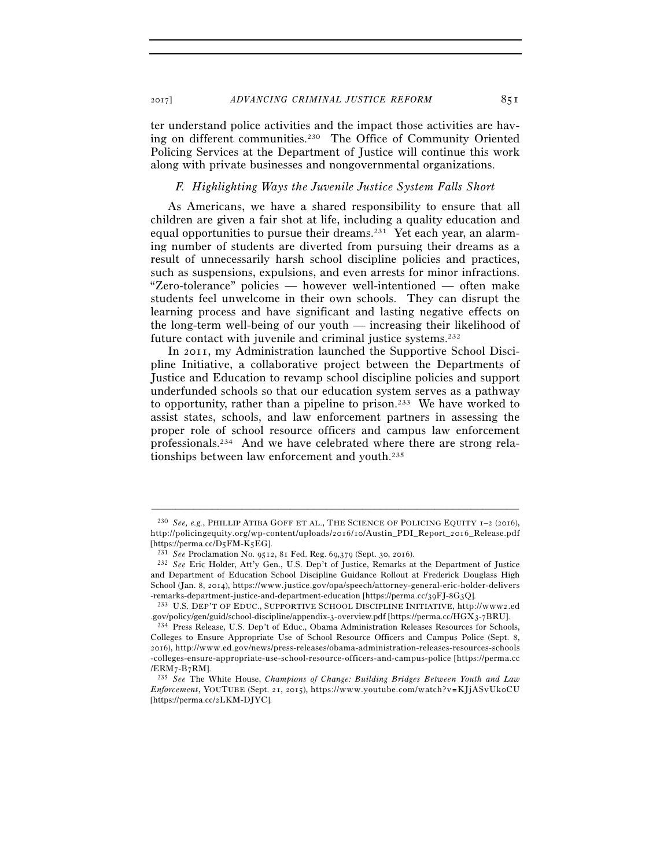2017] *ADVANCING CRIMINAL JUSTICE REFORM* 851

ter understand police activities and the impact those activities are having on different communities.230 The Office of Community Oriented Policing Services at the Department of Justice will continue this work along with private businesses and nongovernmental organizations.

#### *F. Highlighting Ways the Juvenile Justice System Falls Short*

As Americans, we have a shared responsibility to ensure that all children are given a fair shot at life, including a quality education and equal opportunities to pursue their dreams.231 Yet each year, an alarming number of students are diverted from pursuing their dreams as a result of unnecessarily harsh school discipline policies and practices, such as suspensions, expulsions, and even arrests for minor infractions. "Zero-tolerance" policies — however well-intentioned — often make students feel unwelcome in their own schools. They can disrupt the learning process and have significant and lasting negative effects on the long-term well-being of our youth — increasing their likelihood of future contact with juvenile and criminal justice systems.<sup>232</sup>

In 2011, my Administration launched the Supportive School Discipline Initiative, a collaborative project between the Departments of Justice and Education to revamp school discipline policies and support underfunded schools so that our education system serves as a pathway to opportunity, rather than a pipeline to prison.233 We have worked to assist states, schools, and law enforcement partners in assessing the proper role of school resource officers and campus law enforcement professionals.234 And we have celebrated where there are strong relationships between law enforcement and youth.235

<sup>230</sup> *See, e.g.*, PHILLIP ATIBA GOFF ET AL., THE SCIENCE OF POLICING EQUITY 1–2 (2016), http://policingequity.org/wp-content/uploads/2016/10/Austin\_PDI\_Report\_2016\_Release.pdf [https://perma.cc/D5FM-K5EG]. 231 *See* Proclamation No. 9512, 81 Fed. Reg. 69,379 (Sept. 30, 2016). 232 *See* Eric Holder, Att'y Gen., U.S. Dep't of Justice, Remarks at the Department of Justice

and Department of Education School Discipline Guidance Rollout at Frederick Douglass High School (Jan. 8, 2014), https://www.justice.gov/opa/speech/attorney-general-eric-holder-delivers<br>-remarks-department-justice-and-department-education [https://perma.cc/39FJ-8G3Q].

<sup>&</sup>lt;sup>233</sup> U.S. DEP'T OF EDUC., SUPPORTIVE SCHOOL DISCIPLINE INITIATIVE, http://www2.ed<br>.gov/policy/gen/guid/school-discipline/appendix-3-overview.pdf [https://perma.cc/HGX3-7BRU].

<sup>&</sup>lt;sup>234</sup> Press Release, U.S. Dep't of Educ., Obama Administration Releases Resources for Schools, Colleges to Ensure Appropriate Use of School Resource Officers and Campus Police (Sept. 8, 2016), http://www.ed.gov/news/press-releases/obama-administration-releases-resources-schools -colleges-ensure-appropriate-use-school-resource-officers-and-campus-police [https://perma.cc /ERM7-B7RM]. 235 *See* The White House, *Champions of Change: Building Bridges Between Youth and Law* 

*Enforcement*, YOUTUBE (Sept. 21, 2015), https://www.voutube.com/watch?v=KJjASvUkoCU [https://perma.cc/2LKM-DJYC].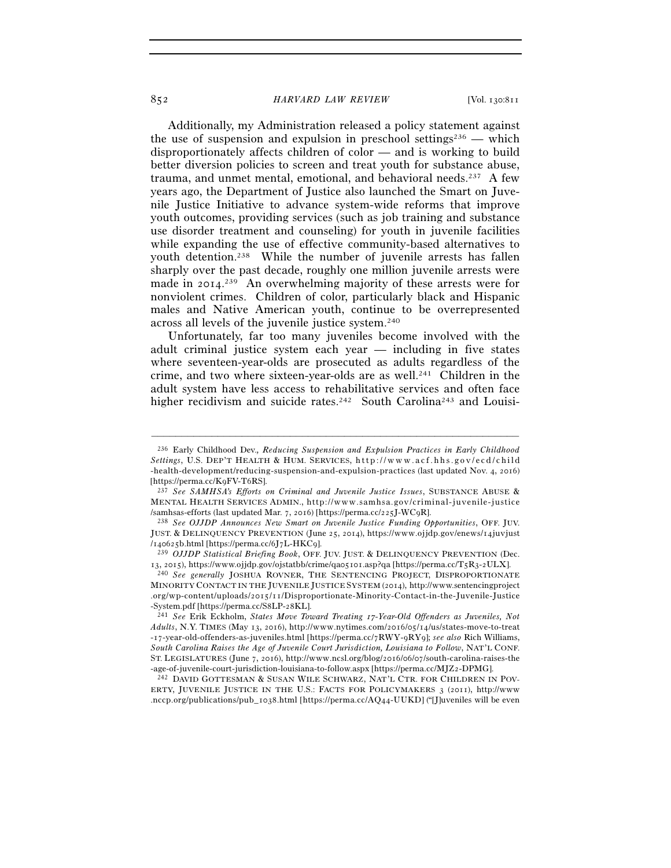Additionally, my Administration released a policy statement against the use of suspension and expulsion in preschool settings<sup>236</sup> — which disproportionately affects children of color — and is working to build better diversion policies to screen and treat youth for substance abuse, trauma, and unmet mental, emotional, and behavioral needs.237 A few years ago, the Department of Justice also launched the Smart on Juvenile Justice Initiative to advance system-wide reforms that improve youth outcomes, providing services (such as job training and substance use disorder treatment and counseling) for youth in juvenile facilities while expanding the use of effective community-based alternatives to youth detention.238 While the number of juvenile arrests has fallen sharply over the past decade, roughly one million juvenile arrests were made in 2014. 239 An overwhelming majority of these arrests were for nonviolent crimes. Children of color, particularly black and Hispanic males and Native American youth, continue to be overrepresented across all levels of the juvenile justice system.240

Unfortunately, far too many juveniles become involved with the adult criminal justice system each year — including in five states where seventeen-year-olds are prosecuted as adults regardless of the crime, and two where sixteen-year-olds are as well.241 Children in the adult system have less access to rehabilitative services and often face higher recidivism and suicide rates.<sup>242</sup> South Carolina<sup>243</sup> and Louisi-

–––––––––––––––––––––––––––––––––––––––––––––––––––––––––––––

ERTY, JUVENILE JUSTICE IN THE U.S.: FACTS FOR POLICYMAKERS 3 (2011), http://www .nccp.org/publications/pub\_1038.html [https://perma.cc/AQ44-UUKD] ("[J]uveniles will be even

<sup>236</sup> Early Childhood Dev.*, Reducing Suspension and Expulsion Practices in Early Childhood Settings*, U.S. DEP'T HEALTH & HUM. SERVICES, http://www.acf.hhs.gov/ecd/child -health-development/reducing-suspension-and-expulsion-practices (last updated Nov. 4, 2016) [https://perma.cc/K9FV-T6RS]. 237 *See SAMHSA's Efforts on Criminal and Juvenile Justice Issues*, SUBSTANCE ABUSE &

MENTAL HEALTH SERVICES ADMIN., http://www.samhsa.gov/criminal-juvenile-justice /samhsas-efforts (last updated Mar. 7, 2016) [https://perma.cc/225J-WC9R]. 238 *See OJJDP Announces New Smart on Juvenile Justice Funding Opportunities*, OFF. JUV.

JUST. & DELINQUENCY PREVENTION (June 25, 2014), https://www.ojjdp.gov/enews/14juvjust

<sup>/</sup>140625b.html [https://perma.cc/6J7L-HKC9]. 239 *OJJDP Statistical Briefing Book*, OFF. JUV. JUST. & DELINQUENCY PREVENTION (Dec.

<sup>&</sup>lt;sup>240</sup> See generally JOSHUA ROVNER, THE SENTENCING PROJECT, DISPROPORTIONATE MINORITY CONTACT IN THE JUVENILE JUSTICE SYSTEM (2014), http://www.sentencingproject .org/wp-content/uploads/2015/11/Disproportionate-Minority-Contact-in-the-Juvenile-Justice -System.pdf [https://perma.cc/S8LP-28KL]. 241 *See* Erik Eckholm, *States Move Toward Treating 17-Year-Old Offenders as Juveniles, Not* 

*Adults*, N.Y. TIMES (May 13, 2016), http://www.nytimes.com/2016/05/14/us/states-move-to-treat -17-year-old-offenders-as-juveniles.html [https://perma.cc/7RWY-9RY9]; see also Rich Williams, *South Carolina Raises the Age of Juvenile Court Jurisdiction, Louisiana to Follow*, NAT'L CONF. ST. LEGISLATURES (June 7, 2016), http://www.ncsl.org/blog/2016/06/07/south-carolina-raises-the -age-of-juvenile-court-jurisdiction-louisiana-to-follow.aspx [https://perma.cc/MJZ2-DPMG]. 242 DAVID GOTTESMAN & SUSAN WILE SCHWARZ, NAT'L CTR. FOR CHILDREN IN POV-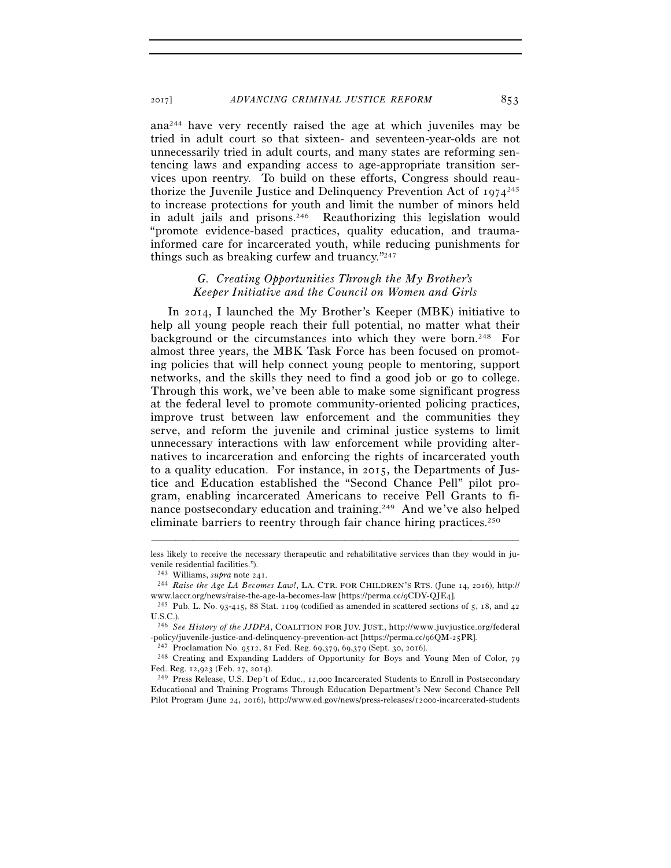ana244 have very recently raised the age at which juveniles may be tried in adult court so that sixteen- and seventeen-year-olds are not unnecessarily tried in adult courts, and many states are reforming sentencing laws and expanding access to age-appropriate transition services upon reentry. To build on these efforts, Congress should reauthorize the Juvenile Justice and Delinquency Prevention Act of  $1974^{245}$ to increase protections for youth and limit the number of minors held in adult jails and prisons.246 Reauthorizing this legislation would "promote evidence-based practices, quality education, and traumainformed care for incarcerated youth, while reducing punishments for things such as breaking curfew and truancy."247

# *G. Creating Opportunities Through the My Brother's Keeper Initiative and the Council on Women and Girls*

In 2014, I launched the My Brother's Keeper (MBK) initiative to help all young people reach their full potential, no matter what their background or the circumstances into which they were born.248 For almost three years, the MBK Task Force has been focused on promoting policies that will help connect young people to mentoring, support networks, and the skills they need to find a good job or go to college. Through this work, we've been able to make some significant progress at the federal level to promote community-oriented policing practices, improve trust between law enforcement and the communities they serve, and reform the juvenile and criminal justice systems to limit unnecessary interactions with law enforcement while providing alternatives to incarceration and enforcing the rights of incarcerated youth to a quality education. For instance, in 2015, the Departments of Justice and Education established the "Second Chance Pell" pilot program, enabling incarcerated Americans to receive Pell Grants to finance postsecondary education and training.249 And we've also helped eliminate barriers to reentry through fair chance hiring practices.<sup>250</sup>

<sup>–––––––––––––––––––––––––––––––––––––––––––––––––––––––––––––</sup> less likely to receive the necessary therapeutic and rehabilitative services than they would in juvenile residential facilities.").

<sup>243</sup> Williams, *supra* note 241. 244 *Raise the Age LA Becomes Law!*, LA. CTR. FOR CHILDREN'S RTS. (June 14, 2016), http://

<sup>&</sup>lt;sup>245</sup> Pub. L. No. 93-415, 88 Stat. 1109 (codified as amended in scattered sections of 5, 18, and 42 U.S.C.).

<sup>&</sup>lt;sup>246</sup> See History of the JJDPA, COALITION FOR JUV. JUST., http://www.juvjustice.org/federal -policy/juvenile-justice-and-delinquency-prevention-act [https://perma.cc/96QM-25PR].<br><sup>247</sup> Proclamation No. 9512, 81 Fed. Reg. 69,379, 69,379 (Sept. 30, 2016).<br><sup>248</sup> Creating and Expanding Ladders of Opportunity for Boys

Fed. Reg. 12,923 (Feb. 27, 2014).<br><sup>249</sup> Press Release, U.S. Dep't of Educ., 12,000 Incarcerated Students to Enroll in Postsecondary

Educational and Training Programs Through Education Department's New Second Chance Pell Pilot Program (June 24, 2016), http://www.ed.gov/news/press-releases/12000-incarcerated-students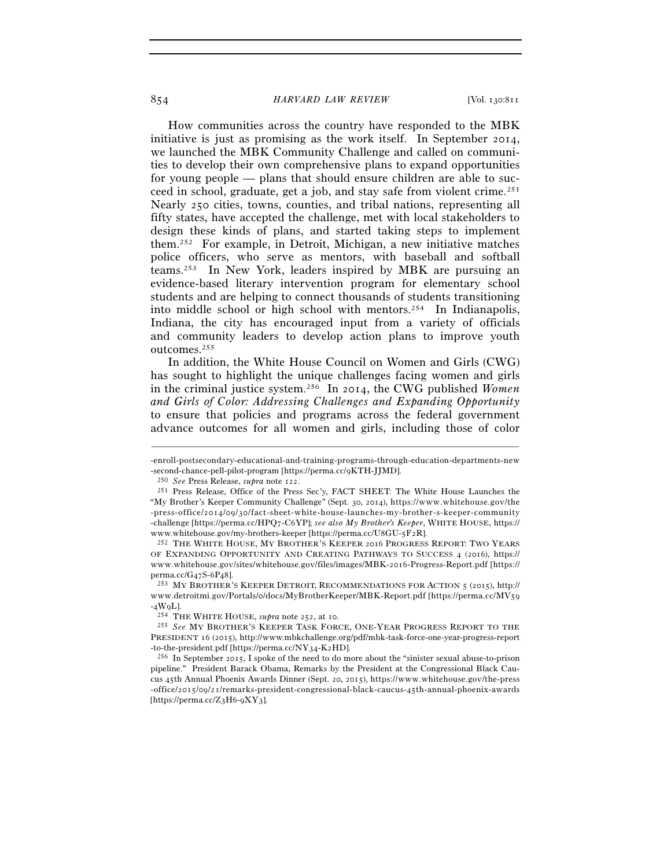How communities across the country have responded to the MBK initiative is just as promising as the work itself. In September 2014, we launched the MBK Community Challenge and called on communities to develop their own comprehensive plans to expand opportunities for young people — plans that should ensure children are able to succeed in school, graduate, get a job, and stay safe from violent crime.251 Nearly 250 cities, towns, counties, and tribal nations, representing all fifty states, have accepted the challenge, met with local stakeholders to design these kinds of plans, and started taking steps to implement them.252 For example, in Detroit, Michigan, a new initiative matches police officers, who serve as mentors, with baseball and softball teams.253 In New York, leaders inspired by MBK are pursuing an evidence-based literary intervention program for elementary school students and are helping to connect thousands of students transitioning into middle school or high school with mentors.254 In Indianapolis, Indiana, the city has encouraged input from a variety of officials and community leaders to develop action plans to improve youth outcomes.255

In addition, the White House Council on Women and Girls (CWG) has sought to highlight the unique challenges facing women and girls in the criminal justice system.256 In 2014, the CWG published *Women and Girls of Color: Addressing Challenges and Expanding Opportunity* to ensure that policies and programs across the federal government advance outcomes for all women and girls, including those of color

<sup>–––––––––––––––––––––––––––––––––––––––––––––––––––––––––––––</sup> -enroll-postsecondary-educational-and-training-programs-through-education-departments-new -second-chance-pell-pilot-program [https://perma.cc/9KTH-JJMD]. 250 *See* Press Release, *supra* note 122. 251 Press Release, Office of the Press Sec'y, FACT SHEET: The White House Launches the

<sup>&</sup>quot;My Brother's Keeper Community Challenge" (Sept. 30, 2014), https://www.whitehouse.gov/the -press-office/2014/09/30/fact-sheet-white-house-launches-my-brother-s-keeper-community -challenge [https://perma.cc/HPQ7-C6YP]; see also My Brother's Keeper, WHITE HOUSE, https:// www.whitehouse.gov/my-brothers-keeper [https://perma.cc/U8GU-5F2R]. 252 THE WHITE HOUSE, MY BROTHER'S KEEPER <sup>2016</sup> PROGRESS REPORT: TWO YEARS

OF EXPANDING OPPORTUNITY AND CREATING PATHWAYS TO SUCCESS 4 (2016), https:// www.whitehouse.gov/sites/whitehouse.gov/files/images/MBK-2016-Progress-Report.pdf [https:// perma.cc/G47S-6P48].<br><sup>253</sup> MY BROTHER'S KEEPER DETROIT, RECOMMENDATIONS FOR ACTION 5 (2015), http://

www.detroitmi.gov/Portals/o/docs/MyBrotherKeeper/MBK-Report.pdf [https://perma.cc/MV59 -4W9L]. 254 THE WHITE HOUSE, *supra* note 252, at 10. 255 *See* MY BROTHER'S KEEPER TASK FORCE, ONE-YEAR PROGRESS REPORT TO THE

PRESIDENT 16 (2015), http://www.mbkchallenge.org/pdf/mbk-task-force-one-year-progress-report -to-the-president.pdf [https://perma.cc/NY34-K2HD]. 256 In September 2015, I spoke of the need to do more about the "sinister sexual abuse-to-prison

pipeline." President Barack Obama, Remarks by the President at the Congressional Black Caucus 45th Annual Phoenix Awards Dinner (Sept. 20, 2015), https://www.whitehouse.gov/the-press -office/2015/09/21/remarks-president-congressional-black-caucus-45th-annual-phoenix-awards [https://perma.cc/Z3H6-9XY3].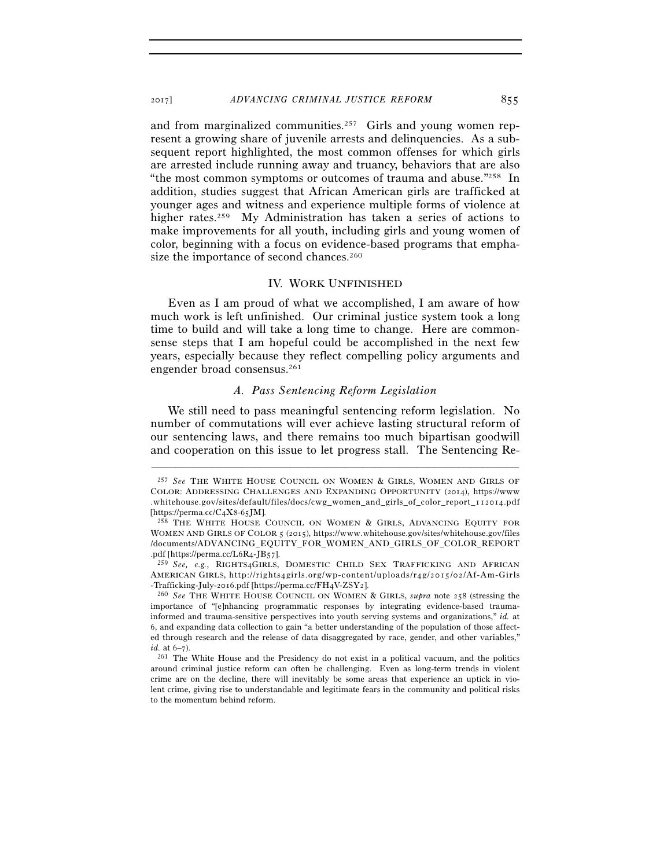and from marginalized communities.<sup>257</sup> Girls and young women represent a growing share of juvenile arrests and delinquencies. As a subsequent report highlighted, the most common offenses for which girls are arrested include running away and truancy, behaviors that are also "the most common symptoms or outcomes of trauma and abuse."258 In addition, studies suggest that African American girls are trafficked at younger ages and witness and experience multiple forms of violence at higher rates.<sup>259</sup> My Administration has taken a series of actions to make improvements for all youth, including girls and young women of color, beginning with a focus on evidence-based programs that emphasize the importance of second chances.<sup>260</sup>

#### IV. WORK UNFINISHED

Even as I am proud of what we accomplished, I am aware of how much work is left unfinished. Our criminal justice system took a long time to build and will take a long time to change. Here are commonsense steps that I am hopeful could be accomplished in the next few years, especially because they reflect compelling policy arguments and engender broad consensus.261

# *A. Pass Sentencing Reform Legislation*

We still need to pass meaningful sentencing reform legislation. No number of commutations will ever achieve lasting structural reform of our sentencing laws, and there remains too much bipartisan goodwill and cooperation on this issue to let progress stall. The Sentencing Re-

<sup>257</sup> *See* THE WHITE HOUSE COUNCIL ON WOMEN & GIRLS, WOMEN AND GIRLS OF COLOR: ADDRESSING CHALLENGES AND EXPANDING OPPORTUNITY (2014), https://www .whitehouse.gov/sites/default/files/docs/cwg\_women\_and\_girls\_of\_color\_report\_112014.pdf<br>[https://perma.cc/C4X8-65JM].

<sup>&</sup>lt;sup>258</sup> THE WHITE HOUSE COUNCIL ON WOMEN & GIRLS, ADVANCING EQUITY FOR WOMEN AND GIRLS OF COLOR 5 (2015), https://www.whitehouse.gov/sites/whitehouse.gov/files /documents/ADVANCING\_EQUITY\_FOR\_WOMEN\_AND\_GIRLS\_OF\_COLOR\_REPORT .pdf [https://perma.cc/L6R4-JB57].

<sup>259</sup> *See, e.g.*, RIGHTS4GIRLS, DOMESTIC CHILD SEX TRAFFICKING AND AFRICAN AMERICAN GIRLS, http://rights4girls.org/wp-content/uploads/r4g/2015/02/Af-Am-Girls -Trafficking-July-2016.pdf [https://perma.cc/FH4V-ZSY2]. 260 *See* THE WHITE HOUSE COUNCIL ON WOMEN & GIRLS, *supra* note 258 (stressing the

importance of "[e]nhancing programmatic responses by integrating evidence-based traumainformed and trauma-sensitive perspectives into youth serving systems and organizations," *id.* at 6, and expanding data collection to gain "a better understanding of the population of those affected through research and the release of data disaggregated by race, gender, and other variables," *id.* at 6–7).<br><sup>261</sup> The White House and the Presidency do not exist in a political vacuum, and the politics

around criminal justice reform can often be challenging. Even as long-term trends in violent crime are on the decline, there will inevitably be some areas that experience an uptick in violent crime, giving rise to understandable and legitimate fears in the community and political risks to the momentum behind reform.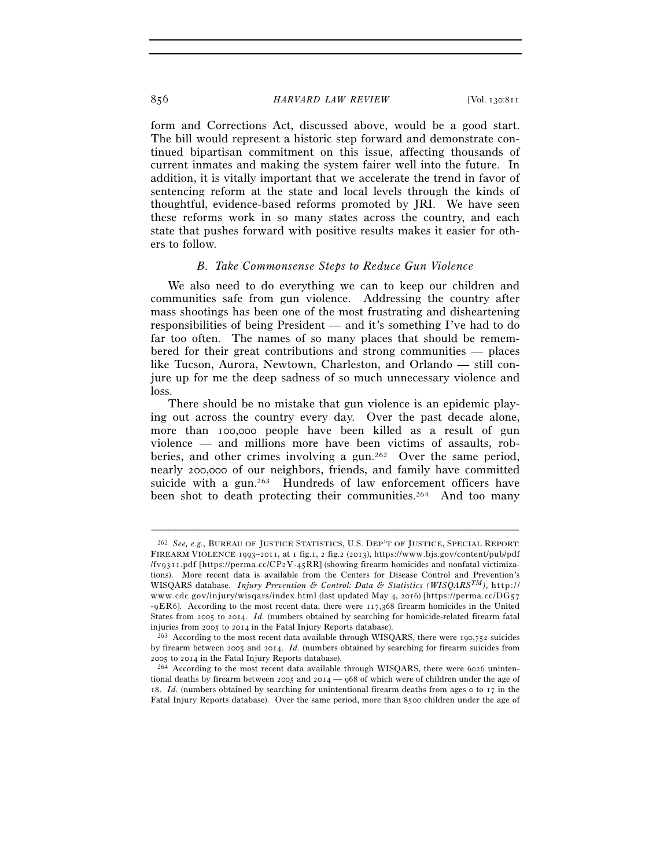form and Corrections Act, discussed above, would be a good start. The bill would represent a historic step forward and demonstrate continued bipartisan commitment on this issue, affecting thousands of current inmates and making the system fairer well into the future. In addition, it is vitally important that we accelerate the trend in favor of sentencing reform at the state and local levels through the kinds of thoughtful, evidence-based reforms promoted by JRI. We have seen these reforms work in so many states across the country, and each state that pushes forward with positive results makes it easier for others to follow.

#### *B. Take Commonsense Steps to Reduce Gun Violence*

We also need to do everything we can to keep our children and communities safe from gun violence. Addressing the country after mass shootings has been one of the most frustrating and disheartening responsibilities of being President — and it's something I've had to do far too often. The names of so many places that should be remembered for their great contributions and strong communities — places like Tucson, Aurora, Newtown, Charleston, and Orlando — still conjure up for me the deep sadness of so much unnecessary violence and loss.

There should be no mistake that gun violence is an epidemic playing out across the country every day. Over the past decade alone, more than 100,000 people have been killed as a result of gun violence — and millions more have been victims of assaults, robberies, and other crimes involving a gun.262 Over the same period, nearly 200,000 of our neighbors, friends, and family have committed suicide with a gun.<sup>263</sup> Hundreds of law enforcement officers have been shot to death protecting their communities.<sup>264</sup> And too many

<sup>262</sup> *See, e.g.*, BUREAU OF JUSTICE STATISTICS, U.S. DEP'T OF JUSTICE, SPECIAL REPORT: FIREARM VIOLENCE 1993-2011, at 1 fig.1, 2 fig.2 (2013), https://www.bjs.gov/content/pub/pdf  $/(fvg311.pdf$  [https://perma.cc/CP2Y-45RR] (showing firearm homicides and nonfatal victimizations). More recent data is available from the Centers for Disease Control and Prevention's WISQARS database. *Injury Prevention & Control: Data & Statistics (WISQARS<sup>TM</sup>)*, http:// www.cdc.gov/injury/wisqars/index.html (last updated May 4, 2016) [https://perma.cc/DG57  $-9ER6$ ]. According to the most recent data, there were  $117,368$  firearm homicides in the United States from 2005 to 2014. *Id.* (numbers obtained by searching for homicide-related firearm fatal injuries from 2005 to 2014 in the Fatal Injury Reports database).<br><sup>263</sup> According to the most recent data available through WISQARS, there were 190,752 suicides

by firearm between 2005 and 2014. *Id.* (numbers obtained by searching for firearm suicides from  $2005$  to  $2014$  in the Fatal Injury Reports database).<br><sup>264</sup> According to the most recent data available through WISQARS, there were 6026 uninten-

tional deaths by firearm between 2005 and 2014 — 968 of which were of children under the age of 18. *Id.* (numbers obtained by searching for unintentional firearm deaths from ages 0 to 17 in the Fatal Injury Reports database). Over the same period, more than 8500 children under the age of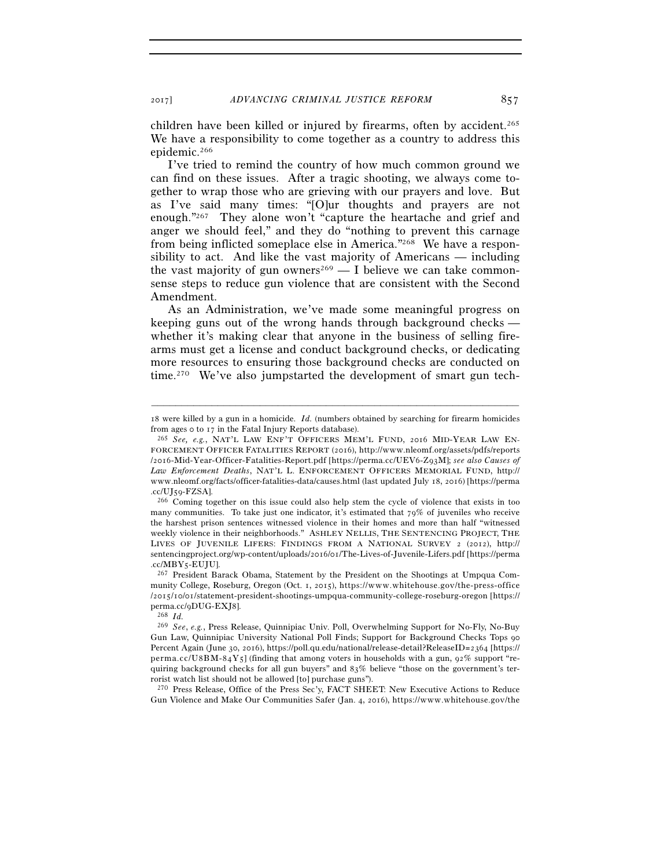children have been killed or injured by firearms, often by accident.<sup>265</sup> We have a responsibility to come together as a country to address this epidemic.266

I've tried to remind the country of how much common ground we can find on these issues. After a tragic shooting, we always come together to wrap those who are grieving with our prayers and love. But as I've said many times: "[O]ur thoughts and prayers are not enough."267 They alone won't "capture the heartache and grief and anger we should feel," and they do "nothing to prevent this carnage from being inflicted someplace else in America."268 We have a responsibility to act. And like the vast majority of Americans — including the vast majority of gun owners<sup>269</sup> — I believe we can take commonsense steps to reduce gun violence that are consistent with the Second Amendment.

As an Administration, we've made some meaningful progress on keeping guns out of the wrong hands through background checks whether it's making clear that anyone in the business of selling firearms must get a license and conduct background checks, or dedicating more resources to ensuring those background checks are conducted on time.270 We've also jumpstarted the development of smart gun tech-

270 Press Release, Office of the Press Sec'y, FACT SHEET: New Executive Actions to Reduce Gun Violence and Make Our Communities Safer (Jan. 4, 2016), https://www.whitehouse.gov/the

<sup>–––––––––––––––––––––––––––––––––––––––––––––––––––––––––––––</sup> 18 were killed by a gun in a homicide. *Id.* (numbers obtained by searching for firearm homicides from ages 0 to 17 in the Fatal Injury Reports database). 265 *See, e.g.*, NAT'L LAW ENF'T OFFICERS MEM'L FUND, <sup>2016</sup> MID-YEAR LAW EN-

FORCEMENT OFFICER FATALITIES REPORT (2016), http://www.nleomf.org/assets/pdfs/reports /2016-Mid-Year-Officer-Fatalities-Report.pdf [https://perma.cc/UEV6-Z93M]; see also Causes of *Law Enforcement Deaths*, NAT'L L. ENFORCEMENT OFFICERS MEMORIAL FUND, http:// www.nleomf.org/facts/officer-fatalities-data/causes.html (last updated July 18, 2016) [https://perma

<sup>.</sup>cc/UJ59-FZSA]. 266 Coming together on this issue could also help stem the cycle of violence that exists in too many communities. To take just one indicator, it's estimated that  $79\%$  of juveniles who receive the harshest prison sentences witnessed violence in their homes and more than half "witnessed weekly violence in their neighborhoods." ASHLEY NELLIS, THE SENTENCING PROJECT, THE LIVES OF JUVENILE LIFERS: FINDINGS FROM A NATIONAL SURVEY 2 (2012), http:// sentencingproject.org/wp-content/uploads/2016/01/The-Lives-of-Juvenile-Lifers.pdf [https://perma .cc/MBY5-EUJU]. 267 President Barack Obama, Statement by the President on the Shootings at Umpqua Com-

munity College, Roseburg, Oregon (Oct. 1, 2015), https://www.whitehouse.gov/the-press-office //2015/10/01/statement-president-shootings-umpqua-community-college-roseburg-oregon [https:// perma.cc/9DUG-EXJ8]. 268 *Id.*

<sup>269</sup> *See*, *e.g.*, Press Release, Quinnipiac Univ. Poll, Overwhelming Support for No-Fly, No-Buy Gun Law, Quinnipiac University National Poll Finds; Support for Background Checks Tops 90 Percent Again (June 30, 2016), https://poll.qu.edu/national/release-detail?ReleaseID=2364 [https:// perma.cc/U8BM-84Y5] (finding that among voters in households with a gun, 92% support "requiring background checks for all gun buyers" and 83% believe "those on the government's terrorist watch list should not be allowed [to] purchase guns").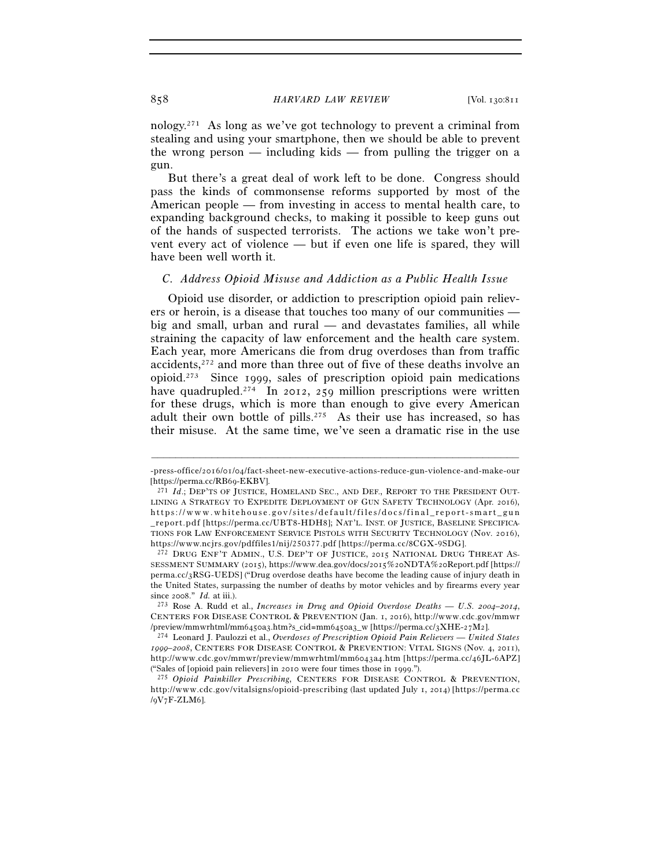nology.271 As long as we've got technology to prevent a criminal from stealing and using your smartphone, then we should be able to prevent the wrong person — including kids — from pulling the trigger on a gun.

But there's a great deal of work left to be done. Congress should pass the kinds of commonsense reforms supported by most of the American people — from investing in access to mental health care, to expanding background checks, to making it possible to keep guns out of the hands of suspected terrorists. The actions we take won't prevent every act of violence — but if even one life is spared, they will have been well worth it.

### *C. Address Opioid Misuse and Addiction as a Public Health Issue*

Opioid use disorder, or addiction to prescription opioid pain relievers or heroin, is a disease that touches too many of our communities big and small, urban and rural — and devastates families, all while straining the capacity of law enforcement and the health care system. Each year, more Americans die from drug overdoses than from traffic accidents,272 and more than three out of five of these deaths involve an opioid.273 Since 1999, sales of prescription opioid pain medications have quadrupled.<sup>274</sup> In 2012, 259 million prescriptions were written for these drugs, which is more than enough to give every American adult their own bottle of pills.275 As their use has increased, so has their misuse. At the same time, we've seen a dramatic rise in the use

<sup>–––––––––––––––––––––––––––––––––––––––––––––––––––––––––––––</sup> -press-office/2016/01/04/fact-sheet-new-executive-actions-reduce-gun-violence-and-make-our [https://perma.cc/RB69-EKBV]. 271 *Id*.; DEP'TS OF JUSTICE, HOMELAND SEC., AND DEF., REPORT TO THE PRESIDENT OUT-

LINING A STRATEGY TO EXPEDITE DEPLOYMENT OF GUN SAFETY TECHNOLOGY (Apr. 2016), https://www.whitehouse.gov/sites/default/files/docs/final\_report-smart\_gun \_ r e p o r t . p d f [https://perma.cc/UBT8-HDH8]; NAT'L. INST. OF JUSTICE, BASELINE SPECIFICA-TIONS FOR LAW ENFORCEMENT SERVICE PISTOLS WITH SECURITY TECHNOLOGY (Nov. 2016),

https://www.ncjrs.gov/pdffiles1/nij/250377.pdf [https://perma.cc/8CGX-9SDG]. 272 DRUG ENF'T ADMIN., U.S. DEP'T OF JUSTICE, <sup>2015</sup> NATIONAL DRUG THREAT AS-SESSMENT SUMMARY  $(2015)$ , https://www.dea.gov/docs/ $2015\%$ 20NDTA $\%$ 20Report.pdf [https:// perma. $cc/3RSG-UEDS$  ("Drug overdose deaths have become the leading cause of injury death in the United States, surpassing the number of deaths by motor vehicles and by firearms every year since 2008." *Id.* at iii.). 273 Rose A. Rudd et al., *Increases in Drug and Opioid Overdose Deaths — U.S. 2004–2014*,

CENTERS FOR DISEASE CONTROL & PREVENTION (Jan. 1, 2016), http://www.cdc.gov/mmwr /preview/mmwrhtml/mm6450a3.htm?s\_cid=mm6450a3\_w [https://perma.cc/3XHE-27M2]. 274 Leonard J. Paulozzi et al., *Overdoses of Prescription Opioid Pain Relievers — United States* 

*<sup>1999</sup>–2008*, CENTERS FOR DISEASE CONTROL & PREVENTION: VITAL SIGNS (Nov. 4, 2011), http://www.cdc.gov/mmwr/preview/mmwrhtml/mm6043a4.htm [https://perma.cc/46JL-6APZ]<br>("Sales of [opioid pain relievers] in 2010 were four times those in 1999.").

<sup>&</sup>lt;sup>275</sup> Opioid Painkiller Prescribing, CENTERS FOR DISEASE CONTROL & PREVENTION, http://www.cdc.gov/vitalsigns/opioid-prescribing (last updated July 1, 2014) [https://perma.cc /9V7F-ZLM6].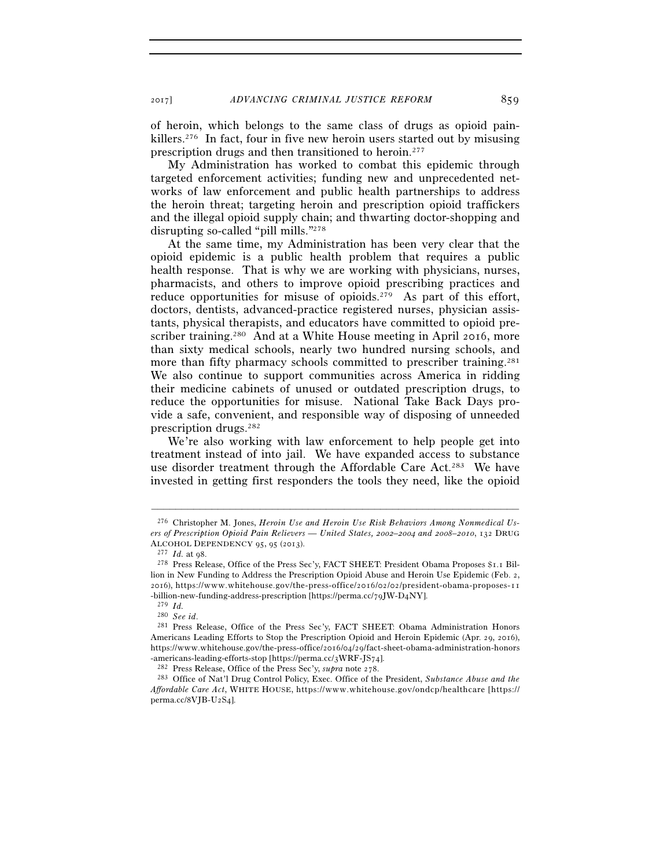of heroin, which belongs to the same class of drugs as opioid painkillers.276 In fact, four in five new heroin users started out by misusing prescription drugs and then transitioned to heroin.277

My Administration has worked to combat this epidemic through targeted enforcement activities; funding new and unprecedented networks of law enforcement and public health partnerships to address the heroin threat; targeting heroin and prescription opioid traffickers and the illegal opioid supply chain; and thwarting doctor-shopping and disrupting so-called "pill mills."278

At the same time, my Administration has been very clear that the opioid epidemic is a public health problem that requires a public health response. That is why we are working with physicians, nurses, pharmacists, and others to improve opioid prescribing practices and reduce opportunities for misuse of opioids.<sup>279</sup> As part of this effort, doctors, dentists, advanced-practice registered nurses, physician assistants, physical therapists, and educators have committed to opioid prescriber training.<sup>280</sup> And at a White House meeting in April 2016, more than sixty medical schools, nearly two hundred nursing schools, and more than fifty pharmacy schools committed to prescriber training.<sup>281</sup> We also continue to support communities across America in ridding their medicine cabinets of unused or outdated prescription drugs, to reduce the opportunities for misuse. National Take Back Days provide a safe, convenient, and responsible way of disposing of unneeded prescription drugs.282

We're also working with law enforcement to help people get into treatment instead of into jail. We have expanded access to substance use disorder treatment through the Affordable Care Act.283 We have invested in getting first responders the tools they need, like the opioid

<sup>276</sup> Christopher M. Jones, *Heroin Use and Heroin Use Risk Behaviors Among Nonmedical Users of Prescription Opioid Pain Relievers — United States, 2002–2004 and 2008–2010*, 132 DRUG ALCOHOL DEPENDENCY 95, 95 (2013).<br><sup>277</sup> *Id.* at 98.<br><sup>278</sup> Press Release, Office of the Press Sec'y, FACT SHEET: President Obama Proposes \$1.1 Bil-

lion in New Funding to Address the Prescription Opioid Abuse and Heroin Use Epidemic (Feb. 2, 2016), https://www.whitehouse.gov/the-press-office/2016/02/02/president-obama-proposes-11 -billion-new-funding-address-prescription [https://perma.cc/79JW-D4NY].

<sup>279</sup> *Id.*

<sup>&</sup>lt;sup>281</sup> Press Release, Office of the Press Sec'y, FACT SHEET: Obama Administration Honors Americans Leading Efforts to Stop the Prescription Opioid and Heroin Epidemic (Apr. 29, 2016), https://www.whitehouse.gov/the-press-office/2016/04/29/fact-sheet-obama-administration-honors -americans-leading-efforts-stop [https://perma.cc/3WRF-JS74].<br><sup>282</sup> Press Release, Office of the Press Sec'y, *supra* note 278.<br><sup>283</sup> Office of Nat'l Drug Control Policy, Exec. Office of the President, *Substance Abuse and* 

*Affordable Care Act*, WHITE HOUSE, https://www.whitehouse.gov/ondcp/healthcare [https:// perma.cc/8VJB-U2S4].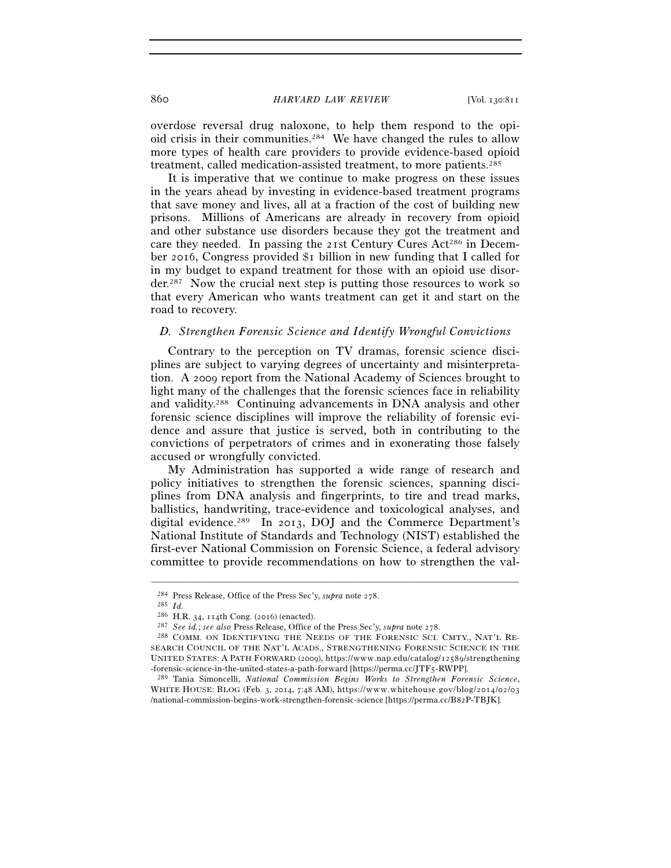overdose reversal drug naloxone, to help them respond to the opioid crisis in their communities.284 We have changed the rules to allow more types of health care providers to provide evidence-based opioid treatment, called medication-assisted treatment, to more patients.285

It is imperative that we continue to make progress on these issues in the years ahead by investing in evidence-based treatment programs that save money and lives, all at a fraction of the cost of building new prisons. Millions of Americans are already in recovery from opioid and other substance use disorders because they got the treatment and care they needed. In passing the 21st Century Cures Act<sup>286</sup> in December 2016, Congress provided \$1 billion in new funding that I called for in my budget to expand treatment for those with an opioid use disor $der<sup>287</sup>$  Now the crucial next step is putting those resources to work so that every American who wants treatment can get it and start on the road to recovery.

#### *D. Strengthen Forensic Science and Identify Wrongful Convictions*

Contrary to the perception on TV dramas, forensic science disciplines are subject to varying degrees of uncertainty and misinterpretation. A 2009 report from the National Academy of Sciences brought to light many of the challenges that the forensic sciences face in reliability and validity.288 Continuing advancements in DNA analysis and other forensic science disciplines will improve the reliability of forensic evidence and assure that justice is served, both in contributing to the convictions of perpetrators of crimes and in exonerating those falsely accused or wrongfully convicted.

My Administration has supported a wide range of research and policy initiatives to strengthen the forensic sciences, spanning disciplines from DNA analysis and fingerprints, to tire and tread marks, ballistics, handwriting, trace-evidence and toxicological analyses, and digital evidence.289 In 2013, DOJ and the Commerce Department's National Institute of Standards and Technology (NIST) established the first-ever National Commission on Forensic Science, a federal advisory committee to provide recommendations on how to strengthen the val-

<sup>284</sup> Press Release, Office of the Press Sec'y, *supra* note 278. 285 *Id.*

<sup>&</sup>lt;sup>287</sup> See id.; see also Press Release, Office of the Press Sec'y, *supra* note 278.<br><sup>288</sup> COMM. ON IDENTIFYING THE NEEDS OF THE FORENSIC SCI. CMTY., NAT'L RE-SEARCH COUNCIL OF THE NAT'L ACADS., STRENGTHENING FORENSIC SCIENCE IN THE UNITED STATES: A PATH FORWARD (2009), https://www.nap.edu/catalog/12589/strengthening -forensic-science-in-the-united-states-a-path-forward [https://perma.cc/JTF5-RWPP]. 289 Tania Simoncelli, *National Commission Begins Works to Strengthen Forensic Science*,

WHITE HOUSE: BLOG (Feb. 3, 2014, 7:48 AM), https://www.whitehouse.gov/blog/2014/02/03 /national-commission-begins-work-strengthen-forensic-science [https://perma.cc/B82P-TBJK].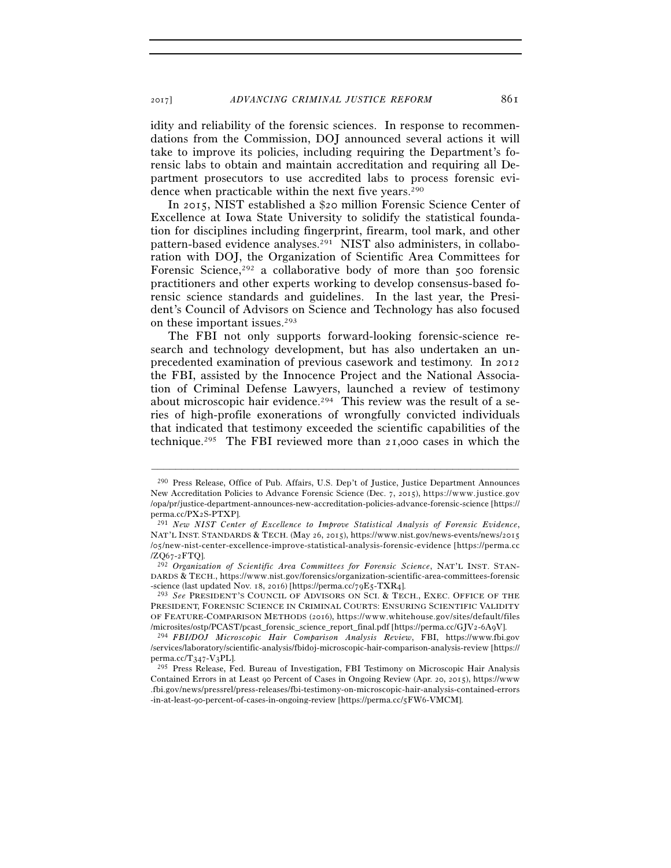2017] *ADVANCING CRIMINAL JUSTICE REFORM* 861

idity and reliability of the forensic sciences. In response to recommendations from the Commission, DOJ announced several actions it will take to improve its policies, including requiring the Department's forensic labs to obtain and maintain accreditation and requiring all Department prosecutors to use accredited labs to process forensic evidence when practicable within the next five years.<sup>290</sup>

In 2015, NIST established a \$20 million Forensic Science Center of Excellence at Iowa State University to solidify the statistical foundation for disciplines including fingerprint, firearm, tool mark, and other pattern-based evidence analyses.<sup>291</sup> NIST also administers, in collaboration with DOJ, the Organization of Scientific Area Committees for Forensic Science,<sup>292</sup> a collaborative body of more than 500 forensic practitioners and other experts working to develop consensus-based forensic science standards and guidelines. In the last year, the President's Council of Advisors on Science and Technology has also focused on these important issues.293

The FBI not only supports forward-looking forensic-science research and technology development, but has also undertaken an unprecedented examination of previous casework and testimony. In 2012 the FBI, assisted by the Innocence Project and the National Association of Criminal Defense Lawyers, launched a review of testimony about microscopic hair evidence.<sup>294</sup> This review was the result of a series of high-profile exonerations of wrongfully convicted individuals that indicated that testimony exceeded the scientific capabilities of the technique.295 The FBI reviewed more than 21,000 cases in which the

<sup>290</sup> Press Release, Office of Pub. Affairs, U.S. Dep't of Justice, Justice Department Announces New Accreditation Policies to Advance Forensic Science (Dec. 7, 2015), https://www.justice.gov /opa/pr/justice-department-announces-new-accreditation-policies-advance-forensic-science [https://

perma.cc/PX2S-PTXP]. 291 *New NIST Center of Excellence to Improve Statistical Analysis of Forensic Evidence*, NAT'L INST. STANDARDS & TECH. (May 26, 2015), https://www.nist.gov/news-events/news/2015 /o5/new-nist-center-excellence-improve-statistical-analysis-forensic-evidence [https://perma.cc /ZQ67-2FTQ]. 292 *Organization of Scientific Area Committees for Forensic Science*, NAT'L INST. STAN-

DARDS & TECH., https://www.nist.gov/forensics/organization-scientific-area-committees-forensic

<sup>-</sup>science (last updated Nov. 18, 2016) [https://perma.cc/79E5-TXR4]. 293 *See* PRESIDENT'S COUNCIL OF ADVISORS ON SCI. & TECH., EXEC. OFFICE OF THE PRESIDENT, FORENSIC SCIENCE IN CRIMINAL COURTS: ENSURING SCIENTIFIC VALIDITY OF FEATURE-COMPARISON METHODS (2016), https://www.whitehouse.gov/sites/default/files

<sup>/</sup>microsites/ostp/PCAST/pcast\_forensic\_science\_report\_final.pdf [https://perma.cc/GJV2-6A9V]. 294 *FBI/DOJ Microscopic Hair Comparison Analysis Review*, FBI, https://www.fbi.gov //services/laboratory/scientific-analysis/fbidoj-microscopic-hair-comparison-analysis-review [https://  $perma.$ cc/T $347-V3$ PL].

<sup>295</sup> Press Release, Fed. Bureau of Investigation, FBI Testimony on Microscopic Hair Analysis Contained Errors in at Least 90 Percent of Cases in Ongoing Review (Apr. 20, 2015), https://www .fbi.gov/news/pressrel/press-releases/fbi-testimony-on-microscopic-hair-analysis-contained-errors -in-at-least-90-percent-of-cases-in-ongoing-review [https://perma.cc/5FW6-VMCM].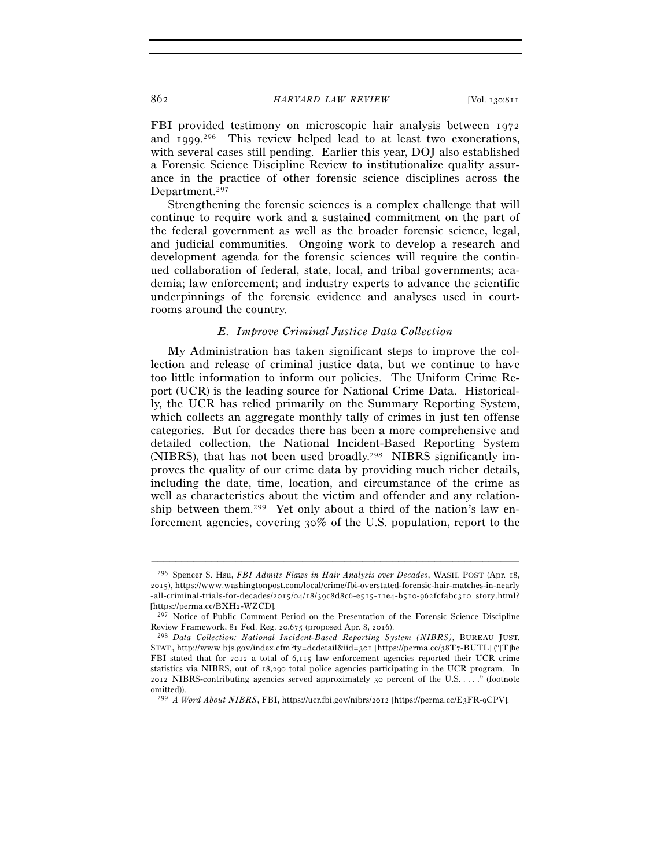FBI provided testimony on microscopic hair analysis between 1972 and 1999. 296 This review helped lead to at least two exonerations, with several cases still pending. Earlier this year, DOJ also established a Forensic Science Discipline Review to institutionalize quality assurance in the practice of other forensic science disciplines across the Department.<sup>297</sup>

Strengthening the forensic sciences is a complex challenge that will continue to require work and a sustained commitment on the part of the federal government as well as the broader forensic science, legal, and judicial communities. Ongoing work to develop a research and development agenda for the forensic sciences will require the continued collaboration of federal, state, local, and tribal governments; academia; law enforcement; and industry experts to advance the scientific underpinnings of the forensic evidence and analyses used in courtrooms around the country.

#### *E. Improve Criminal Justice Data Collection*

My Administration has taken significant steps to improve the collection and release of criminal justice data, but we continue to have too little information to inform our policies. The Uniform Crime Report (UCR) is the leading source for National Crime Data. Historically, the UCR has relied primarily on the Summary Reporting System, which collects an aggregate monthly tally of crimes in just ten offense categories. But for decades there has been a more comprehensive and detailed collection, the National Incident-Based Reporting System (NIBRS), that has not been used broadly.298 NIBRS significantly improves the quality of our crime data by providing much richer details, including the date, time, location, and circumstance of the crime as well as characteristics about the victim and offender and any relationship between them.299 Yet only about a third of the nation's law enforcement agencies, covering 30% of the U.S. population, report to the

<sup>296</sup> Spencer S. Hsu, *FBI Admits Flaws in Hair Analysis over Decades*, WASH. POST (Apr. 18, 2015), https://www.washingtonpost.com/local/crime/fbi-overstated-forensic-hair-matches-in-nearly -all-criminal-trials-for-decades/2015/04/18/39c8d8c6-e515-11e4-b510-962fcfabc310\_story.html? [https://perma.cc/BXH2-WZCD].

<sup>297</sup> Notice of Public Comment Period on the Presentation of the Forensic Science Discipline

Review Framework, 81 Fed. Reg. 20,675 (proposed Apr. 8, 2016). 298 *Data Collection: National Incident-Based Reporting System (NIBRS)*, BUREAU JUST. STAT., http://www.bjs.gov/index.cfm?ty=dcdetail&iid=301 [https://perma.cc/38T7-BUTL] ("[T]he FBI stated that for 2012 a total of 6,115 law enforcement agencies reported their UCR crime statistics via NIBRS, out of 18,290 total police agencies participating in the UCR program. In 2012 NIBRS-contributing agencies served approximately 30 percent of the U.S. . . . ." (footnote omitted)).

<sup>299</sup> *A Word About NIBRS*, FBI, https://ucr.fbi.gov/nibrs/2012 [https://perma.cc/E3FR-9CPV].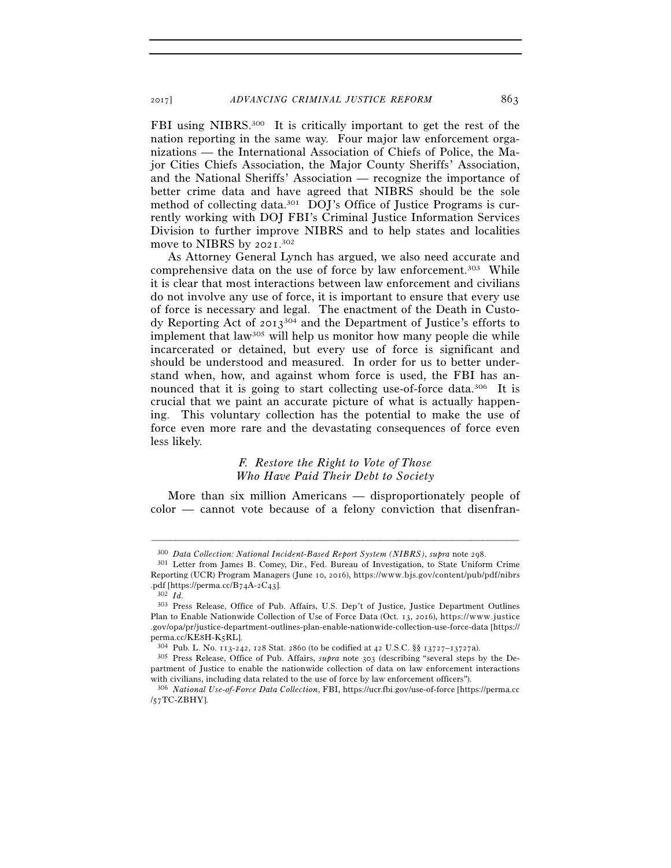FBI using NIBRS.300 It is critically important to get the rest of the nation reporting in the same way. Four major law enforcement organizations — the International Association of Chiefs of Police, the Major Cities Chiefs Association, the Major County Sheriffs' Association, and the National Sheriffs' Association — recognize the importance of better crime data and have agreed that NIBRS should be the sole method of collecting data.301 DOJ's Office of Justice Programs is currently working with DOJ FBI's Criminal Justice Information Services Division to further improve NIBRS and to help states and localities move to NIBRS by 2021. 302

As Attorney General Lynch has argued, we also need accurate and comprehensive data on the use of force by law enforcement.303 While it is clear that most interactions between law enforcement and civilians do not involve any use of force, it is important to ensure that every use of force is necessary and legal. The enactment of the Death in Custody Reporting Act of 2013304 and the Department of Justice's efforts to implement that law305 will help us monitor how many people die while incarcerated or detained, but every use of force is significant and should be understood and measured. In order for us to better understand when, how, and against whom force is used, the FBI has announced that it is going to start collecting use-of-force data.<sup>306</sup> It is crucial that we paint an accurate picture of what is actually happening. This voluntary collection has the potential to make the use of force even more rare and the devastating consequences of force even less likely.

# *F. Restore the Right to Vote of Those Who Have Paid Their Debt to Society*

More than six million Americans — disproportionately people of color — cannot vote because of a felony conviction that disenfran-

<sup>300</sup> *Data Collection: National Incident-Based Report System (NIBRS)*, *supra* note 298. 301 Letter from James B. Comey, Dir., Fed. Bureau of Investigation, to State Uniform Crime

Reporting (UCR) Program Managers (June 10, 2016), https://www.bjs.gov/content/pub/pdf/nibrs .pdf [https://perma.cc/B74A-2C43]. 302 *Id.*

<sup>303</sup> Press Release, Office of Pub. Affairs, U.S. Dep't of Justice, Justice Department Outlines Plan to Enable Nationwide Collection of Use of Force Data (Oct. 13, 2016), https://www.justice .gov/opa/pr/justice-department-outlines-plan-enable-nationwide-collection-use-force-data [https:// perma.cc/KE8H-K5RL]. 304 Pub. L. No. 113-242, 128 Stat. 2860 (to be codified at 42 U.S.C. §§ 13727–13727a). 305 Press Release, Office of Pub. Affairs, *supra* note 303 (describing "several steps by the De-

partment of Justice to enable the nationwide collection of data on law enforcement interactions with civilians, including data related to the use of force by law enforcement officers").

<sup>306</sup> *National Use-of-Force Data Collection*, FBI, https://ucr.fbi.gov/use-of-force [https://perma.cc /57TC-ZBHY].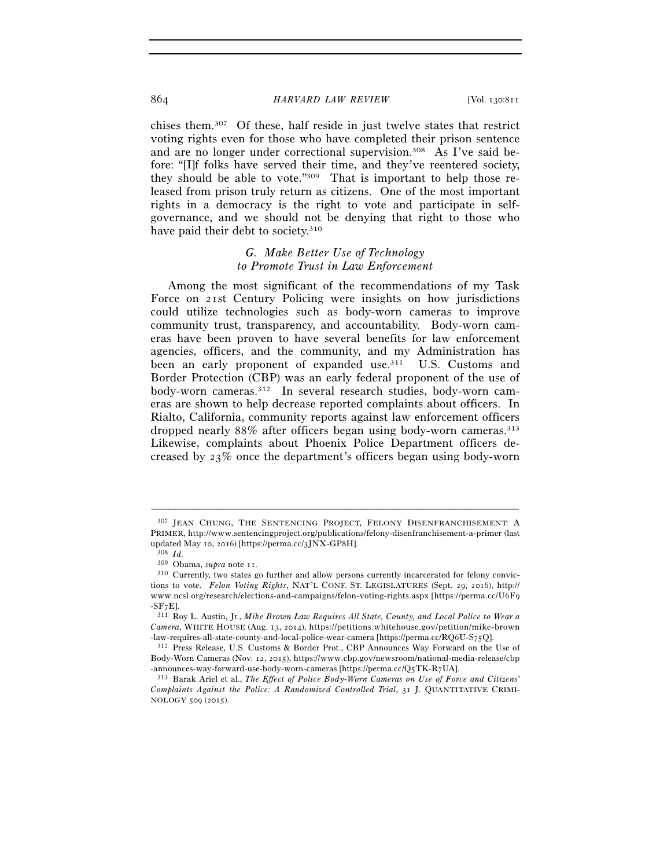chises them.307 Of these, half reside in just twelve states that restrict voting rights even for those who have completed their prison sentence and are no longer under correctional supervision.<sup>308</sup> As I've said before: "[I]f folks have served their time, and they've reentered society, they should be able to vote."309 That is important to help those released from prison truly return as citizens. One of the most important rights in a democracy is the right to vote and participate in selfgovernance, and we should not be denying that right to those who have paid their debt to society.<sup>310</sup>

# *G. Make Better Use of Technology to Promote Trust in Law Enforcement*

Among the most significant of the recommendations of my Task Force on 21st Century Policing were insights on how jurisdictions could utilize technologies such as body-worn cameras to improve community trust, transparency, and accountability. Body-worn cameras have been proven to have several benefits for law enforcement agencies, officers, and the community, and my Administration has been an early proponent of expanded use.<sup>311</sup> U.S. Customs and Border Protection (CBP) was an early federal proponent of the use of body-worn cameras.312 In several research studies, body-worn cameras are shown to help decrease reported complaints about officers. In Rialto, California, community reports against law enforcement officers dropped nearly 88% after officers began using body-worn cameras.313 Likewise, complaints about Phoenix Police Department officers decreased by 23% once the department's officers began using body-worn

<sup>307</sup> JEAN CHUNG, THE SENTENCING PROJECT, FELONY DISENFRANCHISEMENT: A PRIMER, http://www.sentencingproject.org/publications/felony-disenfranchisement-a-primer (last updated May 10, 2016) [https://perma.cc/3JNX-GP8H].<br><sup>308</sup> *Id.* 309 Obama, *supra* note 11.

<sup>&</sup>lt;sup>310</sup> Currently, two states go further and allow persons currently incarcerated for felony convictions to vote. *Felon Voting Rights*, NAT'L CONF. ST. LEGISLATURES (Sept. 29, 2016), http:// www.ncsl.org/research/elections-and-campaigns/felon-voting-rights.aspx [https://perma.cc/U6F9 -SF7E]. 311 Roy L. Austin, Jr., *Mike Brown Law Requires All State, County, and Local Police to Wear a* 

*Camera*, WHITE HOUSE (Aug. 13, 2014), https://petitions.whitehouse.gov/petition/mike-brown -law-requires-all-state-county-and-local-police-wear-camera [https://perma.cc/RQ6U-S75Q]. 312 Press Release, U.S. Customs & Border Prot., CBP Announces Way Forward on the Use of

Body-Worn Cameras (Nov. 12, 2015), https://www.cbp.gov/newsroom/national-media-release/cbp -announces-way-forward-use-body-worn-cameras [https://perma.cc/Q5TK-R7UA]. 313 Barak Ariel et al., *The Effect of Police Body-Worn Cameras on Use of Force and Citizens'* 

*Complaints Against the Police: A Randomized Controlled Trial*, 31 J. QUANTITATIVE CRIMI-NOLOGY 509 (2015).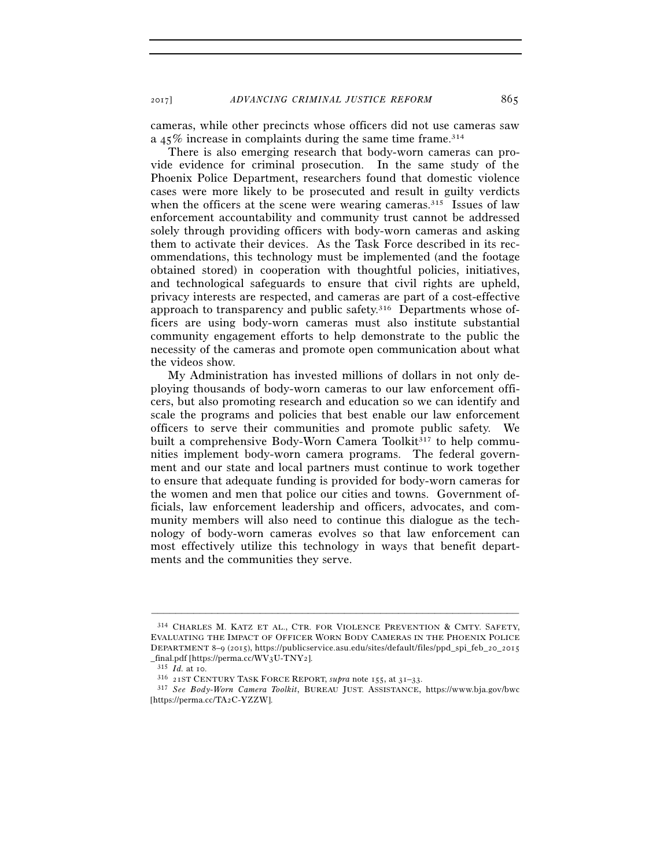2017] *ADVANCING CRIMINAL JUSTICE REFORM* 865

cameras, while other precincts whose officers did not use cameras saw a 45% increase in complaints during the same time frame.314

There is also emerging research that body-worn cameras can provide evidence for criminal prosecution. In the same study of the Phoenix Police Department, researchers found that domestic violence cases were more likely to be prosecuted and result in guilty verdicts when the officers at the scene were wearing cameras.<sup>315</sup> Issues of law enforcement accountability and community trust cannot be addressed solely through providing officers with body-worn cameras and asking them to activate their devices. As the Task Force described in its recommendations, this technology must be implemented (and the footage obtained stored) in cooperation with thoughtful policies, initiatives, and technological safeguards to ensure that civil rights are upheld, privacy interests are respected, and cameras are part of a cost-effective approach to transparency and public safety.316 Departments whose officers are using body-worn cameras must also institute substantial community engagement efforts to help demonstrate to the public the necessity of the cameras and promote open communication about what the videos show.

My Administration has invested millions of dollars in not only deploying thousands of body-worn cameras to our law enforcement officers, but also promoting research and education so we can identify and scale the programs and policies that best enable our law enforcement officers to serve their communities and promote public safety. We built a comprehensive Body-Worn Camera Toolkit<sup>317</sup> to help communities implement body-worn camera programs. The federal government and our state and local partners must continue to work together to ensure that adequate funding is provided for body-worn cameras for the women and men that police our cities and towns. Government officials, law enforcement leadership and officers, advocates, and community members will also need to continue this dialogue as the technology of body-worn cameras evolves so that law enforcement can most effectively utilize this technology in ways that benefit departments and the communities they serve.

<sup>314</sup> CHARLES M. KATZ ET AL., CTR. FOR VIOLENCE PREVENTION & CMTY. SAFETY, EVALUATING THE IMPACT OF OFFICER WORN BODY CAMERAS IN THE PHOENIX POLICE DEPARTMENT 8–9 (2015), https://publicservice.asu.edu/sites/default/files/ppd\_spi\_feb\_20\_2015

\_final.pdf [https://perma.cc/WV3U-TNY2].<br>
<sup>315</sup> Id. at 10.<br>
<sup>316</sup> 21ST CENTURY TASK FORCE REPORT, *supra* note 155, at 31–33.<br>
<sup>317</sup> See Bodv-Worn Camera Toolkit, BUREAU JUST. ASSISTANCE, https://www.bja.gov/bwc [https://perma.cc/TA2C-YZZW].